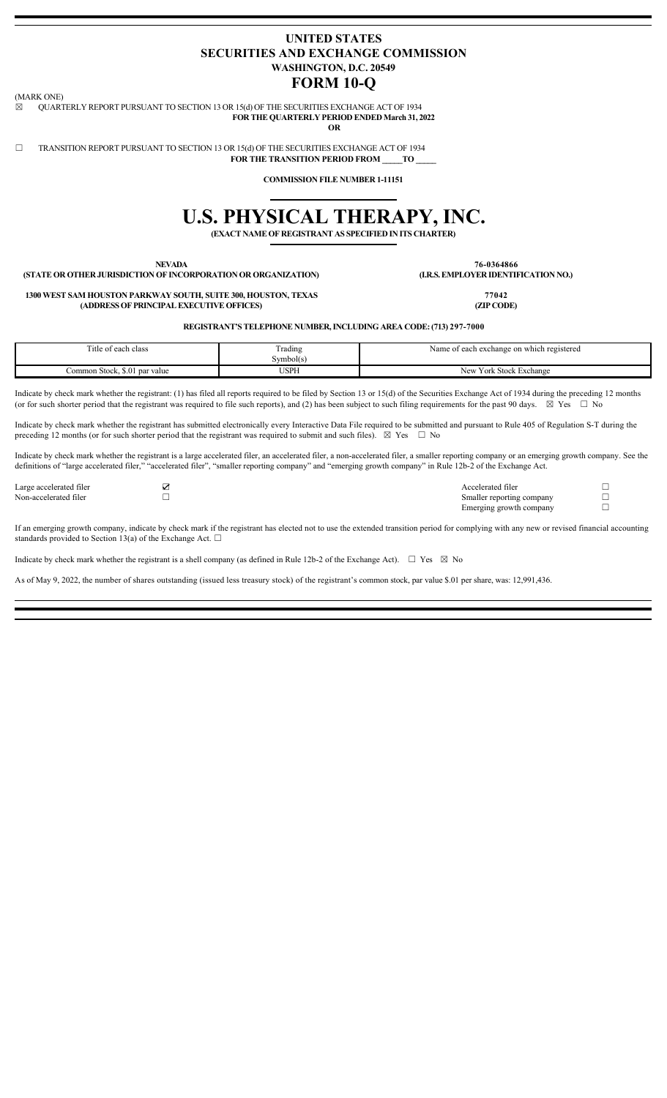# **UNITED STATES SECURITIES AND EXCHANGE COMMISSION WASHINGTON, D.C. 20549 FORM 10-Q**

(MARK ONE)

☒ QUARTERLY REPORT PURSUANT TO SECTION 13 OR 15(d) OF THE SECURITIES EXCHANGE ACT OF 1934 **FOR THE QUARTERLY PERIOD ENDED March 31, 2022**

 **OR**

☐ TRANSITION REPORT PURSUANT TO SECTION 13 OR 15(d) OF THE SECURITIES EXCHANGE ACT OF 1934 FOR THE TRANSITION PERIOD FROM **TO** 

**COMMISSION FILE NUMBER 1-11151**

# **U.S. PHYSICAL THERAPY, INC. (EXACT NAME OF REGISTRANT AS SPECIFIED IN ITS CHARTER)**

**(STATE OR OTHER JURISDICTION OF INCORPORATION OR ORGANIZATION)** 

**NEVADA 76-0364866**<br> **1991 (I.R.S. EMPLOYER IDENTIFICATION NO.)**<br> **1992 (I.R.S. EMPLOYER IDENTIFICATION NO.)** 

## **1300 WEST SAM HOUSTON PARKWAY SOUTH, SUITE 300, HOUSTON, TEXAS 77042 (ADDRESS OF PRINCIPAL EXECUTIVE OFFICES) (ZIP CODE)**

**REGISTRANT'S TELEPHONE NUMBER, INCLUDING AREA CODE: (713) 297-7000**

| — .<br>. itle<br>t each class<br>വ     | $\sim$<br>1 rading<br>Symbol(s) | t each exchange on which registered<br>.vame<br>. റா |
|----------------------------------------|---------------------------------|------------------------------------------------------|
| ∴ommon Stock, ∶<br>. par value<br>S.OT | USPH                            | $ -$<br>: Stock Exchange<br>$V \cap rV$<br>New       |

Indicate by check mark whether the registrant: (1) has filed all reports required to be filed by Section 13 or 15(d) of the Securities Exchange Act of 1934 during the preceding 12 months (or for such shorter period that the registrant was required to file such reports), and (2) has been subject to such filing requirements for the past 90 days.  $\boxtimes$  Yes  $\Box$  No

Indicate by check mark whether the registrant has submitted electronically every Interactive Data File required to be submitted and pursuant to Rule 405 of Regulation S-T during the preceding 12 months (or for such shorter period that the registrant was required to submit and such files).  $\boxtimes$  Yes  $\Box$  No

Indicate by check mark whether the registrant is a large accelerated filer, an accelerated filer, a man-accelerated filer, a smaller reporting company or an emerging growth company. See the definitions of "large accelerated filer," "accelerated filer", "smaller reporting company" and "emerging growth company" in Rule 12b-2 of the Exchange Act.

| Large accelerated filer | ⊻ | Accelerated filer         |          |
|-------------------------|---|---------------------------|----------|
| Non-accelerated filer   | – | Smaller reporting company | –<br>ـــ |
|                         |   | Emerging growth company   |          |

If an emerging growth company, indicate by check mark if the registrant has elected not to use the extended transition period for complying with any new or revised financial accounting standards provided to Section 13(a) of the Exchange Act.  $\Box$ 

Indicate by check mark whether the registrant is a shell company (as defined in Rule 12b-2 of the Exchange Act).  $\Box$  Yes  $\boxtimes$  No

As of May 9, 2022, the number of shares outstanding (issued less treasury stock) of the registrant's common stock, par value \$.01 per share, was: 12,991,436.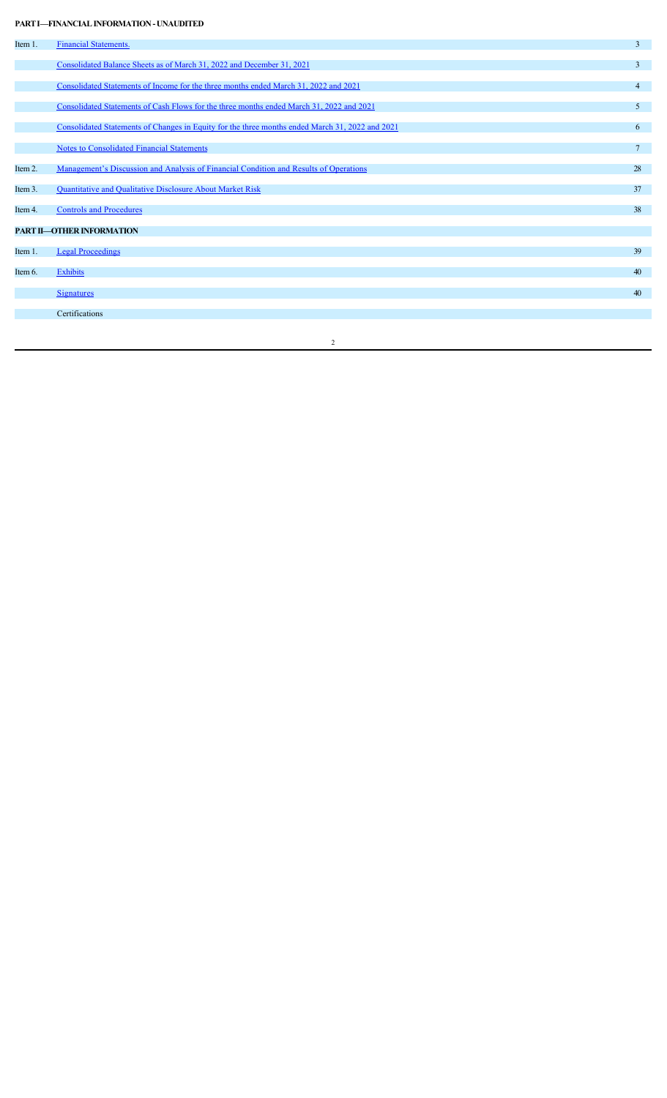# <span id="page-1-0"></span>**PART I—FINANCIAL INFORMATION - UNAUDITED**

| Item 1. | <b>Financial Statements.</b>                                                                    | $\mathfrak{Z}$ |
|---------|-------------------------------------------------------------------------------------------------|----------------|
|         |                                                                                                 |                |
|         | Consolidated Balance Sheets as of March 31, 2022 and December 31, 2021                          | $\overline{3}$ |
|         | Consolidated Statements of Income for the three months ended March 31, 2022 and 2021            | $\overline{4}$ |
|         | Consolidated Statements of Cash Flows for the three months ended March 31, 2022 and 2021        | 5 <sup>5</sup> |
|         | Consolidated Statements of Changes in Equity for the three months ended March 31, 2022 and 2021 | 6              |
|         | Notes to Consolidated Financial Statements                                                      | 7 <sup>7</sup> |
| Item 2. | Management's Discussion and Analysis of Financial Condition and Results of Operations           | 28             |
| Item 3. | Quantitative and Qualitative Disclosure About Market Risk                                       | 37             |
| Item 4. | <b>Controls and Procedures</b>                                                                  | 38             |
|         | <b>PART II-OTHER INFORMATION</b>                                                                |                |
| Item 1. | <b>Legal Proceedings</b>                                                                        | 39             |
| Item 6. | <b>Exhibits</b>                                                                                 | 40             |
|         | Signatures                                                                                      | 40             |
|         | Certifications                                                                                  |                |
|         |                                                                                                 |                |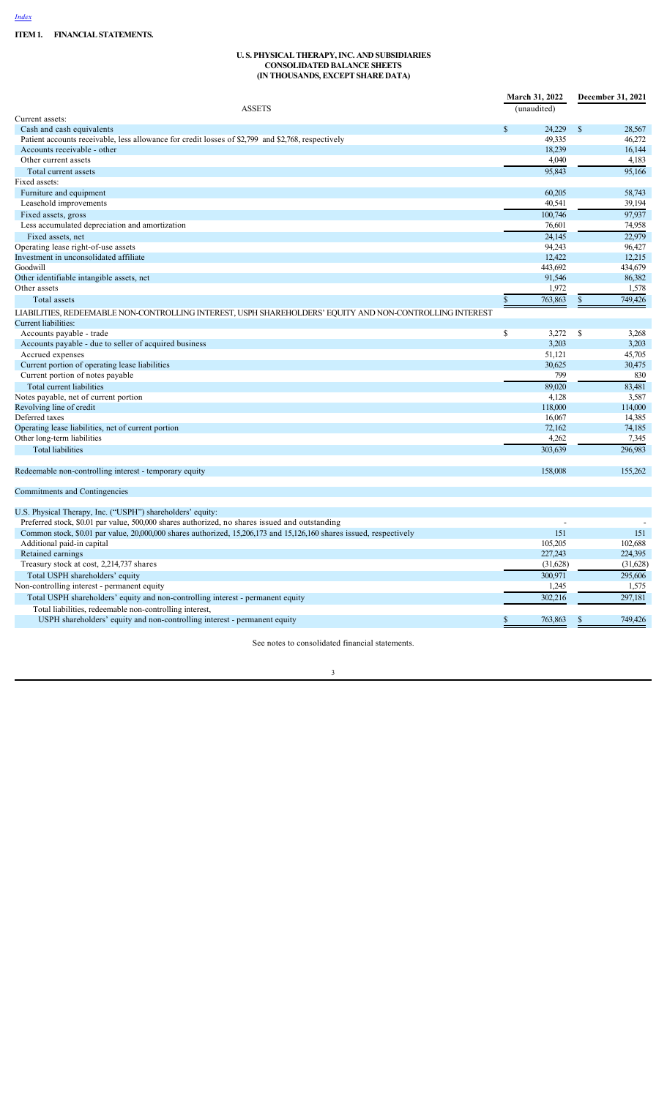# <span id="page-2-0"></span>**ITEM 1. FINANCIAL STATEMENTS.**

#### **U. S. PHYSICAL THERAPY, INC. AND SUBSIDIARIES CONSOLIDATED BALANCE SHEETS (IN THOUSANDS, EXCEPT SHARE DATA)**

<span id="page-2-1"></span>

|                                                                                                                     |               | March 31, 2022 |              | December 31, 2021 |  |
|---------------------------------------------------------------------------------------------------------------------|---------------|----------------|--------------|-------------------|--|
| <b>ASSETS</b>                                                                                                       |               | (unaudited)    |              |                   |  |
| Current assets:                                                                                                     |               |                |              |                   |  |
| Cash and cash equivalents                                                                                           | \$            | 24.229         | $\mathbb{S}$ | 28.567            |  |
| Patient accounts receivable, less allowance for credit losses of \$2,799 and \$2,768, respectively                  |               | 49,335         |              | 46,272            |  |
| Accounts receivable - other                                                                                         |               | 18,239         |              | 16,144            |  |
| Other current assets                                                                                                |               | 4,040          |              | 4,183             |  |
| Total current assets                                                                                                |               | 95,843         |              | 95,166            |  |
| Fixed assets:                                                                                                       |               |                |              |                   |  |
| Furniture and equipment                                                                                             |               | 60,205         |              | 58,743            |  |
| Leasehold improvements                                                                                              |               | 40,541         |              | 39,194            |  |
| Fixed assets, gross                                                                                                 |               | 100,746        |              | 97.937            |  |
| Less accumulated depreciation and amortization                                                                      |               | 76,601         |              | 74,958            |  |
| Fixed assets, net                                                                                                   |               | 24,145         |              | 22,979            |  |
| Operating lease right-of-use assets                                                                                 |               | 94,243         |              | 96,427            |  |
| Investment in unconsolidated affiliate                                                                              |               | 12,422         |              | 12,215            |  |
| Goodwill                                                                                                            |               | 443,692        |              | 434,679           |  |
| Other identifiable intangible assets, net                                                                           |               | 91,546         |              | 86,382            |  |
| Other assets                                                                                                        |               | 1,972          |              | 1,578             |  |
| Total assets                                                                                                        | $\mathsf{\$}$ | 763,863        | $\mathbb{S}$ | 749,426           |  |
| LIABILITIES, REDEEMABLE NON-CONTROLLING INTEREST, USPH SHAREHOLDERS' EQUITY AND NON-CONTROLLING INTEREST            |               |                |              |                   |  |
| Current liabilities:                                                                                                |               |                |              |                   |  |
| Accounts payable - trade                                                                                            | \$            | 3,272          | \$           | 3,268             |  |
| Accounts payable - due to seller of acquired business                                                               |               | 3,203          |              | 3,203             |  |
| Accrued expenses                                                                                                    |               | 51,121         |              | 45,705            |  |
| Current portion of operating lease liabilities                                                                      |               | 30,625         |              | 30,475            |  |
| Current portion of notes payable                                                                                    |               | 799            |              | 830               |  |
| Total current liabilities                                                                                           |               | 89,020         |              | 83,481            |  |
| Notes payable, net of current portion                                                                               |               | 4,128          |              | 3,587             |  |
| Revolving line of credit                                                                                            |               | 118,000        |              | 114,000           |  |
| Deferred taxes                                                                                                      |               | 16,067         |              | 14,385            |  |
| Operating lease liabilities, net of current portion                                                                 |               | 72,162         |              | 74,185            |  |
| Other long-term liabilities                                                                                         |               | 4,262          |              | 7,345             |  |
| <b>Total liabilities</b>                                                                                            |               | 303.639        |              | 296.983           |  |
|                                                                                                                     |               |                |              |                   |  |
| Redeemable non-controlling interest - temporary equity                                                              |               | 158,008        |              | 155,262           |  |
|                                                                                                                     |               |                |              |                   |  |
| Commitments and Contingencies                                                                                       |               |                |              |                   |  |
| U.S. Physical Therapy, Inc. ("USPH") shareholders' equity:                                                          |               |                |              |                   |  |
| Preferred stock, \$0.01 par value, 500,000 shares authorized, no shares issued and outstanding                      |               |                |              |                   |  |
| Common stock, \$0.01 par value, 20,000,000 shares authorized, 15,206,173 and 15,126,160 shares issued, respectively |               | 151            |              | 151               |  |
| Additional paid-in capital                                                                                          |               | 105,205        |              | 102,688           |  |
| Retained earnings                                                                                                   |               | 227,243        |              | 224,395           |  |
| Treasury stock at cost, 2,214,737 shares                                                                            |               | (31,628)       |              | (31,628)          |  |
| Total USPH shareholders' equity                                                                                     |               | 300,971        |              | 295,606           |  |
| Non-controlling interest - permanent equity                                                                         |               | 1,245          |              | 1,575             |  |
| Total USPH shareholders' equity and non-controlling interest - permanent equity                                     |               | 302,216        |              | 297,181           |  |
| Total liabilities, redeemable non-controlling interest,                                                             |               |                |              |                   |  |
| USPH shareholders' equity and non-controlling interest - permanent equity                                           | \$            | 763,863        |              | 749,426           |  |
|                                                                                                                     |               |                |              |                   |  |

See notes to consolidated financial statements.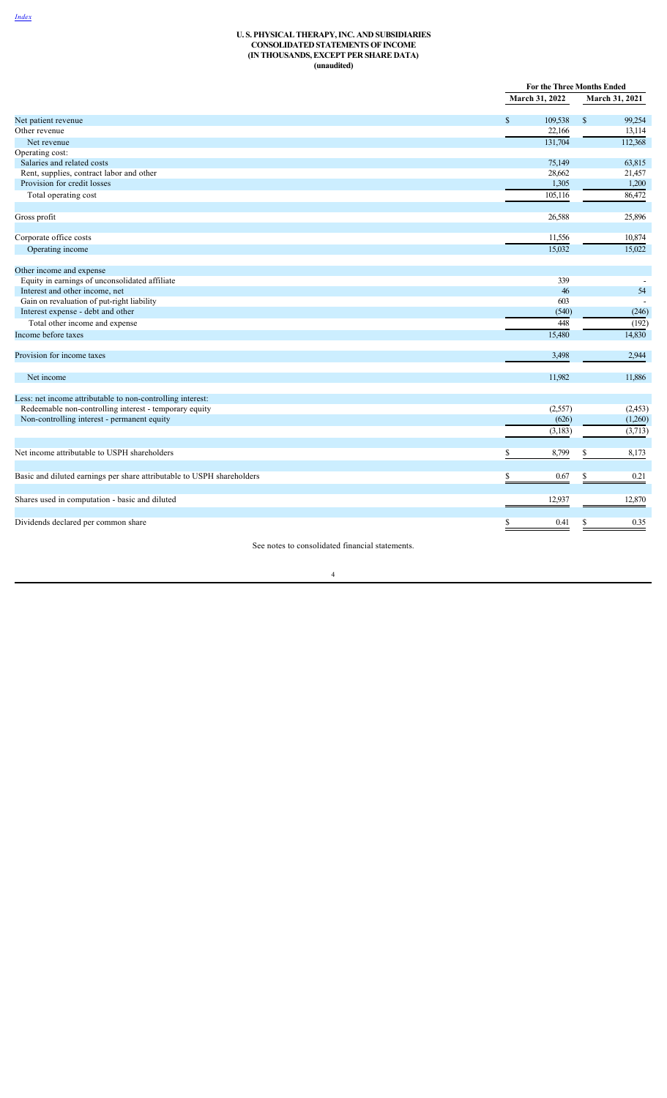#### **U. S. PHYSICAL THERAPY, INC. AND SUBSIDIARIES CONSOLIDATED STATEMENTS OF INCOME (IN THOUSANDS, EXCEPT PER SHARE DATA) (unaudited)**

<span id="page-3-0"></span>

|                                                                        | For the Three Months Ended |                |  |  |
|------------------------------------------------------------------------|----------------------------|----------------|--|--|
|                                                                        | March 31, 2022             | March 31, 2021 |  |  |
| Net patient revenue                                                    | \$<br>109,538              | \$<br>99,254   |  |  |
| Other revenue                                                          | 22,166                     | 13,114         |  |  |
| Net revenue                                                            | 131,704                    | 112,368        |  |  |
| Operating cost:                                                        |                            |                |  |  |
| Salaries and related costs                                             | 75,149                     | 63,815         |  |  |
| Rent, supplies, contract labor and other                               | 28,662                     | 21,457         |  |  |
| Provision for credit losses                                            | 1,305                      | 1,200          |  |  |
| Total operating cost                                                   | 105,116                    | 86,472         |  |  |
| Gross profit                                                           | 26,588                     | 25,896         |  |  |
| Corporate office costs                                                 | 11,556                     | 10,874         |  |  |
| Operating income                                                       | 15,032                     | 15,022         |  |  |
| Other income and expense                                               |                            |                |  |  |
| Equity in earnings of unconsolidated affiliate                         | 339                        |                |  |  |
| Interest and other income, net                                         | 46                         | 54             |  |  |
| Gain on revaluation of put-right liability                             | 603                        |                |  |  |
| Interest expense - debt and other                                      | (540)                      | (246)          |  |  |
| Total other income and expense                                         | 448                        | (192)          |  |  |
| Income before taxes                                                    | 15,480                     | 14,830         |  |  |
| Provision for income taxes                                             | 3,498                      | 2,944          |  |  |
| Net income                                                             | 11,982                     | 11,886         |  |  |
| Less: net income attributable to non-controlling interest:             |                            |                |  |  |
| Redeemable non-controlling interest - temporary equity                 | (2,557)                    | (2, 453)       |  |  |
| Non-controlling interest - permanent equity                            | (626)                      | (1,260)        |  |  |
|                                                                        | (3,183)                    | (3,713)        |  |  |
| Net income attributable to USPH shareholders                           | 8,799<br>S                 | 8,173<br>S     |  |  |
| Basic and diluted earnings per share attributable to USPH shareholders | \$<br>0.67                 | 0.21<br>S      |  |  |
|                                                                        |                            |                |  |  |
| Shares used in computation - basic and diluted                         | 12,937                     | 12,870         |  |  |
| Dividends declared per common share                                    | S<br>0.41                  | 0.35           |  |  |

See notes to consolidated financial statements.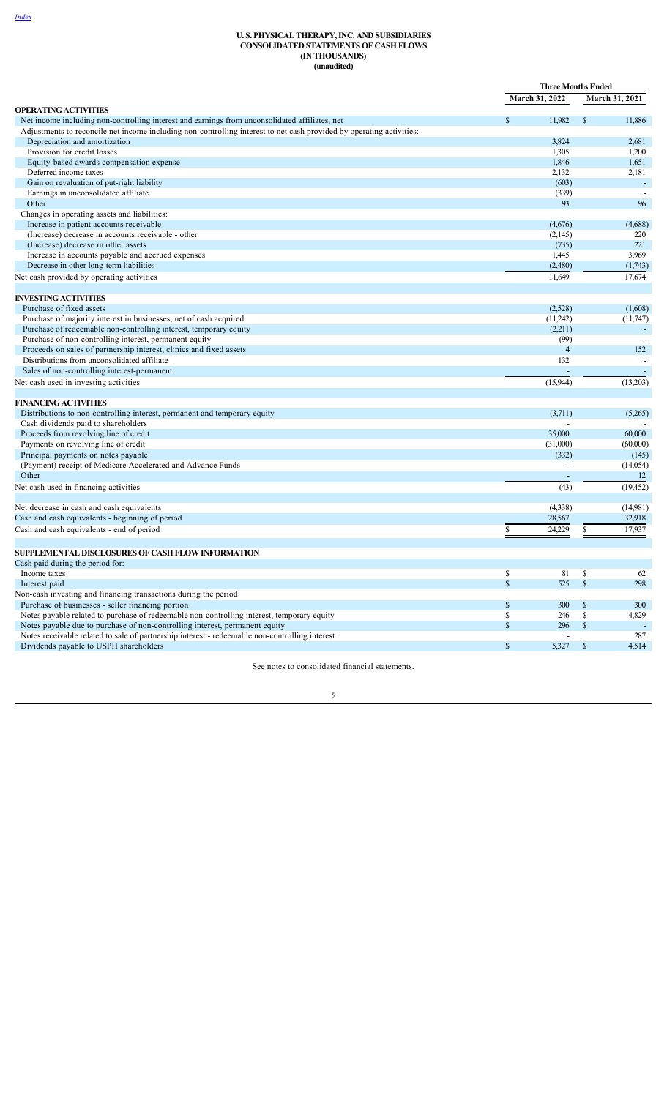#### **U. S. PHYSICAL THERAPY, INC. AND SUBSIDIARIES CONSOLIDATED STATEMENTS OF CASH FLOWS (IN THOUSANDS) (unaudited)**

<span id="page-4-0"></span>

|                                                                                                                      |                       | <b>Three Months Ended</b> |                                  |  |
|----------------------------------------------------------------------------------------------------------------------|-----------------------|---------------------------|----------------------------------|--|
|                                                                                                                      | March 31, 2022        |                           | March 31, 2021                   |  |
| <b>OPERATING ACTIVITIES</b>                                                                                          |                       |                           |                                  |  |
| Net income including non-controlling interest and earnings from unconsolidated affiliates, net                       | \$<br>11,982          |                           | \$<br>11,886                     |  |
| Adjustments to reconcile net income including non-controlling interest to net cash provided by operating activities: |                       |                           |                                  |  |
| Depreciation and amortization                                                                                        | 3,824                 |                           | 2,681                            |  |
| Provision for credit losses                                                                                          | 1,305                 |                           | 1,200                            |  |
| Equity-based awards compensation expense                                                                             | 1,846                 |                           | 1,651                            |  |
| Deferred income taxes                                                                                                | 2,132                 |                           | 2,181                            |  |
| Gain on revaluation of put-right liability                                                                           |                       | (603)                     |                                  |  |
| Earnings in unconsolidated affiliate                                                                                 |                       | (339)                     |                                  |  |
| Other                                                                                                                |                       | 93                        | 96                               |  |
| Changes in operating assets and liabilities:                                                                         |                       |                           |                                  |  |
| Increase in patient accounts receivable                                                                              | (4,676)               |                           | (4,688)                          |  |
| (Increase) decrease in accounts receivable - other                                                                   | (2,145)               |                           | 220                              |  |
| (Increase) decrease in other assets                                                                                  |                       | (735)                     | 221                              |  |
| Increase in accounts payable and accrued expenses                                                                    | 1,445                 |                           | 3,969                            |  |
| Decrease in other long-term liabilities                                                                              | (2,480)               |                           | (1,743)                          |  |
| Net cash provided by operating activities                                                                            | 11,649                |                           | 17,674                           |  |
| <b>INVESTING ACTIVITIES</b>                                                                                          |                       |                           |                                  |  |
| Purchase of fixed assets                                                                                             | (2,528)               |                           | (1,608)                          |  |
| Purchase of majority interest in businesses, net of cash acquired                                                    | (11,242)              |                           | (11,747)                         |  |
| Purchase of redeemable non-controlling interest, temporary equity                                                    | (2,211)               |                           | $\blacksquare$                   |  |
| Purchase of non-controlling interest, permanent equity                                                               |                       | (99)                      |                                  |  |
| Proceeds on sales of partnership interest, clinics and fixed assets                                                  |                       | $\overline{4}$            | 152                              |  |
| Distributions from unconsolidated affiliate                                                                          |                       | 132                       |                                  |  |
| Sales of non-controlling interest-permanent                                                                          |                       | ÷,                        | $\sim$                           |  |
| Net cash used in investing activities                                                                                | (15,944)              |                           | (13,203)                         |  |
| FINANCING ACTIVITIES                                                                                                 |                       |                           |                                  |  |
| Distributions to non-controlling interest, permanent and temporary equity                                            | (3,711)               |                           | (5,265)                          |  |
| Cash dividends paid to shareholders                                                                                  |                       |                           |                                  |  |
| Proceeds from revolving line of credit                                                                               | 35,000                |                           | 60,000                           |  |
| Payments on revolving line of credit                                                                                 | (31,000)              |                           | (60,000)                         |  |
| Principal payments on notes payable                                                                                  |                       | (332)                     | (145)                            |  |
| (Payment) receipt of Medicare Accelerated and Advance Funds                                                          |                       | $\overline{\phantom{a}}$  | (14,054)                         |  |
| Other                                                                                                                |                       | $\overline{\phantom{a}}$  | 12                               |  |
| Net cash used in financing activities                                                                                |                       | (43)                      | (19, 452)                        |  |
| Net decrease in cash and cash equivalents                                                                            | (4,338)               |                           | (14,981)                         |  |
| Cash and cash equivalents - beginning of period                                                                      | 28,567                |                           | 32,918                           |  |
| Cash and cash equivalents - end of period                                                                            | 24,229<br>\$          |                           | 17,937<br>\$                     |  |
| SUPPLEMENTAL DISCLOSURES OF CASH FLOW INFORMATION                                                                    |                       |                           |                                  |  |
| Cash paid during the period for:                                                                                     |                       |                           |                                  |  |
| Income taxes                                                                                                         | \$                    | $81\,$                    | \$<br>62                         |  |
| Interest paid                                                                                                        | $\mathbb S$           | 525                       | $\mathsf{\$}$<br>298             |  |
| Non-cash investing and financing transactions during the period:                                                     |                       |                           |                                  |  |
| Purchase of businesses - seller financing portion                                                                    | $\$$                  | 300                       | $\boldsymbol{\mathsf{S}}$<br>300 |  |
| Notes payable related to purchase of redeemable non-controlling interest, temporary equity                           | \$                    | 246                       | \$<br>4,829                      |  |
| Notes payable due to purchase of non-controlling interest, permanent equity                                          | \$                    | 296                       | $\sqrt{3}$<br>$\sim$             |  |
| Notes receivable related to sale of partnership interest - redeemable non-controlling interest                       |                       |                           | 287                              |  |
| Dividends payable to USPH shareholders                                                                               | $\mathbb{S}$<br>5,327 |                           | $\mathbb{S}$<br>4,514            |  |
|                                                                                                                      |                       |                           |                                  |  |

See notes to consolidated financial statements.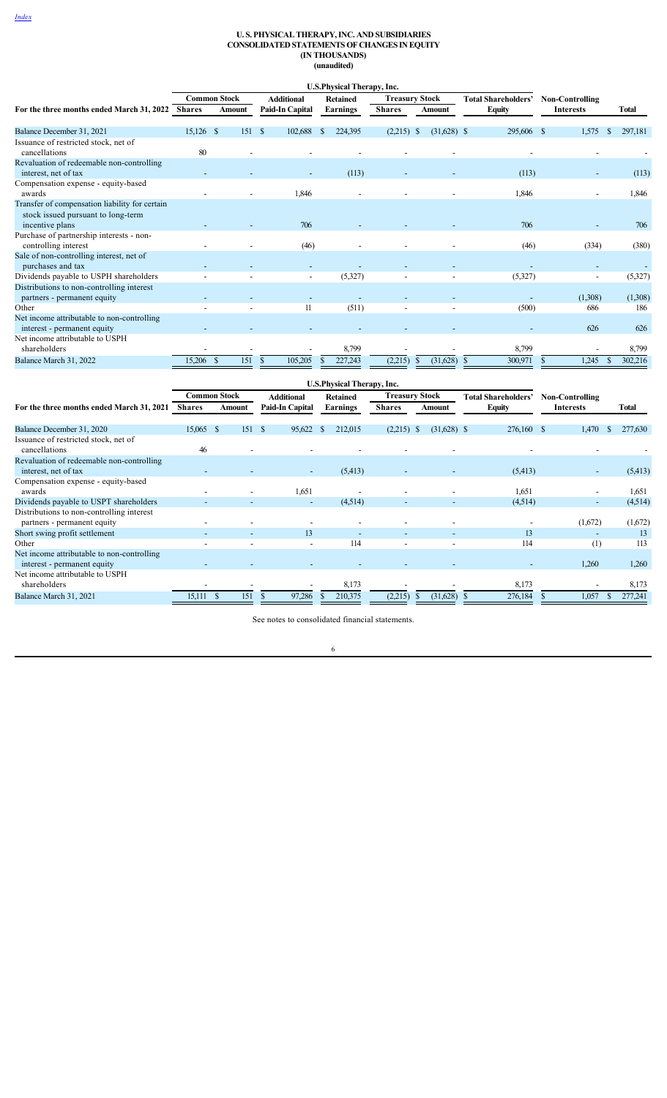#### **U. S. PHYSICAL THERAPY, INC. AND SUBSIDIARIES CONSOLIDATED STATEMENTS OF CHANGES IN EQUITY (IN THOUSANDS) (unaudited)**

<span id="page-5-0"></span>

|                                                                                      | <b>U.S.Physical Therapy, Inc.</b> |               |                        |         |  |                 |                       |    |               |  |                            |                          |              |
|--------------------------------------------------------------------------------------|-----------------------------------|---------------|------------------------|---------|--|-----------------|-----------------------|----|---------------|--|----------------------------|--------------------------|--------------|
|                                                                                      | <b>Common Stock</b>               |               | <b>Additional</b>      |         |  | <b>Retained</b> | <b>Treasury Stock</b> |    |               |  | <b>Total Shareholders'</b> | <b>Non-Controlling</b>   |              |
| For the three months ended March 31, 2022                                            | <b>Shares</b>                     | <b>Amount</b> | <b>Paid-In Capital</b> |         |  | <b>Earnings</b> | <b>Shares</b>         |    | <b>Amount</b> |  | <b>Equity</b>              | <b>Interests</b>         | <b>Total</b> |
| Balance December 31, 2021                                                            | $15,126$ \$                       | 151           | <sup>\$</sup>          | 102,688 |  | 224,395         | (2,215)               | -S | $(31,628)$ \$ |  | 295,606 \$                 | 1,575                    | 297,181      |
| Issuance of restricted stock, net of<br>cancellations                                | 80                                |               |                        |         |  |                 |                       |    |               |  |                            |                          |              |
| Revaluation of redeemable non-controlling<br>interest, net of tax                    |                                   |               |                        |         |  | (113)           |                       |    |               |  | (113)                      | $\overline{\phantom{a}}$ | (113)        |
| Compensation expense - equity-based<br>awards                                        |                                   |               |                        | 1,846   |  |                 |                       |    |               |  | 1,846                      |                          | 1,846        |
| Transfer of compensation liability for certain<br>stock issued pursuant to long-term |                                   |               |                        |         |  |                 |                       |    |               |  |                            |                          |              |
| incentive plans                                                                      |                                   |               |                        | 706     |  |                 |                       |    |               |  | 706                        |                          | 706          |
| Purchase of partnership interests - non-<br>controlling interest                     |                                   |               |                        | (46)    |  |                 |                       |    |               |  | (46)                       | (334)                    | (380)        |
| Sale of non-controlling interest, net of<br>purchases and tax                        |                                   |               |                        |         |  |                 |                       |    |               |  |                            |                          |              |
| Dividends payable to USPH shareholders                                               |                                   |               |                        |         |  | (5,327)         |                       |    |               |  | (5,327)                    | $\overline{\phantom{a}}$ | (5,327)      |
| Distributions to non-controlling interest<br>partners - permanent equity             |                                   |               |                        |         |  |                 |                       |    |               |  |                            | (1,308)                  | (1,308)      |
| Other                                                                                |                                   |               |                        | 11      |  | (511)           |                       |    |               |  | (500)                      | 686                      | 186          |
| Net income attributable to non-controlling                                           |                                   |               |                        |         |  |                 |                       |    |               |  |                            |                          |              |
| interest - permanent equity                                                          |                                   |               |                        |         |  |                 |                       |    |               |  |                            | 626                      | 626          |
| Net income attributable to USPH<br>shareholders                                      |                                   |               |                        |         |  | 8,799           |                       |    |               |  | 8,799                      |                          | 8,799        |
| Balance March 31, 2022                                                               | 15,206                            | 151<br>- \$   | S                      | 105,205 |  | 227,243         | (2,215)               | -S | (31,628)      |  | 300,971                    | 1.245                    | 302,216      |
|                                                                                      |                                   |               |                        |         |  |                 |                       |    |               |  |                            |                          |              |

|                                                                           | <b>U.S.Physical Therapy, Inc.</b> |        |  |                        |     |                          |                          |               |                          |                            |            |  |                          |         |  |
|---------------------------------------------------------------------------|-----------------------------------|--------|--|------------------------|-----|--------------------------|--------------------------|---------------|--------------------------|----------------------------|------------|--|--------------------------|---------|--|
|                                                                           | <b>Common Stock</b>               |        |  | <b>Additional</b>      |     | <b>Retained</b>          | <b>Treasury Stock</b>    |               |                          | <b>Total Shareholders'</b> |            |  | <b>Non-Controlling</b>   |         |  |
| For the three months ended March 31, 2021                                 | <b>Shares</b>                     | Amount |  | <b>Paid-In Capital</b> |     | Earnings                 | <b>Shares</b><br>Amount  |               |                          | <b>Equity</b>              |            |  | <b>Interests</b>         | Total   |  |
| Balance December 31, 2020                                                 | 15,065 \$                         | 151    |  | 95,622<br>-S           | -88 | 212,015                  | (2,215)                  | <sup>S</sup>  | $(31,628)$ \$            |                            | 276,160 \$ |  | 1,470                    | 277,630 |  |
| Issuance of restricted stock, net of<br>cancellations                     | 46                                |        |  |                        |     |                          |                          |               |                          |                            |            |  |                          |         |  |
| Revaluation of redeemable non-controlling<br>interest, net of tax         | $\overline{\phantom{a}}$          |        |  | $\sim$                 |     | (5, 413)                 | $\overline{\phantom{a}}$ |               | $\overline{\phantom{a}}$ |                            | (5,413)    |  | $\sim$                   | (5,413) |  |
| Compensation expense - equity-based<br>awards                             |                                   |        |  | 1,651                  |     |                          |                          |               |                          |                            | 1,651      |  |                          | 1,651   |  |
| Dividends payable to USPT shareholders                                    |                                   |        |  |                        |     | (4,514)                  |                          |               |                          |                            | (4,514)    |  | $\overline{\phantom{a}}$ | (4,514) |  |
| Distributions to non-controlling interest<br>partners - permanent equity  |                                   |        |  |                        |     | $\overline{\phantom{a}}$ |                          |               |                          |                            |            |  | (1,672)                  | (1,672) |  |
| Short swing profit settlement                                             |                                   |        |  | 13                     |     | $\overline{\phantom{a}}$ |                          |               |                          |                            | 13         |  |                          | 13      |  |
| Other                                                                     |                                   |        |  |                        |     | 114                      |                          |               |                          |                            | 114        |  | (1)                      | 113     |  |
| Net income attributable to non-controlling<br>interest - permanent equity |                                   |        |  |                        |     |                          |                          |               |                          |                            |            |  | 1,260                    | 1,260   |  |
| Net income attributable to USPH<br>shareholders                           |                                   |        |  |                        |     | 8,173                    |                          |               |                          |                            | 8,173      |  |                          | 8,173   |  |
| Balance March 31, 2021                                                    | $15,111 \quad$ \$                 | 151    |  | 97,286<br>Ъ            |     | 210,375                  | (2,215)                  | <sup>\$</sup> | (31,628)                 |                            | 276,184    |  | 1,057                    | 277,241 |  |

See notes to consolidated financial statements.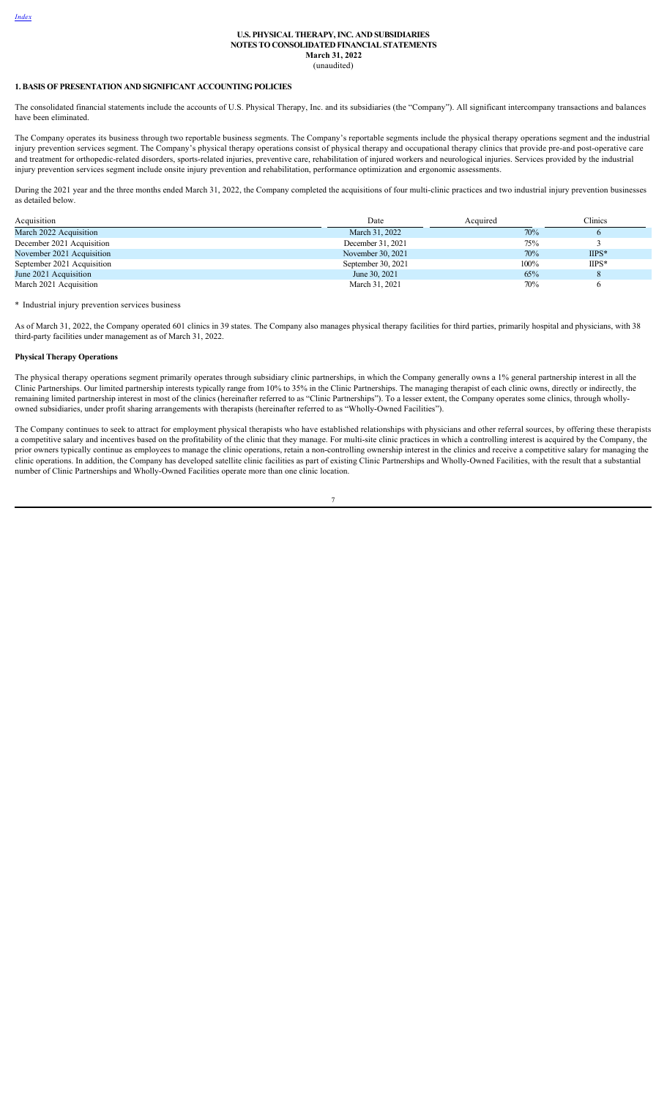### <span id="page-6-0"></span>**U.S. PHYSICAL THERAPY, INC. AND SUBSIDIARIES NOTES TO CONSOLIDATED FINANCIAL STATEMENTS March 31, 2022** (unaudited)

## **1. BASIS OF PRESENTATION AND SIGNIFICANT ACCOUNTING POLICIES**

The consolidated financial statements include the accounts of U.S. Physical Therapy, Inc. and its subsidiaries (the "Company"). All significant intercompany transactions and balances have been eliminated.

The Company operates its business through two reportable business segments. The Company's reportable segments include the physical therapy operations segment and the industrial injury prevention services segment. The Company's physical therapy operations consist of physical therapy and occupational therapy clinics that provide pre-and post-operative care and treatment for orthopedic-related disorders, sports-related injuries, preventive care, rehabilitation of injured workers and neurological injuries. Services provided by the industrial injury prevention services segment include onsite injury prevention and rehabilitation, performance optimization and ergonomic assessments.

During the 2021 year and the three months ended March 31, 2022, the Company completed the acquisitions of four multi-clinic practices and two industrial injury prevention businesses as detailed below.

| Acquisition                | Date               | Acquired | Clinics |
|----------------------------|--------------------|----------|---------|
| March 2022 Acquisition     | March 31, 2022     | 70%      |         |
| December 2021 Acquisition  | December 31, 2021  | 75%      |         |
| November 2021 Acquisition  | November 30, 2021  | 70%      | $HPS*$  |
| September 2021 Acquisition | September 30, 2021 | 100%     | $HPS*$  |
| June 2021 Acquisition      | June 30, 2021      | 65%      |         |
| March 2021 Acquisition     | March 31, 2021     | 70%      |         |

\* Industrial injury prevention services business

As of March 31, 2022, the Company operated 601 clinics in 39 states. The Company also manages physical therapy facilities for third parties, primarily hospital and physicians, with 38 third-party facilities under management as of March 31, 2022.

## **Physical Therapy Operations**

The physical therapy operations segment primarily operates through subsidiary clinic partnerships, in which the Company generally owns a 1% general partnership interest in all the Clinic Partnerships. Our limited partnership interests typically range from 10% to 35% in the Clinic Partnerships. The managing therapist of each clinic owns, directly or indirectly, the remaining limited partnership interest in most of the clinics (hereinafter referred to as "Clinic Partnerships"). To a lesser extent, the Company operates some clinics, through whollyowned subsidiaries, under profit sharing arrangements with therapists (hereinafter referred to as "Wholly-Owned Facilities").

The Company continues to seek to attract for employment physical therapists who have established relationships with physicians and other referral sources, by offering these therapists a competitive salary and incentives based on the profitability of the clinic that they manage. For multi-site clinic practices in which a controlling interest is acquired by the Company, the prior owners typically continue as employees to manage the clinic operations, retain a non-controlling ownership interest in the clinics and receive a competitive salary for managing the clinic operations. In addition, the Company has developed satellite clinic facilities as part of existing Clinic Partnerships and Wholly-Owned Facilities, with the result that a substantial number of Clinic Partnerships and Wholly-Owned Facilities operate more than one clinic location.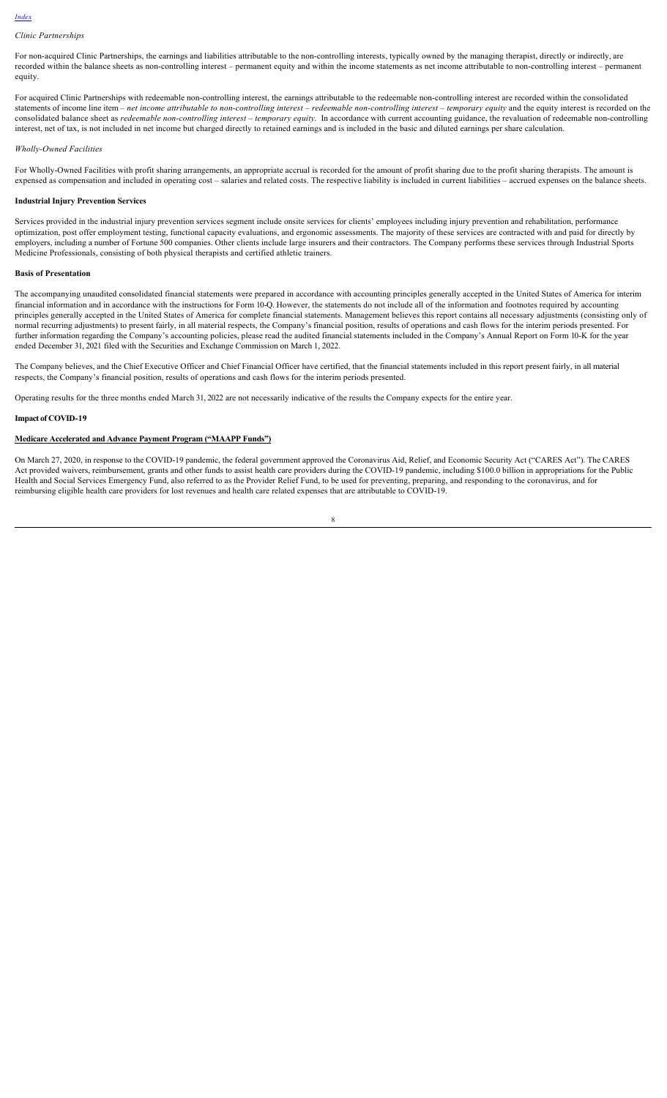#### *Clinic Partnerships*

For non-acquired Clinic Partnerships, the earnings and liabilities attributable to the non-controlling interests, typically owned by the managing therapist, directly or indirectly, are recorded within the balance sheets as non-controlling interest – permanent equity and within the income statements as net income attributable to non-controlling interest – permanent equity.

For acquired Clinic Partnerships with redeemable non-controlling interest, the earnings attributable to the redeemable non-controlling interest are recorded within the consolidated statements of income line item – *net income attributable to non-controlling interest* – *redeemable non-controlling interest* – temporary equity and the equity interest is recorded on the consolidated balance sheet as *redeemable non-controlling interest - temporary equity*. In accordance with current accounting guidance, the revaluation of redeemable non-controlling interest, net of tax, is not included in net income but charged directly to retained earnings and is included in the basic and diluted earnings per share calculation.

## *Wholly-Owned Facilities*

For Wholly-Owned Facilities with profit sharing arrangements, an appropriate accrual is recorded for the amount of profit sharing due to the profit sharing therapists. The amount is expensed as compensation and included in operating cost – salaries and related costs. The respective liability is included in current liabilities – accrued expenses on the balance sheets.

## **Industrial Injury Prevention Services**

Services provided in the industrial injury prevention services segment include onsite services for clients' employees including injury prevention and rehabilitation, performance optimization, post offer employment testing, functional capacity evaluations, and ergonomic assessments. The majority of these services are contracted with and paid for directly by employers, including a number of Fortune 500 companies. Other clients include large insurers and their contractors. The Company performs these services through Industrial Sports Medicine Professionals, consisting of both physical therapists and certified athletic trainers.

#### **Basis of Presentation**

The accompanying unaudited consolidated financial statements were prepared in accordance with accounting principles generally accepted in the United States of America for interim financial information and in accordance with the instructions for Form 10-Q. However, the statements do not include all of the information and footnotes required by accounting principles generally accepted in the United States of America for complete financial statements. Management believes this report contains all necessary adjustments (consisting only of normal recurring adjustments) to present fairly, in all material respects, the Company's financial position, results of operations and cash flows for the interim periods presented. For further information regarding the Company's accounting policies, please read the audited financial statements included in the Company's Annual Report on Form 10-K for the year ended December 31, 2021 filed with the Securities and Exchange Commission on March 1, 2022.

The Company believes, and the Chief Executive Officer and Chief Financial Officer have certified, that the financial statements included in this report present fairly, in all material respects, the Company's financial position, results of operations and cash flows for the interim periods presented.

Operating results for the three months ended March 31, 2022 are not necessarily indicative of the results the Company expects for the entire year.

## **Impact of COVID-19**

## **Medicare Accelerated and Advance Payment Program ("MAAPP Funds")**

On March 27, 2020, in response to the COVID-19 pandemic, the federal government approved the Coronavirus Aid, Relief, and Economic Security Act ("CARES Act"). The CARES Act provided waivers, reimbursement, grants and other funds to assist health care providers during the COVID-19 pandemic, including \$100.0 billion in appropriations for the Public Health and Social Services Emergency Fund, also referred to as the Provider Relief Fund, to be used for preventing, preparing, and responding to the coronavirus, and for reimbursing eligible health care providers for lost revenues and health care related expenses that are attributable to COVID-19.

| I            |
|--------------|
| I<br>×<br>۰, |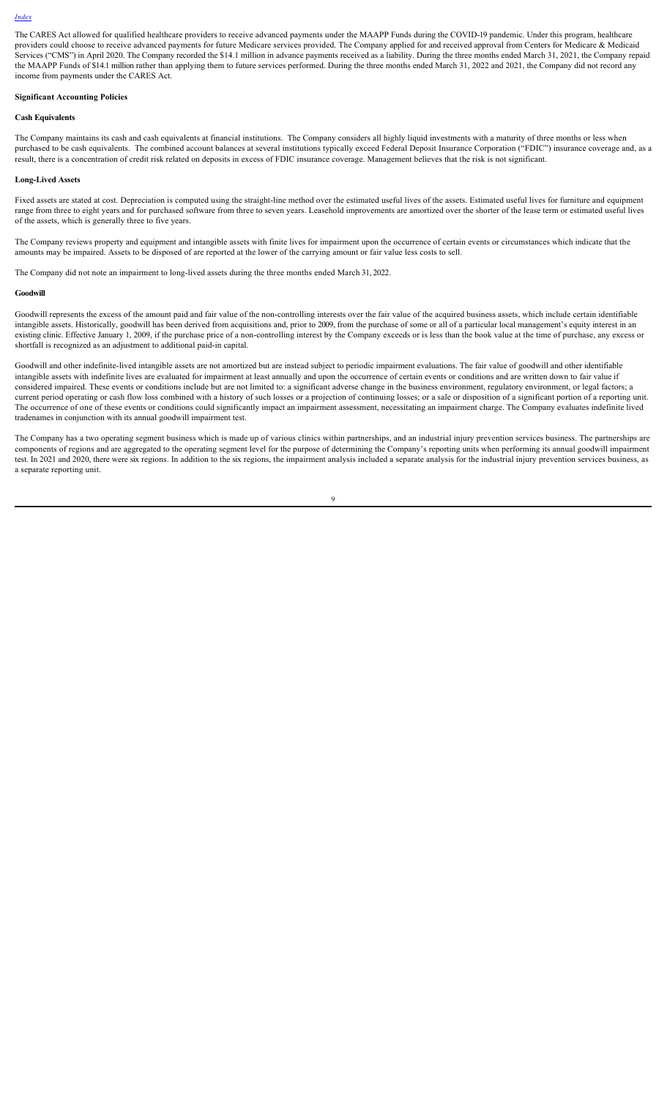The CARES Act allowed for qualified healthcare providers to receive advanced payments under the MAAPP Funds during the COVID-19 pandemic. Under this program, healthcare providers could choose to receive advanced payments for future Medicare services provided. The Company applied for and received approval from Centers for Medicare & Medicaid Services ("CMS") in April 2020. The Company recorded the \$14.1 million in advance payments received as a liability. During the three months ended March 31, 2021, the Company repaid the MAAPP Funds of \$14.1 million rather than applying them to future services performed. During the three months ended March 31, 2022 and 2021, the Company did not record any income from payments under the CARES Act.

#### **Significant Accounting Policies**

## **Cash Equivalents**

The Company maintains its cash and cash equivalents at financial institutions. The Company considers all highly liquid investments with a maturity of three months or less when purchased to be cash equivalents. The combined account balances at several institutions typically exceed Federal Deposit Insurance Corporation ("FDIC") insurance coverage and, as a result, there is a concentration of credit risk related on deposits in excess of FDIC insurance coverage. Management believes that the risk is not significant.

## **Long-Lived Assets**

Fixed assets are stated at cost. Depreciation is computed using the straight-line method over the estimated useful lives of the assets. Estimated useful lives for furniture and equipment range from three to eight years and for purchased software from three to seven years. Leasehold improvements are amortized over the shorter of the lease term or estimated useful lives of the assets, which is generally three to five years.

The Company reviews property and equipment and intangible assets with finite lives for impairment upon the occurrence of certain events or circumstances which indicate that the amounts may be impaired. Assets to be disposed of are reported at the lower of the carrying amount or fair value less costs to sell.

The Company did not note an impairment to long-lived assets during the three months ended March 31, 2022.

#### **Goodwill**

Goodwill represents the excess of the amount paid and fair value of the non-controlling interests over the fair value of the acquired business assets, which include certain identifiable intangible assets. Historically, goodwill has been derived from acquisitions and, prior to 2009, from the purchase of some or all of a particular local management's equity interest in an existing clinic. Effective January 1, 2009, if the purchase price of a non-controlling interest by the Company exceeds or is less than the book value at the time of purchase, any excess or shortfall is recognized as an adjustment to additional paid-in capital.

Goodwill and other indefinite-lived intangible assets are not amortized but are instead subject to periodic impairment evaluations. The fair value of goodwill and other identifiable intangible assets with indefinite lives are evaluated for impairment at least annually and upon the occurrence of certain events or conditions and are written down to fair value if considered impaired. These events or conditions include but are not limited to: a significant adverse change in the business environment, regulatory environment, or legal factors; a current period operating or cash flow loss combined with a history of such losses or a projection of continuing losses; or a sale or disposition of a significant portion of a reporting unit. The occurrence of one of these events or conditions could significantly impact an impairment assessment, necessitating an impairment charge. The Company evaluates indefinite lived tradenames in conjunction with its annual goodwill impairment test.

The Company has a two operating segment business which is made up of various clinics within partnerships, and an industrial injury prevention services business. The partnerships are components of regions and are aggregated to the operating segment level for the purpose of determining the Company's reporting units when performing its annual goodwill impairment test. In 2021 and 2020, there were six regions. In addition to the six regions, the impairment analysis included a separate analysis for the industrial injury prevention services business, as a separate reporting unit.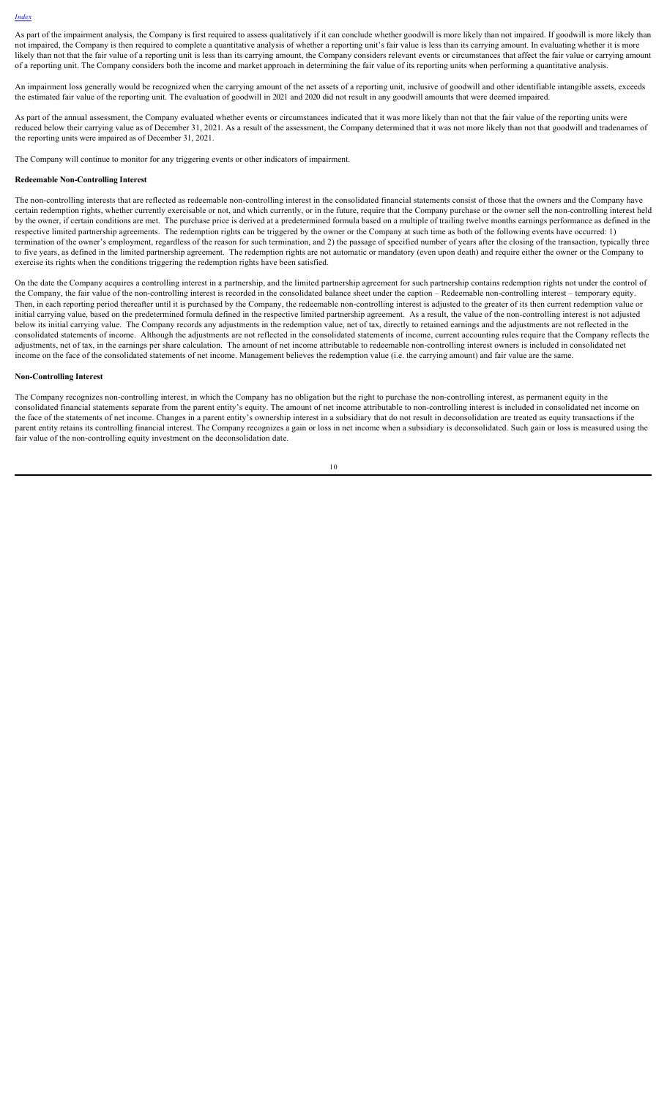As part of the impairment analysis, the Company is first required to assess qualitatively if it can conclude whether goodwill is more likely than not impaired. If goodwill is more likely than not impaired, the Company is then required to complete a quantitative analysis of whether a reporting unit's fair value is less than its carrying amount. In evaluating whether it is more likely than not that the fair value of a reporting unit is less than its carrying amount, the Company considers relevant events or circumstances that affect the fair value or carrying amount of a reporting unit. The Company considers both the income and market approach in determining the fair value of its reporting units when performing a quantitative analysis.

An impairment loss generally would be recognized when the carrying amount of the net assets of a reporting unit, inclusive of goodwill and other identifiable intangible assets, exceeds the estimated fair value of the reporting unit. The evaluation of goodwill in 2021 and 2020 did not result in any goodwill amounts that were deemed impaired.

As part of the annual assessment, the Company evaluated whether events or circumstances indicated that it was more likely than not that the fair value of the reporting units were reduced below their carrying value as of December 31, 2021. As a result of the assessment, the Company determined that it was not more likely than not that goodwill and tradenames of the reporting units were impaired as of December 31, 2021.

The Company will continue to monitor for any triggering events or other indicators of impairment.

### **Redeemable Non-Controlling Interest**

The non-controlling interests that are reflected as redeemable non-controlling interest in the consolidated financial statements consist of those that the owners and the Company have certain redemption rights, whether currently exercisable or not, and which currently, or in the future, require that the Company purchase or the owner sell the non-controlling interest held by the owner, if certain conditions are met. The purchase price is derived at a predetermined formula based on a multiple of trailing twelve months earnings performance as defined in the respective limited partnership agreements. The redemption rights can be triggered by the owner or the Company at such time as both of the following events have occurred: 1) termination of the owner's employment, regardless of the reason for such termination, and 2) the passage of specified number of years after the closing of the transaction, typically three to five years, as defined in the limited partnership agreement. The redemption rights are not automatic or mandatory (even upon death) and require either the owner or the Company to exercise its rights when the conditions triggering the redemption rights have been satisfied.

On the date the Company acquires a controlling interest in a partnership, and the limited partnership agreement for such partnership contains redemption rights not under the control of the Company, the fair value of the non-controlling interest is recorded in the consolidated balance sheet under the caption – Redeemable non-controlling interest – temporary equity. Then, in each reporting period thereafter until it is purchased by the Company, the redeemable non-controlling interest is adjusted to the greater of its then current redemption value or initial carrying value, based on the predetermined formula defined in the respective limited partnership agreement. As a result, the value of the non-controlling interest is not adjusted below its initial carrying value. The Company records any adjustments in the redemption value, net of tax, directly to retained earnings and the adjustments are not reflected in the consolidated statements of income. Although the adjustments are not reflected in the consolidated statements of income, current accounting rules require that the Company reflects the adjustments, net of tax, in the earnings per share calculation. The amount of net income attributable to redeemable non-controlling interest owners is included in consolidated net income on the face of the consolidated statements of net income. Management believes the redemption value (i.e. the carrying amount) and fair value are the same.

#### **Non-Controlling Interest**

The Company recognizes non-controlling interest, in which the Company has no obligation but the right to purchase the non-controlling interest, as permanent equity in the consolidated financial statements separate from the parent entity's equity. The amount of net income attributable to non-controlling interest is included in consolidated net income on the face of the statements of net income. Changes in a parent entity's ownership interest in a subsidiary that do not result in deconsolidation are treated as equity transactions if the parent entity retains its controlling financial interest. The Company recognizes a gain or loss in net income when a subsidiary is deconsolidated. Such gain or loss is measured using the fair value of the non-controlling equity investment on the deconsolidation date.

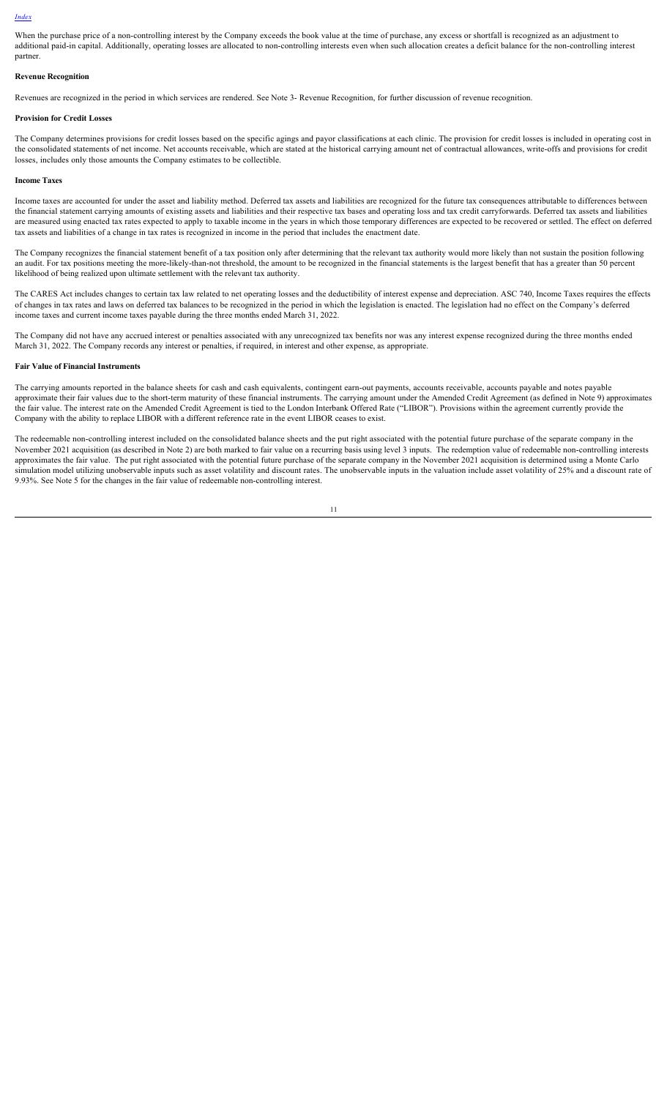When the purchase price of a non-controlling interest by the Company exceeds the book value at the time of purchase, any excess or shortfall is recognized as an adjustment to additional paid-in capital. Additionally, operating losses are allocated to non-controlling interests even when such allocation creates a deficit balance for the non-controlling interest partner.

### **Revenue Recognition**

Revenues are recognized in the period in which services are rendered. See Note 3- Revenue Recognition, for further discussion of revenue recognition.

#### **Provision for Credit Losses**

The Company determines provisions for credit losses based on the specific agings and payor classifications at each clinic. The provision for credit losses is included in operating cost in the consolidated statements of net income. Net accounts receivable, which are stated at the historical carrying amount net of contractual allowances, write-offs and provisions for credit losses, includes only those amounts the Company estimates to be collectible.

#### **Income Taxes**

Income taxes are accounted for under the asset and liability method. Deferred tax assets and liabilities are recognized for the future tax consequences attributable to differences between the financial statement carrying amounts of existing assets and liabilities and their respective tax bases and operating loss and tax credit carryforwards. Deferred tax assets and liabilities are measured using enacted tax rates expected to apply to taxable income in the years in which those temporary differences are expected to be recovered or settled. The effect on deferred tax assets and liabilities of a change in tax rates is recognized in income in the period that includes the enactment date.

The Company recognizes the financial statement benefit of a tax position only after determining that the relevant tax authority would more likely than not sustain the position following an audit. For tax positions meeting the more-likely-than-not threshold, the amount to be recognized in the financial statements is the largest benefit that has a greater than 50 percent likelihood of being realized upon ultimate settlement with the relevant tax authority.

The CARES Act includes changes to certain tax law related to net operating losses and the deductibility of interest expense and depreciation. ASC 740, Income Taxes requires the effects of changes in tax rates and laws on deferred tax balances to be recognized in the period in which the legislation is enacted. The legislation had no effect on the Company's deferred income taxes and current income taxes payable during the three months ended March 31, 2022.

The Company did not have any accrued interest or penalties associated with any unrecognized tax benefits nor was any interest expense recognized during the three months ended March 31, 2022. The Company records any interest or penalties, if required, in interest and other expense, as appropriate.

## **Fair Value of Financial Instruments**

The carrying amounts reported in the balance sheets for cash and cash equivalents, contingent earn-out payments, accounts receivable, accounts payable and notes payable approximate their fair values due to the short-term maturity of these financial instruments. The carrying amount under the Amended Credit Agreement (as defined in Note 9) approximates the fair value. The interest rate on the Amended Credit Agreement is tied to the London Interbank Offered Rate ("LIBOR"). Provisions within the agreement currently provide the Company with the ability to replace LIBOR with a different reference rate in the event LIBOR ceases to exist.

The redeemable non-controlling interest included on the consolidated balance sheets and the put right associated with the potential future purchase of the separate company in the November 2021 acquisition (as described in Note 2) are both marked to fair value on a recurring basis using level 3 inputs. The redemption value of redeemable non-controlling interests approximates the fair value. The put right associated with the potential future purchase of the separate company in the November 2021 acquisition is determined using a Monte Carlo simulation model utilizing unobservable inputs such as asset volatility and discount rates. The unobservable inputs in the valuation include asset volatility of 25% and a discount rate of 9.93%. See Note 5 for the changes in the fair value of redeemable non-controlling interest.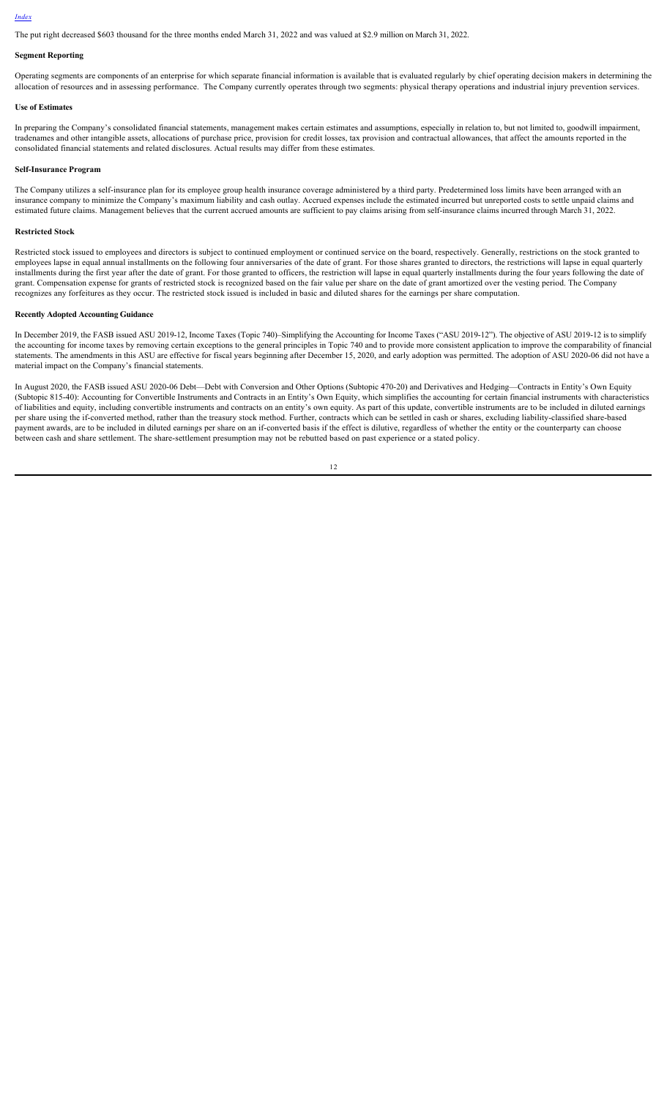The put right decreased \$603 thousand for the three months ended March 31, 2022 and was valued at \$2.9 million on March 31, 2022.

### **Segment Reporting**

Operating segments are components of an enterprise for which separate financial information is available that is evaluated regularly by chief operating decision makers in determining the allocation of resources and in assessing performance. The Company currently operates through two segments: physical therapy operations and industrial injury prevention services

#### **Use of Estimates**

In preparing the Company's consolidated financial statements, management makes certain estimates and assumptions, especially in relation to, but not limited to, goodwill impairment, tradenames and other intangible assets, allocations of purchase price, provision for credit losses, tax provision and contractual allowances, that affect the amounts reported in the consolidated financial statements and related disclosures. Actual results may differ from these estimates.

#### **Self-Insurance Program**

The Company utilizes a self-insurance plan for its employee group health insurance coverage administered by a third party. Predetermined loss limits have been arranged with an insurance company to minimize the Company's maximum liability and cash outlay. Accrued expenses include the estimated incurred but unreported costs to settle unpaid claims and estimated future claims. Management believes that the current accrued amounts are sufficient to pay claims arising from self-insurance claims incurred through March 31, 2022.

#### **Restricted Stock**

Restricted stock issued to employees and directors is subject to continued employment or continued service on the board, respectively. Generally, restrictions on the stock granted to employees lapse in equal annual installments on the following four anniversaries of the date of grant. For those shares granted to directors, the restrictions will lapse in equal quarterly installments during the first year after the date of grant. For those granted to officers, the restriction will lapse in equal quarterly installments during the four years following the date of grant. Compensation expense for grants of restricted stock is recognized based on the fair value per share on the date of grant amortized over the vesting period. The Company recognizes any forfeitures as they occur. The restricted stock issued is included in basic and diluted shares for the earnings per share computation.

## **Recently Adopted Accounting Guidance**

In December 2019, the FASB issued ASU 2019-12, Income Taxes (Topic 740)–Simplifying the Accounting for Income Taxes ("ASU 2019-12"). The objective of ASU 2019-12 is to simplify the accounting for income taxes by removing certain exceptions to the general principles in Topic 740 and to provide more consistent application to improve the comparability of financial statements. The amendments in this ASU are effective for fiscal years beginning after December 15, 2020, and early adoption was permitted. The adoption of ASU 2020-06 did not have a material impact on the Company's financial statements.

In August 2020, the FASB issued ASU 2020-06 Debt—Debt with Conversion and Other Options (Subtopic 470-20) and Derivatives and Hedging—Contracts in Entity's Own Equity (Subtopic 815-40): Accounting for Convertible Instruments and Contracts in an Entity's Own Equity, which simplifies the accounting for certain financial instruments with characteristics of liabilities and equity, including convertible instruments and contracts on an entity's own equity. As part of this update, convertible instruments are to be included in diluted earnings per share using the if-converted method, rather than the treasury stock method. Further, contracts which can be settled in cash or shares, excluding liability-classified share-based payment awards, are to be included in diluted earnings per share on an if-converted basis if the effect is dilutive, regardless of whether the entity or the counterparty can choose between cash and share settlement. The share-settlement presumption may not be rebutted based on past experience or a stated policy.

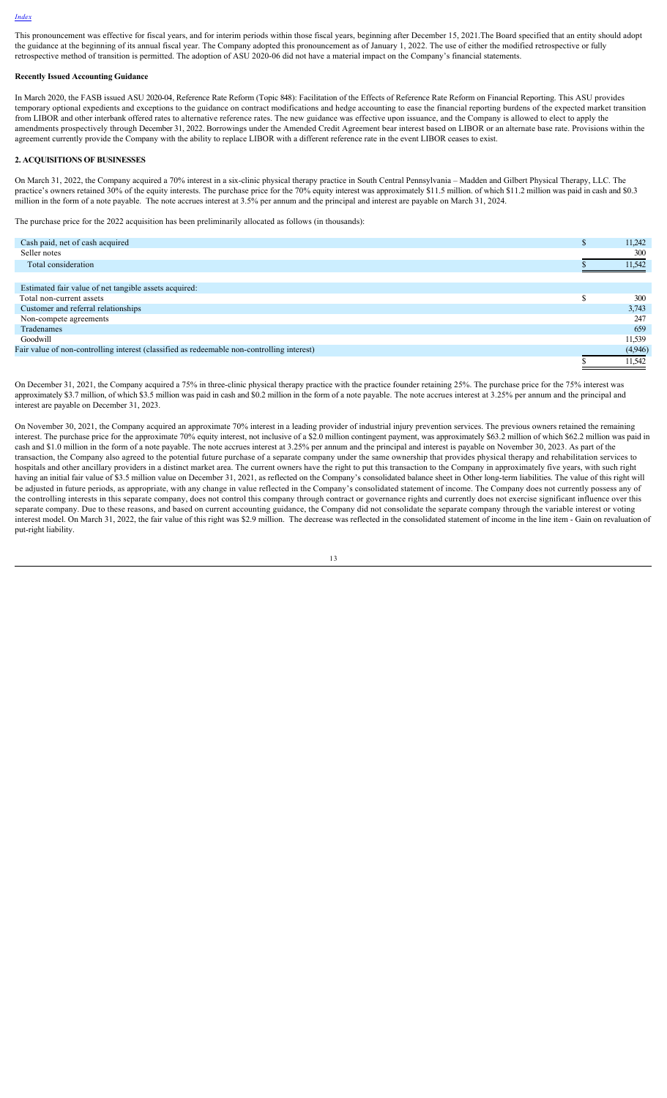This pronouncement was effective for fiscal years, and for interim periods within those fiscal years, beginning after December 15, 2021.The Board specified that an entity should adopt the guidance at the beginning of its annual fiscal year. The Company adopted this pronouncement as of January 1, 2022. The use of either the modified retrospective or fully retrospective method of transition is permitted. The adoption of ASU 2020-06 did not have a material impact on the Company's financial statements.

### **Recently Issued Accounting Guidance**

In March 2020, the FASB issued ASU 2020-04, Reference Rate Reform (Topic 848): Facilitation of the Effects of Reference Rate Reform on Financial Reporting. This ASU provides temporary optional expedients and exceptions to the guidance on contract modifications and hedge accounting to ease the financial reporting burdens of the expected market transition  $\frac{1}{100}$  from LIBOR and other interbank offered rates to alternative reference rates. The new guidance was effective upon issuance, and the Company is allowed to elect to apply the amendments prospectively through December 31, 2022. Borrowings under the Amended Credit Agreement bear interest based on LIBOR or an alternate base rate. Provisions within the agreement currently provide the Company with the ability to replace LIBOR with a different reference rate in the event LIBOR ceases to exist.

## **2. ACQUISITIONS OF BUSINESSES**

On March 31, 2022, the Company acquired a 70% interest in a six-clinic physical therapy practice in South Central Pennsylvania – Madden and Gilbert Physical Therapy, LLC. The practice's owners retained 30% of the equity interests. The purchase price for the 70% equity interest was approximately \$11.5 million. of which \$11.2 million was paid in cash and \$0.3 million in the form of a note payable. The note accrues interest at 3.5% per annum and the principal and interest are payable on March 31, 2024.

The purchase price for the 2022 acquisition has been preliminarily allocated as follows (in thousands):

| Cash paid, net of cash acquired                                                            | 11,242  |
|--------------------------------------------------------------------------------------------|---------|
| Seller notes                                                                               | 300     |
| Total consideration                                                                        | 11,542  |
|                                                                                            |         |
| Estimated fair value of net tangible assets acquired:                                      |         |
| Total non-current assets                                                                   | 300     |
| Customer and referral relationships                                                        | 3,743   |
| Non-compete agreements                                                                     | 247     |
| Tradenames                                                                                 | 659     |
| Goodwill                                                                                   | 11,539  |
| Fair value of non-controlling interest (classified as redeemable non-controlling interest) | (4,946) |
|                                                                                            | 11.542  |

On December 31, 2021, the Company acquired a 75% in three-clinic physical therapy practice with the practice founder retaining 25%. The purchase price for the 75% interest was approximately \$3.7 million, of which \$3.5 million was paid in cash and \$0.2 million in the form of a note payable. The note accrues interest at 3.25% per annum and the principal and interest are payable on December 31, 2023.

On November 30, 2021, the Company acquired an approximate 70% interest in a leading provider of industrial injury prevention services. The previous owners retained the remaining interest. The purchase price for the approximate 70% equity interest, not inclusive of a \$2.0 million contingent payment, was approximately \$63.2 million of which \$62.2 million was paid in cash and \$1.0 million in the form of a note payable. The note accrues interest at 3.25% per annum and the principal and interest is payable on November 30, 2023. As part of the transaction, the Company also agreed to the potential future purchase of a separate company under the same ownership that provides physical therapy and rehabilitation services to hospitals and other ancillary providers in a distinct market area. The current owners have the right to put this transaction to the Company in approximately five years, with such right having an initial fair value of \$3.5 million value on December 31, 2021, as reflected on the Company's consolidated balance sheet in Other long-term liabilities. The value of this right will be adjusted in future periods, as appropriate, with any change in value reflected in the Company's consolidated statement of income. The Company does not currently possess any of the controlling interests in this separate company, does not control this company through contract or governance rights and currently does not exercise significant influence over this separate company. Due to these reasons, and based on current accounting guidance, the Company did not consolidate the separate company through the variable interest or voting interest model. On March 31, 2022, the fair value of this right was \$2.9 million. The decrease was reflected in the consolidated statement of income in the line item - Gain on revaluation of put-right liability.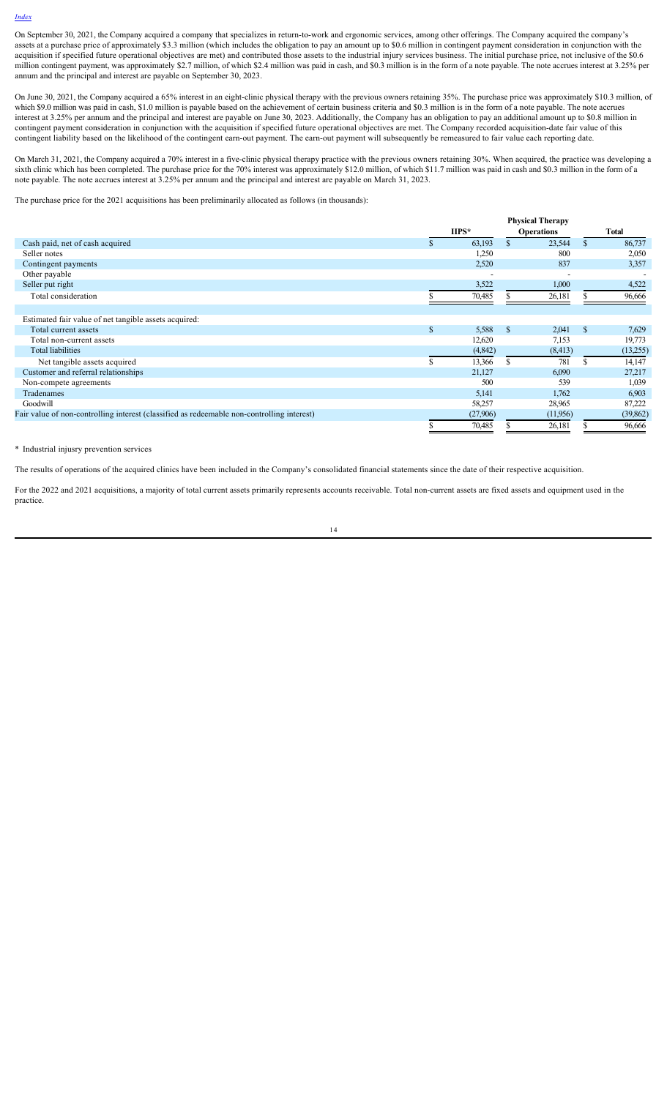On September 30, 2021, the Company acquired a company that specializes in return-to-work and ergonomic services, among other offerings. The Company acquired the company's assets at a purchase price of approximately \$3.3 million (which includes the obligation to pay an amount up to \$0.6 million in contingent payment consideration in conjunction with the acquisition if specified future operational objectives are met) and contributed those assets to the industrial injury services business. The initial purchase price, not inclusive of the \$0.6 million contingent payment, was approximately \$2.7 million, of which \$2.4 million was paid in cash, and \$0.3 million is in the form of a note payable. The note accrues interest at 3.25% per annum and the principal and interest are payable on September 30, 2023.

On June 30, 2021, the Company acquired a 65% interest in an eight-clinic physical therapy with the previous owners retaining 35%. The purchase price was approximately \$10.3 million, of which \$9.0 million was paid in cash, \$1.0 million is payable based on the achievement of certain business criteria and \$0.3 million is in the form of a note payable. The note accrues interest at 3.25% per annum and the principal and interest are payable on June 30, 2023. Additionally, the Company has an obligation to pay an additional amount up to \$0.8 million in contingent payment consideration in conjunction with the acquisition if specified future operational objectives are met. The Company recorded acquisition-date fair value of this contingent liability based on the likelihood of the contingent earn-out payment. The earn-out payment will subsequently be remeasured to fair value each reporting date.

On March 31, 2021, the Company acquired a 70% interest in a five-clinic physical therapy practice with the previous owners retaining 30%. When acquired, the practice was developing a sixth clinic which has been completed. The purchase price for the 70% interest was approximately \$12.0 million, of which \$11.7 million was paid in cash and \$0.3 million in the form of a note payable. The note accrues interest at 3.25% per annum and the principal and interest are payable on March 31, 2023.

The purchase price for the 2021 acquisitions has been preliminarily allocated as follows (in thousands):

|                                                                                            | <b>Physical Therapy</b> |               |                   |    |           |  |  |  |
|--------------------------------------------------------------------------------------------|-------------------------|---------------|-------------------|----|-----------|--|--|--|
|                                                                                            | $_{\rm HPS^*}$          |               | <b>Operations</b> |    | Total     |  |  |  |
| Cash paid, net of cash acquired                                                            | 63,193                  |               | 23,544            |    | 86,737    |  |  |  |
| Seller notes                                                                               | 1,250                   |               | 800               |    | 2,050     |  |  |  |
| Contingent payments                                                                        | 2,520                   |               | 837               |    | 3,357     |  |  |  |
| Other payable                                                                              |                         |               |                   |    |           |  |  |  |
| Seller put right                                                                           | 3,522                   |               | 1,000             |    | 4,522     |  |  |  |
| Total consideration                                                                        | 70,485                  |               | 26,181            |    | 96,666    |  |  |  |
|                                                                                            |                         |               |                   |    |           |  |  |  |
| Estimated fair value of net tangible assets acquired:                                      |                         |               |                   |    |           |  |  |  |
| Total current assets                                                                       | \$<br>5,588             | <sup>\$</sup> | 2,041             | S. | 7,629     |  |  |  |
| Total non-current assets                                                                   | 12,620                  |               | 7,153             |    | 19,773    |  |  |  |
| <b>Total liabilities</b>                                                                   | (4,842)                 |               | (8, 413)          |    | (13,255)  |  |  |  |
| Net tangible assets acquired                                                               | 13,366                  | S             | 781               |    | 14,147    |  |  |  |
| Customer and referral relationships                                                        | 21,127                  |               | 6,090             |    | 27,217    |  |  |  |
| Non-compete agreements                                                                     | 500                     |               | 539               |    | 1,039     |  |  |  |
| Tradenames                                                                                 | 5,141                   |               | 1,762             |    | 6,903     |  |  |  |
| Goodwill                                                                                   | 58,257                  |               | 28,965            |    | 87,222    |  |  |  |
| Fair value of non-controlling interest (classified as redeemable non-controlling interest) | (27,906)                |               | (11,956)          |    | (39, 862) |  |  |  |
|                                                                                            | 70,485                  |               | 26,181            |    | 96,666    |  |  |  |

## \* Industrial injusry prevention services

The results of operations of the acquired clinics have been included in the Company's consolidated financial statements since the date of their respective acquisition.

For the 2022 and 2021 acquisitions, a majority of total current assets primarily represents accounts receivable. Total non-current assets are fixed assets and equipment used in the practice.

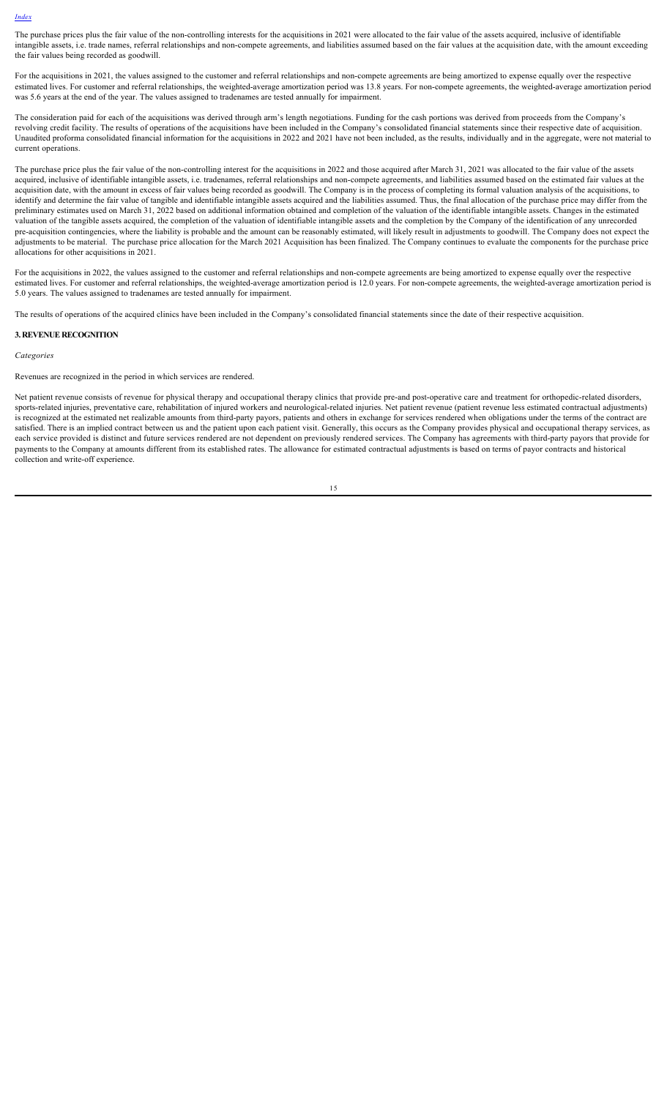The purchase prices plus the fair value of the non-controlling interests for the acquisitions in 2021 were allocated to the fair value of the assets acquired, inclusive of identifiable intangible assets, i.e. trade names, referral relationships and non-compete agreements, and liabilities assumed based on the fair values at the acquisition date, with the amount exceeding the fair values being recorded as goodwill.

For the acquisitions in 2021, the values assigned to the customer and referral relationships and non-compete agreements are being amortized to expense equally over the respective estimated lives. For customer and referral relationships, the weighted-average amortization period was 13.8 years. For non-compete agreements, the weighted-average amortization period was 5.6 years at the end of the year. The values assigned to tradenames are tested annually for impairment.

The consideration paid for each of the acquisitions was derived through arm's length negotiations. Funding for the cash portions was derived from proceeds from the Company's revolving credit facility. The results of operations of the acquisitions have been included in the Company's consolidated financial statements since their respective date of acquisition. Unaudited proforma consolidated financial information for the acquisitions in 2022 and 2021 have not been included, as the results, individually and in the aggregate, were not material to current operations.

The purchase price plus the fair value of the non-controlling interest for the acquisitions in 2022 and those acquired after March 31, 2021 was allocated to the fair value of the assets acquired, inclusive of identifiable intangible assets, i.e. tradenames, referral relationships and non-compete agreements, and liabilities assumed based on the estimated fair values at the acquisition date, with the amount in excess of fair values being recorded as goodwill. The Company is in the process of completing its formal valuation analysis of the acquisitions, to identify and determine the fair value of tangible and identifiable intangible assets acquired and the liabilities assumed. Thus, the final allocation of the purchase price may differ from the preliminary estimates used on March 31, 2022 based on additional information obtained and completion of the valuation of the identifiable intangible assets. Changes in the estimated valuation of the tangible assets acquired, the completion of the valuation of identifiable intangible assets and the completion by the Company of the identification of any unrecorded pre-acquisition contingencies, where the liability is probable and the amount can be reasonably estimated, will likely result in adjustments to goodwill. The Company does not expect the adjustments to be material. The purchase price allocation for the March 2021 Acquisition has been finalized. The Company continues to evaluate the components for the purchase price allocations for other acquisitions in 2021.

For the acquisitions in 2022, the values assigned to the customer and referral relationships and non-compete agreements are being amortized to expense equally over the respective estimated lives. For customer and referral relationships, the weighted-average amortization period is 12.0 years. For non-compete agreements, the weighted-average amortization period is 5.0 years. The values assigned to tradenames are tested annually for impairment.

The results of operations of the acquired clinics have been included in the Company's consolidated financial statements since the date of their respective acquisition.

### **3. REVENUE RECOGNITION**

#### *Categories*

Revenues are recognized in the period in which services are rendered.

Net patient revenue consists of revenue for physical therapy and occupational therapy clinics that provide pre-and post-operative care and treatment for orthopedic-related disorders, sports-related injuries, preventative care, rehabilitation of injured workers and neurological-related injuries. Net patient revenue (patient revenue less estimated contractual adjustments) is recognized at the estimated net realizable amounts from third-party payors, patients and others in exchange for services rendered when obligations under the terms of the contract are satisfied. There is an implied contract between us and the patient upon each patient visit. Generally, this occurs as the Company provides physical and occupational therapy services, as each service provided is distinct and future services rendered are not dependent on previously rendered services. The Company has agreements with third-party payors that provide for payments to the Company at amounts different from its established rates. The allowance for estimated contractual adjustments is based on terms of payor contracts and historical collection and write-off experience.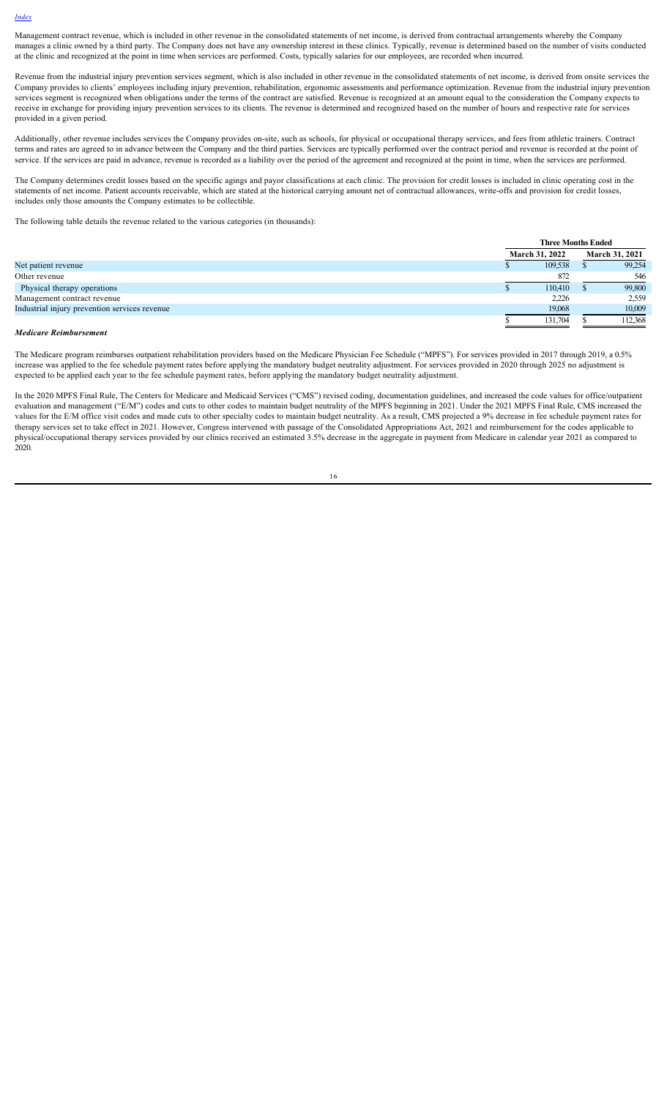Management contract revenue, which is included in other revenue in the consolidated statements of net income, is derived from contractual arrangements whereby the Company manages a clinic owned by a third party. The Company does not have any ownership interest in these clinics. Typically, revenue is determined based on the number of visits conducted at the clinic and recognized at the point in time when services are performed. Costs, typically salaries for our employees, are recorded when incurred.

Revenue from the industrial injury prevention services segment, which is also included in other revenue in the consolidated statements of net income, is derived from onsite services the Company provides to clients' employees including injury prevention, rehabilitation, ergonomic assessments and performance optimization. Revenue from the industrial injury prevention services segment is recognized when obligations under the terms of the contract are satisfied. Revenue is recognized at an amount equal to the consideration the Company expects to receive in exchange for providing injury prevention services to its clients. The revenue is determined and recognized based on the number of hours and respective rate for services provided in a given period.

Additionally, other revenue includes services the Company provides on-site, such as schools, for physical or occupational therapy services, and fees from athletic trainers. Contract terms and rates are agreed to in advance between the Company and the third parties. Services are typically performed over the contract period and revenue is recorded at the point of service. If the services are paid in advance, revenue is recorded as a liability over the period of the agreement and recognized at the point in time, when the services are performed.

The Company determines credit losses based on the specific agings and payor classifications at each clinic. The provision for credit losses is included in clinic operating cost in the statements of net income. Patient accounts receivable, which are stated at the historical carrying amount net of contractual allowances, write-offs and provision for credit losses, includes only those amounts the Company estimates to be collectible.

The following table details the revenue related to the various categories (in thousands):

|                                               | <b>Three Months Ended</b> |  |                |  |
|-----------------------------------------------|---------------------------|--|----------------|--|
|                                               | <b>March 31, 2022</b>     |  | March 31, 2021 |  |
| Net patient revenue                           | 109,538                   |  | 99,254         |  |
| Other revenue                                 | 872                       |  | 546            |  |
| Physical therapy operations                   | 110,410                   |  | 99,800         |  |
| Management contract revenue                   | 2,226                     |  | 2,559          |  |
| Industrial injury prevention services revenue | 19,068                    |  | 10,009         |  |
|                                               | 131.704                   |  | 112,368        |  |
|                                               |                           |  |                |  |

## *Medicare Reimbursement*

The Medicare program reimburses outpatient rehabilitation providers based on the Medicare Physician Fee Schedule ("MPFS"). For services provided in 2017 through 2019, a 0.5% increase was applied to the fee schedule payment rates before applying the mandatory budget neutrality adjustment. For services provided in 2020 through 2025 no adjustment is expected to be applied each year to the fee schedule payment rates, before applying the mandatory budget neutrality adjustment.

In the 2020 MPFS Final Rule, The Centers for Medicare and Medicaid Services ("CMS") revised coding, documentation guidelines, and increased the code values for office/outpatient evaluation and management ("E/M") codes and cuts to other codes to maintain budget neutrality of the MPFS beginning in 2021. Under the 2021 MPFS Final Rule, CMS increased the values for the E/M office visit codes and made cuts to other specialty codes to maintain budget neutrality. As a result, CMS projected a 9% decrease in fee schedule payment rates for therapy services set to take effect in 2021. However, Congress intervened with passage of the Consolidated Appropriations Act, 2021 and reimbursement for the codes applicable to physical/occupational therapy services provided by our clinics received an estimated 3.5% decrease in the aggregate in payment from Medicare in calendar year 2021 as compared to 2020.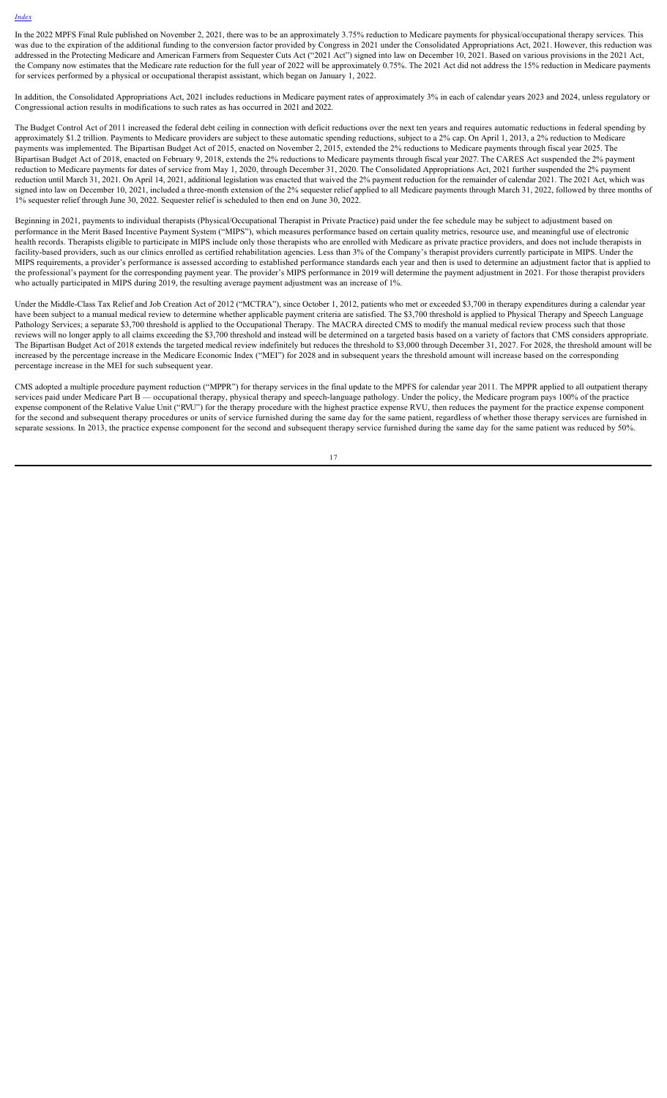In the 2022 MPFS Final Rule published on November 2, 2021, there was to be an approximately 3.75% reduction to Medicare payments for physical/occupational therapy services. This was due to the expiration of the additional funding to the conversion factor provided by Congress in 2021 under the Consolidated Appropriations Act, 2021. However, this reduction was addressed in the Protecting Medicare and American Farmers from Sequester Cuts Act ("2021 Act") signed into law on December 10, 2021. Based on various provisions in the 2021 Act, the Company now estimates that the Medicare rate reduction for the full year of 2022 will be approximately 0.75%. The 2021 Act did not address the 15% reduction in Medicare payments for services performed by a physical or occupational therapist assistant, which began on January 1, 2022.

In addition, the Consolidated Appropriations Act, 2021 includes reductions in Medicare payment rates of approximately 3% in each of calendar years 2023 and 2024, unless regulatory or Congressional action results in modifications to such rates as has occurred in 2021 and 2022.

The Budget Control Act of 2011 increased the federal debt ceiling in connection with deficit reductions over the next ten years and requires automatic reductions in federal spending by approximately \$1.2 trillion. Payments to Medicare providers are subject to these automatic spending reductions, subject to a 2% cap. On April 1, 2013, a 2% reduction to Medicare payments was implemented. The Bipartisan Budget Act of 2015, enacted on November 2, 2015, extended the 2% reductions to Medicare payments through fiscal year 2025. The Bipartisan Budget Act of 2018, enacted on February 9, 2018, extends the 2% reductions to Medicare payments through fiscal year 2027. The CARES Act suspended the 2% payment reduction to Medicare payments for dates of service from May 1, 2020, through December 31, 2020. The Consolidated Appropriations Act, 2021 further suspended the 2% payment reduction until March 31, 2021. On April 14, 2021, additional legislation was enacted that waived the 2% payment reduction for the remainder of calendar 2021. The 2021 Act, which was signed into law on December 10, 2021, included a three-month extension of the 2% sequester relief applied to all Medicare payments through March 31, 2022, followed by three months of 1% sequester relief through June 30, 2022. Sequester relief is scheduled to then end on June 30, 2022.

Beginning in 2021, payments to individual therapists (Physical/Occupational Therapist in Private Practice) paid under the fee schedule may be subject to adjustment based on performance in the Merit Based Incentive Payment System ("MIPS"), which measures performance based on certain quality metrics, resource use, and meaningful use of electronic health records. Therapists eligible to participate in MIPS include only those therapists who are enrolled with Medicare as private practice providers, and does not include therapists in facility-based providers, such as our clinics enrolled as certified rehabilitation agencies. Less than 3% of the Company's therapist providers currently participate in MIPS. Under the MIPS requirements, a provider's performance is assessed according to established performance standards each year and then is used to determine an adjustment factor that is applied to the professional's payment for the corresponding payment year. The provider's MIPS performance in 2019 will determine the payment adjustment in 2021. For those therapist providers who actually participated in MIPS during 2019, the resulting average payment adjustment was an increase of 1%.

Under the Middle-Class Tax Relief and Job Creation Act of 2012 ("MCTRA"), since October 1, 2012, patients who met or exceeded \$3,700 in therapy expenditures during a calendar year have been subject to a manual medical review to determine whether applicable payment criteria are satisfied. The \$3,700 threshold is applied to Physical Therapy and Speech Language Pathology Services; a separate \$3,700 threshold is applied to the Occupational Therapy. The MACRA directed CMS to modify the manual medical review process such that those reviews will no longer apply to all claims exceeding the \$3,700 threshold and instead will be determined on a targeted basis based on a variety of factors that CMS considers appropriate. The Bipartisan Budget Act of 2018 extends the targeted medical review indefinitely but reduces the threshold to \$3,000 through December 31, 2027. For 2028, the threshold amount will be increased by the percentage increase in the Medicare Economic Index ("MEI") for 2028 and in subsequent years the threshold amount will increase based on the corresponding percentage increase in the MEI for such subsequent year.

CMS adopted a multiple procedure payment reduction ("MPPR") for therapy services in the final update to the MPFS for calendar year 2011. The MPPR applied to all outpatient therapy services paid under Medicare Part B — occupational therapy, physical therapy and speech-language pathology. Under the policy, the Medicare program pays 100% of the practice expense component of the Relative Value Unit ("RVU") for the therapy procedure with the highest practice expense RVU, then reduces the payment for the practice expense component for the second and subsequent therapy procedures or units of service furnished during the same day for the same patient, regardless of whether those therapy services are furnished in separate sessions. In 2013, the practice expense component for the second and subsequent therapy service furnished during the same day for the same patient was reduced by 50%.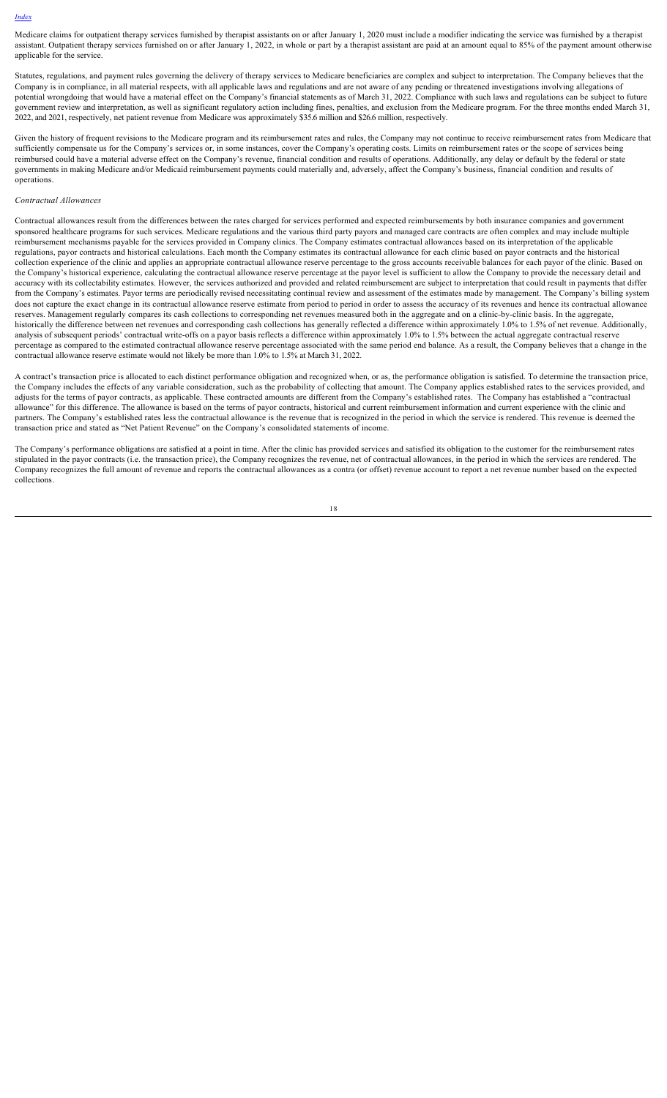Medicare claims for outpatient therapy services furnished by therapist assistants on or after January 1, 2020 must include a modifier indicating the service was furnished by a therapist assistant. Outpatient therapy services furnished on or after January 1, 2022, in whole or part by a therapist assistant are paid at an amount equal to 85% of the payment amount otherwise applicable for the service.

Statutes, regulations, and payment rules governing the delivery of therapy services to Medicare beneficiaries are complex and subject to interpretation. The Company believes that the Company is in compliance, in all material respects, with all applicable laws and regulations and are not aware of any pending or threatened investigations involving allegations of potential wrongdoing that would have a material effect on the Company's financial statements as of March 31, 2022. Compliance with such laws and regulations can be subject to future government review and interpretation, as well as significant regulatory action including fines, penalties, and exclusion from the Medicare program. For the three months ended March 31, 2022, and 2021, respectively, net patient revenue from Medicare was approximately \$35.6 million and \$26.6 million, respectively.

Given the history of frequent revisions to the Medicare program and its reimbursement rates and rules, the Company may not continue to receive reimbursement rates from Medicare that sufficiently compensate us for the Company's services or, in some instances, cover the Company's operating costs. Limits on reimbursement rates or the scope of services being reimbursed could have a material adverse effect on the Company's revenue, financial condition and results of operations. Additionally, any delay or default by the federal or state governments in making Medicare and/or Medicaid reimbursement payments could materially and, adversely, affect the Company's business, financial condition and results of operations.

## *Contractual Allowances*

Contractual allowances result from the differences between the rates charged for services performed and expected reimbursements by both insurance companies and government sponsored healthcare programs for such services. Medicare regulations and the various third party payors and managed care contracts are often complex and may include multiple reimbursement mechanisms payable for the services provided in Company clinics. The Company estimates contractual allowances based on its interpretation of the applicable regulations, payor contracts and historical calculations. Each month the Company estimates its contractual allowance for each clinic based on payor contracts and the historical collection experience of the clinic and applies an appropriate contractual allowance reserve percentage to the gross accounts receivable balances for each payor of the clinic. Based on the Company's historical experience, calculating the contractual allowance reserve percentage at the payor level is sufficient to allow the Company to provide the necessary detail and accuracy with its collectability estimates. However, the services authorized and provided and related reimbursement are subject to interpretation that could result in payments that differ from the Company's estimates. Payor terms are periodically revised necessitating continual review and assessment of the estimates made by management. The Company's billing system does not capture the exact change in its contractual allowance reserve estimate from period to period in order to assess the accuracy of its revenues and hence its contractual allowance reserves. Management regularly compares its cash collections to corresponding net revenues measured both in the aggregate and on a clinic-by-clinic basis. In the aggregate, historically the difference between net revenues and corresponding cash collections has generally reflected a difference within approximately 1.0% to 1.5% of net revenue. Additionally, analysis of subsequent periods' contractual write-offs on a payor basis reflects a difference within approximately 1.0% to 1.5% between the actual aggregate contractual reserve percentage as compared to the estimated contractual allowance reserve percentage associated with the same period end balance. As a result, the Company believes that a change in the contractual allowance reserve estimate would not likely be more than 1.0% to 1.5% at March 31, 2022.

A contract's transaction price is allocated to each distinct performance obligation and recognized when, or as, the performance obligation is satisfied. To determine the transaction price, the Company includes the effects of any variable consideration, such as the probability of collecting that amount. The Company applies established rates to the services provided, and adjusts for the terms of payor contracts, as applicable. These contracted amounts are different from the Company's established rates. The Company has established a "contractual allowance" for this difference. The allowance is based on the terms of payor contracts, historical and current reimbursement information and current experience with the clinic and partners. The Company's established rates less the contractual allowance is the revenue that is recognized in the period in which the service is rendered. This revenue is deemed the transaction price and stated as "Net Patient Revenue" on the Company's consolidated statements of income.

The Company's performance obligations are satisfied at a point in time. After the clinic has provided services and satisfied its obligation to the customer for the reimbursement rates stipulated in the payor contracts (i.e. the transaction price), the Company recognizes the revenue, net of contractual allowances, in the period in which the services are rendered. The Company recognizes the full amount of revenue and reports the contractual allowances as a contra (or offset) revenue account to report a net revenue number based on the expected collections.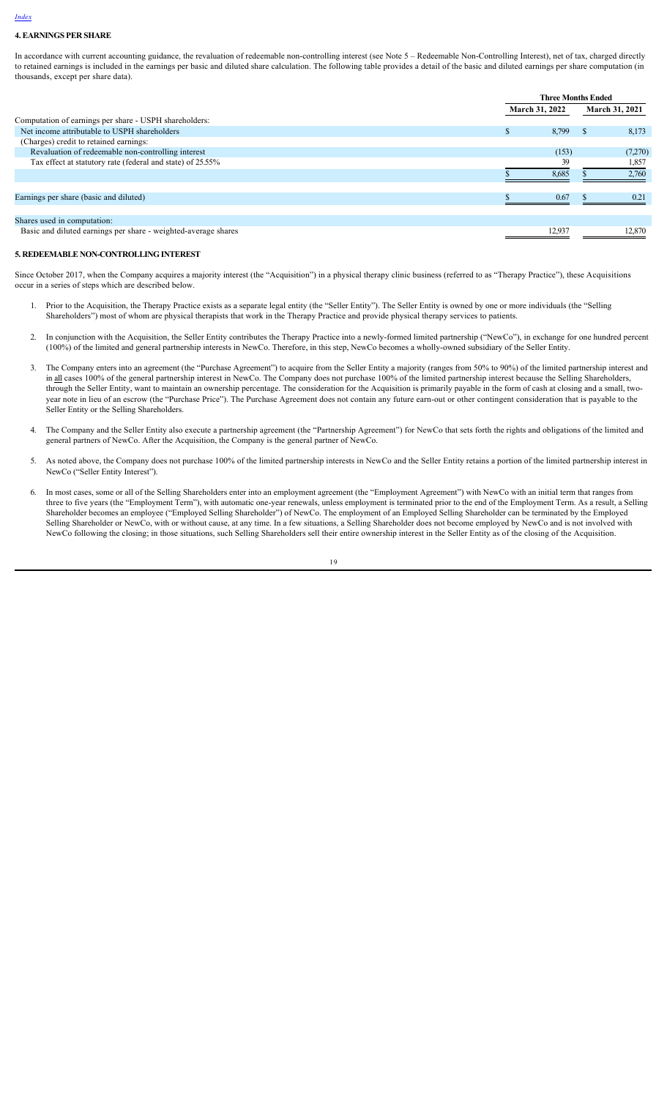## **4. EARNINGS PER SHARE**

*[Index](#page-1-0)*

In accordance with current accounting guidance, the revaluation of redeemable non-controlling interest (see Note 5 – Redeemable Non-Controlling Interest), net of tax, charged directly to retained earnings is included in the earnings per basic and diluted share calculation. The following table provides a detail of the basic and diluted earnings per share computation (in thousands, except per share data).

|                                                                |                       |        | <b>Three Months Ended</b> |         |  |
|----------------------------------------------------------------|-----------------------|--------|---------------------------|---------|--|
|                                                                | <b>March 31, 2022</b> |        | <b>March 31, 2021</b>     |         |  |
| Computation of earnings per share - USPH shareholders:         |                       |        |                           |         |  |
| Net income attributable to USPH shareholders                   | Эħ.                   | 8,799  | -SS                       | 8,173   |  |
| (Charges) credit to retained earnings:                         |                       |        |                           |         |  |
| Revaluation of redeemable non-controlling interest             |                       | (153)  |                           | (7,270) |  |
| Tax effect at statutory rate (federal and state) of 25.55%     |                       | 39     |                           | 1,857   |  |
|                                                                |                       | 8,685  |                           | 2,760   |  |
|                                                                |                       |        |                           |         |  |
| Earnings per share (basic and diluted)                         |                       | 0.67   |                           | 0.21    |  |
|                                                                |                       |        |                           |         |  |
| Shares used in computation:                                    |                       |        |                           |         |  |
| Basic and diluted earnings per share - weighted-average shares |                       | 12.937 |                           | 12,870  |  |

## **5. REDEEMABLE NON-CONTROLLING INTEREST**

Since October 2017, when the Company acquires a majority interest (the "Acquisition") in a physical therapy clinic business (referred to as "Therapy Practice"), these Acquisitions occur in a series of steps which are described below.

- 1. Prior to the Acquisition, the Therapy Practice exists as a separate legal entity (the "Seller Entity"). The Seller Entity is owned by one or more individuals (the "Selling Shareholders") most of whom are physical therapists that work in the Therapy Practice and provide physical therapy services to patients.
- 2. In conjunction with the Acquisition, the Seller Entity contributes the Therapy Practice into a newly-formed limited partnership ("NewCo"), in exchange for one hundred percent (100%) of the limited and general partnership interests in NewCo. Therefore, in this step, NewCo becomes a wholly-owned subsidiary of the Seller Entity.
- 3. The Company enters into an agreement (the "Purchase Agreement") to acquire from the Seller Entity a majority (ranges from 50% to 90%) of the limited partnership interest and in all cases 100% of the general partnership interest in NewCo. The Company does not purchase 100% of the limited partnership interest because the Selling Shareholders, through the Seller Entity, want to maintain an ownership percentage. The consideration for the Acquisition is primarily payable in the form of cash at closing and a small, twoyear note in lieu of an escrow (the "Purchase Price"). The Purchase Agreement does not contain any future earn-out or other contingent consideration that is payable to the Seller Entity or the Selling Shareholders.
- 4. The Company and the Seller Entity also execute a partnership agreement (the "Partnership Agreement") for NewCo that sets forth the rights and obligations of the limited and general partners of NewCo. After the Acquisition, the Company is the general partner of NewCo.
- 5. As noted above, the Company does not purchase 100% of the limited partnership interests in NewCo and the Seller Entity retains a portion of the limited partnership interest in NewCo ("Seller Entity Interest").
- 6. In most cases, some or all of the Selling Shareholders enter into an employment agreement (the "Employment Agreement") with NewCo with an initial term that ranges from three to five years (the "Employment Term"), with automatic one-year renewals, unless employment is terminated prior to the end of the Employment Term. As a result, a Selling Shareholder becomes an employee ("Employed Selling Shareholder") of NewCo. The employment of an Employed Selling Shareholder can be terminated by the Employed Selling Shareholder or NewCo, with or without cause, at any time. In a few situations, a Selling Shareholder does not become employed by NewCo and is not involved with NewCo following the closing; in those situations, such Selling Shareholders sell their entire ownership interest in the Seller Entity as of the closing of the Acquisition.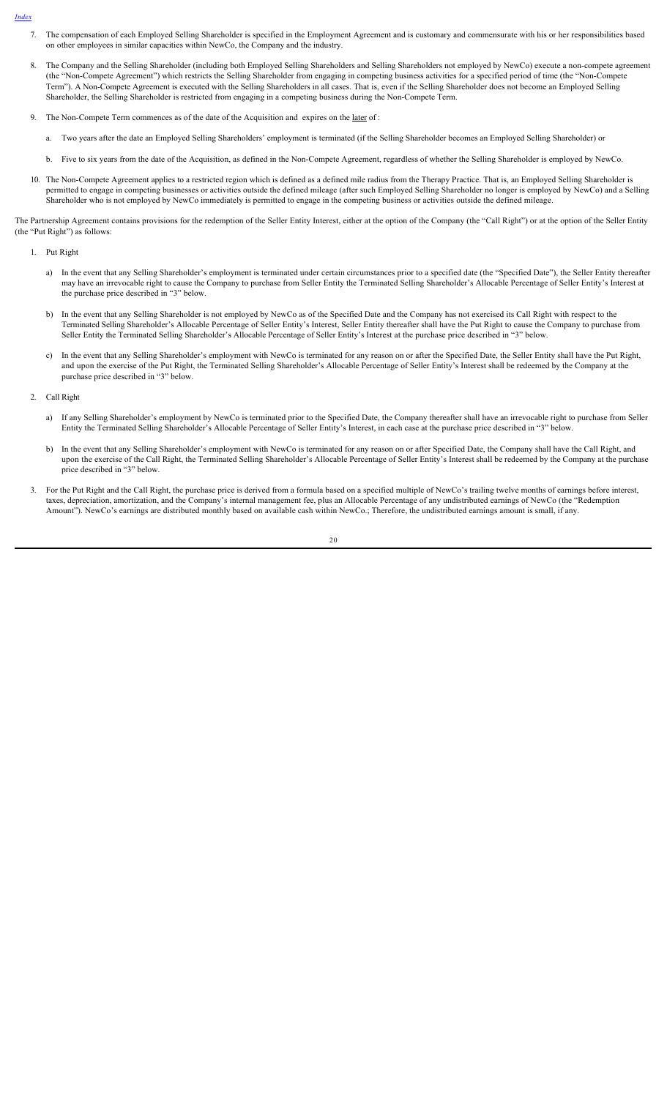- 7. The compensation of each Employed Selling Shareholder is specified in the Employment Agreement and is customary and commensurate with his or her responsibilities based on other employees in similar capacities within NewCo, the Company and the industry.
- 8. The Company and the Selling Shareholder (including both Employed Selling Shareholders and Selling Shareholders not employed by NewCo) execute a non-compete agreement (the "Non-Compete Agreement") which restricts the Selling Shareholder from engaging in competing business activities for a specified period of time (the "Non-Compete Term"). A Non-Compete Agreement is executed with the Selling Shareholders in all cases. That is, even if the Selling Shareholder does not become an Employed Selling Shareholder, the Selling Shareholder is restricted from engaging in a competing business during the Non-Compete Term.
- The Non-Compete Term commences as of the date of the Acquisition and expires on the later of :
	- a. Two years after the date an Employed Selling Shareholders' employment is terminated (if the Selling Shareholder becomes an Employed Selling Shareholder) or
	- b. Five to six years from the date of the Acquisition, as defined in the Non-Compete Agreement, regardless of whether the Selling Shareholder is employed by NewCo.
- 10. The Non-Compete Agreement applies to a restricted region which is defined as a defined mile radius from the Therapy Practice. That is, an Employed Selling Shareholder is permitted to engage in competing businesses or activities outside the defined mileage (after such Employed Selling Shareholder no longer is employed by NewCo) and a Selling Shareholder who is not employed by NewCo immediately is permitted to engage in the competing business or activities outside the defined mileage.

The Partnership Agreement contains provisions for the redemption of the Seller Entity Interest, either at the option of the Company (the "Call Right") or at the option of the Seller Entity (the "Put Right") as follows:

- 1. Put Right
	- a) In the event that any Selling Shareholder's employment is terminated under certain circumstances prior to a specified date (the "Specified Date"), the Seller Entity thereafter may have an irrevocable right to cause the Company to purchase from Seller Entity the Terminated Selling Shareholder's Allocable Percentage of Seller Entity's Interest at the purchase price described in "3" below.
	- b) In the event that any Selling Shareholder is not employed by NewCo as of the Specified Date and the Company has not exercised its Call Right with respect to the Terminated Selling Shareholder's Allocable Percentage of Seller Entity's Interest, Seller Entity thereafter shall have the Put Right to cause the Company to purchase from Seller Entity the Terminated Selling Shareholder's Allocable Percentage of Seller Entity's Interest at the purchase price described in "3" below.
	- c) In the event that any Selling Shareholder's employment with NewCo is terminated for any reason on or after the Specified Date, the Seller Entity shall have the Put Right, and upon the exercise of the Put Right, the Terminated Selling Shareholder's Allocable Percentage of Seller Entity's Interest shall be redeemed by the Company at the purchase price described in "3" below.
- 2. Call Right
	- a) If any Selling Shareholder's employment by NewCo is terminated prior to the Specified Date, the Company thereafter shall have an irrevocable right to purchase from Seller Entity the Terminated Selling Shareholder's Allocable Percentage of Seller Entity's Interest, in each case at the purchase price described in "3" below.
	- b) In the event that any Selling Shareholder's employment with NewCo is terminated for any reason on or after Specified Date, the Company shall have the Call Right, and upon the exercise of the Call Right, the Terminated Selling Shareholder's Allocable Percentage of Seller Entity's Interest shall be redeemed by the Company at the purchase price described in "3" below.
- 3. For the Put Right and the Call Right, the purchase price is derived from a formula based on a specified multiple of NewCo's trailing twelve months of earnings before interest, taxes, depreciation, amortization, and the Company's internal management fee, plus an Allocable Percentage of any undistributed earnings of NewCo (the "Redemption Amount"). NewCo's earnings are distributed monthly based on available cash within NewCo.; Therefore, the undistributed earnings amount is small, if any.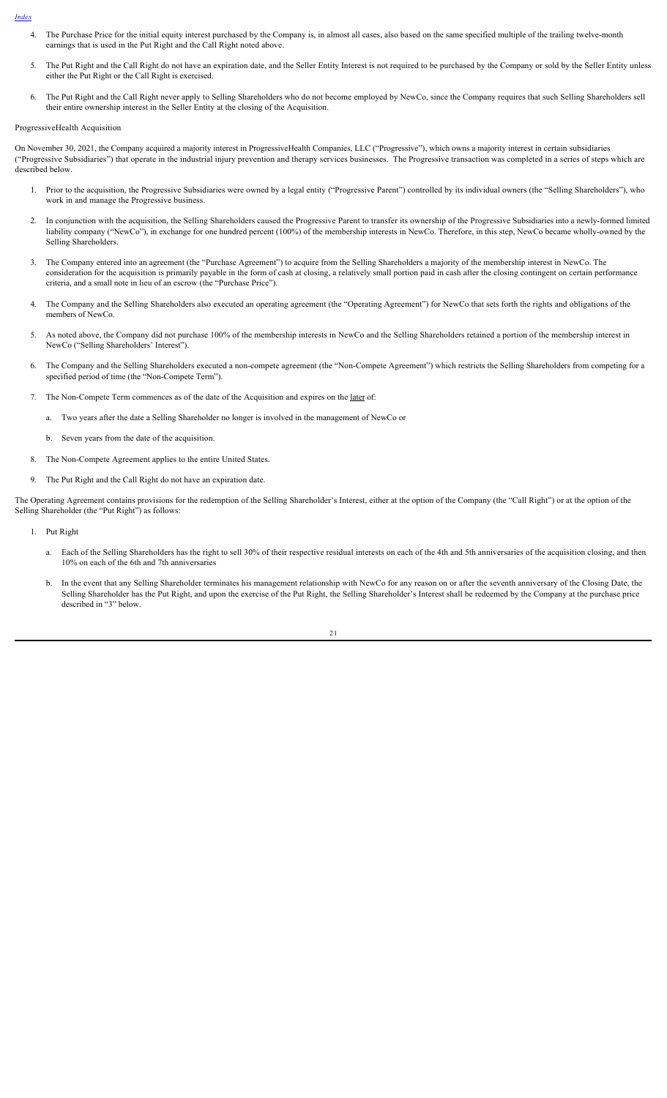- 4. The Purchase Price for the initial equity interest purchased by the Company is, in almost all cases, also based on the same specified multiple of the trailing twelve-month earnings that is used in the Put Right and the Call Right noted above.
- 5. The Put Right and the Call Right do not have an expiration date, and the Seller Entity Interest is not required to be purchased by the Company or sold by the Seller Entity unless either the Put Right or the Call Right is exercised.
- 6. The Put Right and the Call Right never apply to Selling Shareholders who do not become employed by NewCo, since the Company requires that such Selling Shareholders sell their entire ownership interest in the Seller Entity at the closing of the Acquisition.

## ProgressiveHealth Acquisition

On November 30, 2021, the Company acquired a majority interest in ProgressiveHealth Companies, LLC ("Progressive"), which owns a majority interest in certain subsidiaries ("Progressive Subsidiaries") that operate in the industrial injury prevention and therapy services businesses. The Progressive transaction was completed in a series of steps which are described below.

- 1. Prior to the acquisition, the Progressive Subsidiaries were owned by a legal entity ("Progressive Parent") controlled by its individual owners (the "Selling Shareholders"), who work in and manage the Progressive business.
- 2. In conjunction with the acquisition, the Selling Shareholders caused the Progressive Parent to transfer its ownership of the Progressive Subsidiaries into a newly-formed limited liability company ("NewCo"), in exchange for one hundred percent (100%) of the membership interests in NewCo. Therefore, in this step, NewCo became wholly-owned by the Selling Shareholders.
- 3. The Company entered into an agreement (the "Purchase Agreement") to acquire from the Selling Shareholders a majority of the membership interest in NewCo. The consideration for the acquisition is primarily payable in the form of cash at closing, a relatively small portion paid in cash after the closing contingent on certain performance criteria, and a small note in lieu of an escrow (the "Purchase Price").
- 4. The Company and the Selling Shareholders also executed an operating agreement (the "Operating Agreement") for NewCo that sets forth the rights and obligations of the members of NewCo.
- 5. As noted above, the Company did not purchase 100% of the membership interests in NewCo and the Selling Shareholders retained a portion of the membership interest in NewCo ("Selling Shareholders' Interest").
- 6. The Company and the Selling Shareholders executed a non-compete agreement (the "Non-Compete Agreement") which restricts the Selling Shareholders from competing for a specified period of time (the "Non-Compete Term").
- 7. The Non-Compete Term commences as of the date of the Acquisition and expires on the later of:
	- a. Two years after the date a Selling Shareholder no longer is involved in the management of NewCo or
	- b. Seven years from the date of the acquisition.
- 8. The Non-Compete Agreement applies to the entire United States.
- The Put Right and the Call Right do not have an expiration date.

The Operating Agreement contains provisions for the redemption of the Selling Shareholder's Interest, either at the option of the Company (the "Call Right") or at the option of the Selling Shareholder (the "Put Right") as follows:

- 1. Put Right
	- Each of the Selling Shareholders has the right to sell 30% of their respective residual interests on each of the 4th and 5th anniversaries of the acquisition closing, and then 10% on each of the 6th and 7th anniversaries
	- b. In the event that any Selling Shareholder terminates his management relationship with NewCo for any reason on or after the seventh anniversary of the Closing Date, the Selling Shareholder has the Put Right, and upon the exercise of the Put Right, the Selling Shareholder's Interest shall be redeemed by the Company at the purchase price described in "3" below.

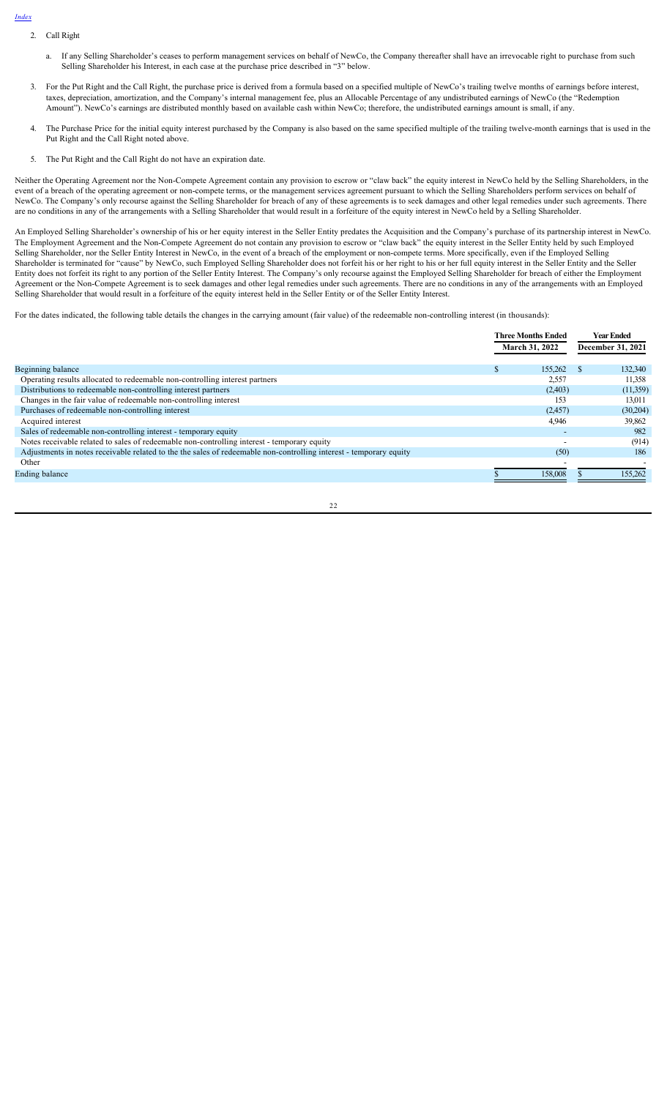- 2. Call Right
	- a. If any Selling Shareholder's ceases to perform management services on behalf of NewCo, the Company thereafter shall have an irrevocable right to purchase from such Selling Shareholder his Interest, in each case at the purchase price described in "3" below.
- 3. For the Put Right and the Call Right, the purchase price is derived from a formula based on a specified multiple of NewCo's trailing twelve months of earnings before interest, taxes, depreciation, amortization, and the Company's internal management fee, plus an Allocable Percentage of any undistributed earnings of NewCo (the "Redemption Amount"). NewCo's earnings are distributed monthly based on available cash within NewCo; therefore, the undistributed earnings amount is small, if any.
- 4. The Purchase Price for the initial equity interest purchased by the Company is also based on the same specified multiple of the trailing twelve-month earnings that is used in the Put Right and the Call Right noted above.
- 5. The Put Right and the Call Right do not have an expiration date.

Neither the Operating Agreement nor the Non-Compete Agreement contain any provision to escrow or "claw back" the equity interest in NewCo held by the Selling Shareholders, in the event of a breach of the operating agreement or non-compete terms, or the management services agreement pursuant to which the Selling Shareholders perform services on behalf of NewCo. The Company's only recourse against the Selling Shareholder for breach of any of these agreements is to seek damages and other legal remedies under such agreements. There are no conditions in any of the arrangements with a Selling Shareholder that would result in a forfeiture of the equity interest in NewCo held by a Selling Shareholder.

An Employed Selling Shareholder's ownership of his or her equity interest in the Seller Entity predates the Acquisition and the Company's purchase of its partnership interest in NewCo. The Employment Agreement and the Non-Compete Agreement do not contain any provision to escrow or "claw back" the equity interest in the Seller Entity held by such Employed Selling Shareholder, nor the Seller Entity Interest in NewCo, in the event of a breach of the employment or non-compete terms. More specifically, even if the Employed Selling Shareholder is terminated for "cause" by NewCo, such Employed Selling Shareholder does not forfeit his or her right to his or her full equity interest in the Seller Entity and the Seller Entity does not forfeit its right to any portion of the Seller Entity Interest. The Company's only recourse against the Employed Selling Shareholder for breach of either the Employment Agreement or the Non-Compete Agreement is to seek damages and other legal remedies under such agreements. There are no conditions in any of the arrangements with an Employed Selling Shareholder that would result in a forfeiture of the equity interest held in the Seller Entity or of the Seller Entity Interest.

For the dates indicated, the following table details the changes in the carrying amount (fair value) of the redeemable non-controlling interest (in thousands):

|                                                                                                                    | <b>Three Months Ended</b><br><b>March 31, 2022</b> |         | <b>Year Ended</b><br>December 31, 2021 |
|--------------------------------------------------------------------------------------------------------------------|----------------------------------------------------|---------|----------------------------------------|
| Beginning balance                                                                                                  |                                                    | 155,262 | 132,340                                |
| Operating results allocated to redeemable non-controlling interest partners                                        |                                                    | 2,557   | 11,358                                 |
| Distributions to redeemable non-controlling interest partners                                                      |                                                    | (2,403) | (11,359)                               |
| Changes in the fair value of redeemable non-controlling interest                                                   |                                                    | 153     | 13,011                                 |
| Purchases of redeemable non-controlling interest                                                                   |                                                    | (2,457) | (30,204)                               |
| Acquired interest                                                                                                  |                                                    | 4.946   | 39,862                                 |
| Sales of redeemable non-controlling interest - temporary equity                                                    |                                                    |         | 982                                    |
| Notes receivable related to sales of redeemable non-controlling interest - temporary equity                        |                                                    |         | (914)                                  |
| Adjustments in notes receivable related to the the sales of redeemable non-controlling interest - temporary equity |                                                    | (50)    | 186                                    |
| Other                                                                                                              |                                                    |         |                                        |
| Ending balance                                                                                                     |                                                    | 158,008 | 155,262                                |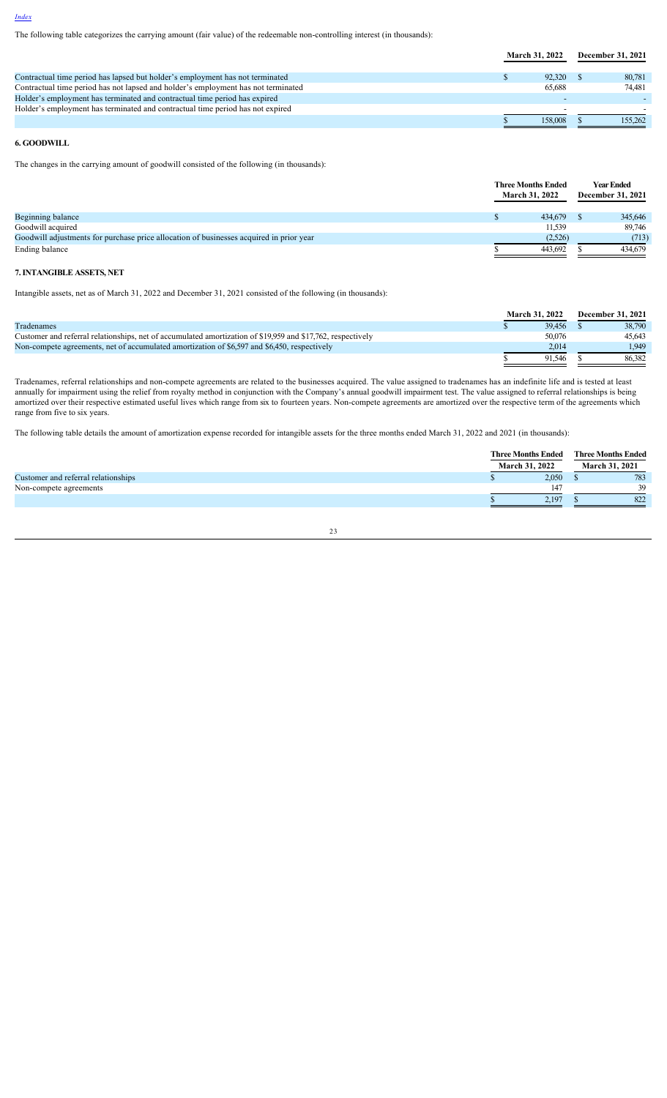The following table categorizes the carrying amount (fair value) of the redeemable non-controlling interest (in thousands):

|                                                                                   | <b>March 31, 2022</b> |  | <b>December 31, 2021</b> |  |
|-----------------------------------------------------------------------------------|-----------------------|--|--------------------------|--|
|                                                                                   |                       |  |                          |  |
| Contractual time period has lapsed but holder's employment has not terminated     | 92,320                |  | 80,781                   |  |
| Contractual time period has not lapsed and holder's employment has not terminated | 65.688                |  | 74.481                   |  |
| Holder's employment has terminated and contractual time period has expired        |                       |  |                          |  |
| Holder's employment has terminated and contractual time period has not expired    |                       |  |                          |  |
|                                                                                   | 158,008               |  | 155.262                  |  |

## **6. GOODWILL**

The changes in the carrying amount of goodwill consisted of the following (in thousands):

|                                                                                         | <b>Three Months Ended</b><br><b>March 31, 2022</b> | <b>Year Ended</b><br>December 31, 2021 |         |  |
|-----------------------------------------------------------------------------------------|----------------------------------------------------|----------------------------------------|---------|--|
| Beginning balance                                                                       | 434,679                                            |                                        | 345,646 |  |
| Goodwill acquired                                                                       | 11.539                                             |                                        | 89,746  |  |
| Goodwill adjustments for purchase price allocation of businesses acquired in prior year | (2,526)                                            |                                        | (713)   |  |
| Ending balance                                                                          | 443.692                                            |                                        | 434,679 |  |

### **7. INTANGIBLE ASSETS, NET**

Intangible assets, net as of March 31, 2022 and December 31, 2021 consisted of the following (in thousands):

|                                                                                                             | <b>March 31, 2022</b> |        | <b>December 31, 2021</b> |        |
|-------------------------------------------------------------------------------------------------------------|-----------------------|--------|--------------------------|--------|
| Tradenames                                                                                                  |                       | 39.456 |                          | 38,790 |
| Customer and referral relationships, net of accumulated amortization of \$19,959 and \$17,762, respectively |                       | 50,076 |                          | 45.643 |
| Non-compete agreements, net of accumulated amortization of \$6,597 and \$6,450, respectively                |                       | 2.014  |                          | 1.949  |
|                                                                                                             |                       | 91.546 |                          | 86,382 |

Tradenames, referral relationships and non-compete agreements are related to the businesses acquired. The value assigned to tradenames has an indefinite life and is tested at least annually for impairment using the relief from royalty method in conjunction with the Company's annual goodwill impairment test. The value assigned to referral relationships is being amortized over their respective estimated useful lives which range from six to fourteen years. Non-compete agreements are amortized over the respective term of the agreements which range from five to six years.

The following table details the amount of amortization expense recorded for intangible assets for the three months ended March 31, 2022 and 2021 (in thousands):

|                                     | <b>Three Months Ended</b> | <b>Three Months Ended</b> |     |  |
|-------------------------------------|---------------------------|---------------------------|-----|--|
|                                     | <b>March 31, 2022</b>     | <b>March 31, 2021</b>     |     |  |
| Customer and referral relationships | 2,050                     |                           | 783 |  |
| Non-compete agreements              | 147                       |                           | 39  |  |
|                                     | 2.197                     |                           | 822 |  |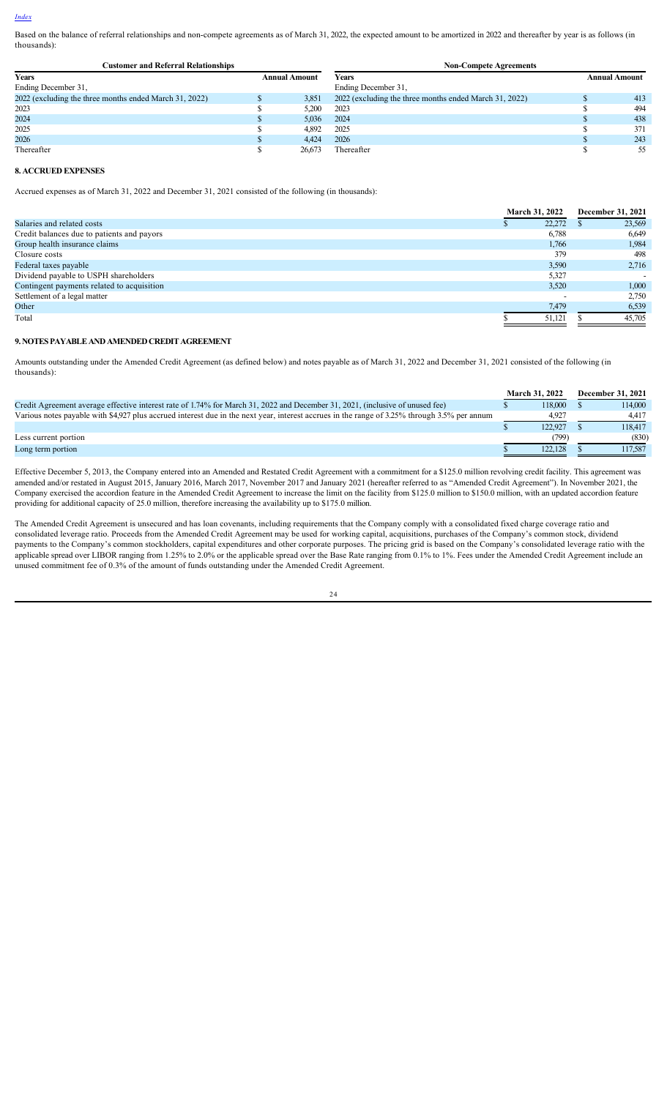Based on the balance of referral relationships and non-compete agreements as of March 31, 2022, the expected amount to be amortized in 2022 and thereafter by year is as follows (in thousands):

| <b>Customer and Referral Relationships</b>             |                      | <b>Non-Compete Agreements</b> |                                                        |  |               |  |
|--------------------------------------------------------|----------------------|-------------------------------|--------------------------------------------------------|--|---------------|--|
| <b>Years</b>                                           | <b>Annual Amount</b> |                               | Years                                                  |  | Annual Amount |  |
| Ending December 31,                                    |                      |                               | Ending December 31,                                    |  |               |  |
| 2022 (excluding the three months ended March 31, 2022) |                      | 3,851                         | 2022 (excluding the three months ended March 31, 2022) |  | 413           |  |
| 2023                                                   |                      | 5.200                         | 2023                                                   |  | 494           |  |
| 2024                                                   |                      | 5,036                         | 2024                                                   |  | 438           |  |
| 2025                                                   |                      | 4.892                         | 2025                                                   |  | 371           |  |
| 2026                                                   |                      | 4.424                         | 2026                                                   |  | 243           |  |
| Thereafter                                             |                      | 26.673                        | Thereafter                                             |  | 55            |  |

## **8. ACCRUED EXPENSES**

Accrued expenses as of March 31, 2022 and December 31, 2021 consisted of the following (in thousands):

|                                            | <b>March 31, 2022</b> |  | <b>December 31, 2021</b> |  |
|--------------------------------------------|-----------------------|--|--------------------------|--|
| Salaries and related costs                 | 22.272                |  | 23,569                   |  |
| Credit balances due to patients and payors | 6,788                 |  | 6,649                    |  |
| Group health insurance claims              | 1,766                 |  | 1,984                    |  |
| Closure costs                              | 379                   |  | 498                      |  |
| Federal taxes payable                      | 3,590                 |  | 2,716                    |  |
| Dividend payable to USPH shareholders      | 5,327                 |  |                          |  |
| Contingent payments related to acquisition | 3,520                 |  | 1,000                    |  |
| Settlement of a legal matter               |                       |  | 2,750                    |  |
| Other                                      | 7,479                 |  | 6,539                    |  |
| Total                                      | 51.121                |  | 45,705                   |  |

## **9. NOTES PAYABLE AND AMENDED CREDIT AGREEMENT**

Amounts outstanding under the Amended Credit Agreement (as defined below) and notes payable as of March 31, 2022 and December 31, 2021 consisted of the following (in thousands):

|                                                                                                                                              | <b>March 31, 2022</b> |         |  | <b>December 31, 2021</b> |  |  |  |       |
|----------------------------------------------------------------------------------------------------------------------------------------------|-----------------------|---------|--|--------------------------|--|--|--|-------|
| Credit Agreement average effective interest rate of 1.74% for March 31, 2022 and December 31, 2021, (inclusive of unused fee)                |                       | 118,000 |  | 114,000                  |  |  |  |       |
| Various notes payable with \$4.927 plus accrued interest due in the next year, interest accrues in the range of 3.25% through 3.5% per annum |                       | 4.927   |  |                          |  |  |  | 4.417 |
|                                                                                                                                              |                       | 122,927 |  | 118,417                  |  |  |  |       |
| Less current portion                                                                                                                         |                       | (799)   |  | (830)                    |  |  |  |       |
| Long term portion                                                                                                                            |                       | 122.128 |  | 117.587                  |  |  |  |       |

Effective December 5, 2013, the Company entered into an Amended and Restated Credit Agreement with a commitment for a \$125.0 million revolving credit facility. This agreement was amended and/or restated in August 2015, January 2016, March 2017, November 2017 and January 2021 (hereafter referred to as "Amended Credit Agreement"). In November 2021, the Company exercised the accordion feature in the Amended Credit Agreement to increase the limit on the facility from \$125.0 million to \$150.0 million, with an updated accordion feature providing for additional capacity of 25.0 million, therefore increasing the availability up to \$175.0 million.

The Amended Credit Agreement is unsecured and has loan covenants, including requirements that the Company comply with a consolidated fixed charge coverage ratio and consolidated leverage ratio. Proceeds from the Amended Credit Agreement may be used for working capital, acquisitions, purchases of the Company's common stock, dividend payments to the Company's common stockholders, capital expenditures and other corporate purposes. The pricing grid is based on the Company's consolidated leverage ratio with the applicable spread over LIBOR ranging from 1.25% to 2.0% or the applicable spread over the Base Rate ranging from 0.1% to 1%. Fees under the Amended Credit Agreement include an unused commitment fee of 0.3% of the amount of funds outstanding under the Amended Credit Agreement.

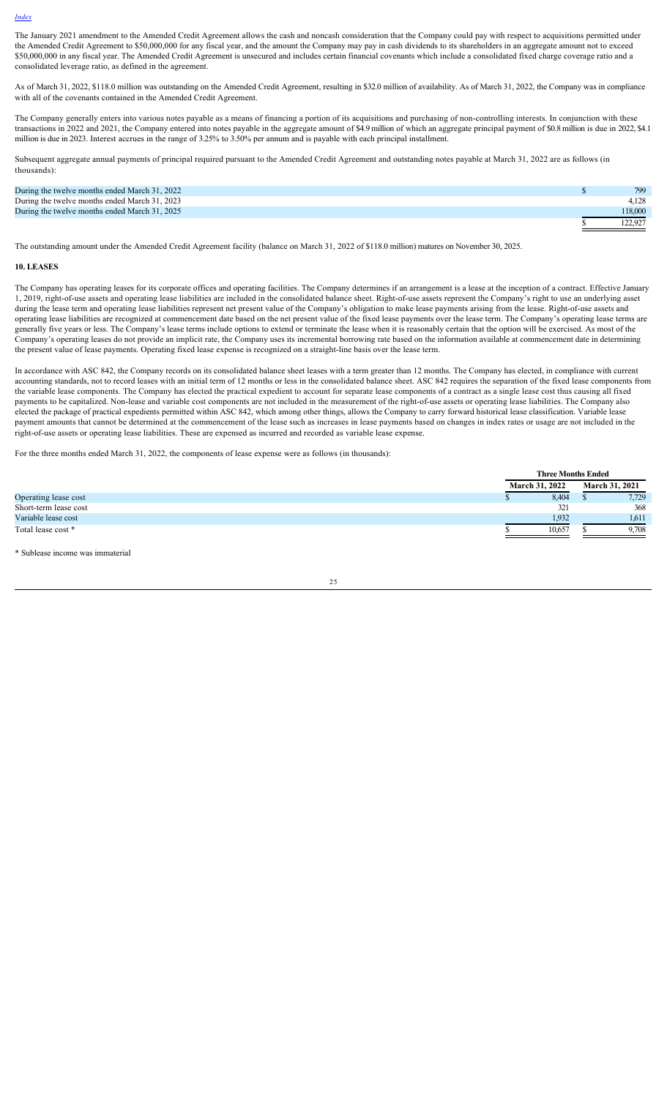The January 2021 amendment to the Amended Credit Agreement allows the cash and noncash consideration that the Company could pay with respect to acquisitions permitted under the Amended Credit Agreement to \$50,000,000 for any fiscal year, and the amount the Company may pay in cash dividends to its shareholders in an aggregate amount not to exceed \$50,000,000 in any fiscal year. The Amended Credit Agreement is unsecured and includes certain financial covenants which include a consolidated fixed charge coverage ratio and a consolidated leverage ratio, as defined in the agreement.

As of March 31, 2022, \$118.0 million was outstanding on the Amended Credit Agreement, resulting in \$32.0 million of availability. As of March 31, 2022, the Company was in compliance with all of the covenants contained in the Amended Credit Agreement.

The Company generally enters into various notes payable as a means of financing a portion of its acquisitions and purchasing of non-controlling interests. In conjunction with these transactions in 2022 and 2021, the Company entered into notes payable in the aggregate amount of \$4.9 million of which an aggregate principal payment of \$0.8 million is due in 2022, \$4.1 million is due in 2023. Interest accrues in the range of 3.25% to 3.50% per annum and is payable with each principal installment.

Subsequent aggregate annual payments of principal required pursuant to the Amended Credit Agreement and outstanding notes payable at March 31, 2022 are as follows (in thousands):

| During the twelve months ended March 31, 2022 | 799     |
|-----------------------------------------------|---------|
| During the twelve months ended March 31, 2023 | 4.128   |
| During the twelve months ended March 31, 2025 | 118,000 |
|                                               | 122.927 |

The outstanding amount under the Amended Credit Agreement facility (balance on March 31, 2022 of \$118.0 million) matures on November 30, 2025.

#### **10. LEASES**

The Company has operating leases for its corporate offices and operating facilities. The Company determines if an arrangement is a lease at the inception of a contract. Effective January 1, 2019, right-of-use assets and operating lease liabilities are included in the consolidated balance sheet. Right-of-use assets represent the Company's right to use an underlying asset during the lease term and operating lease liabilities represent net present value of the Company's obligation to make lease payments arising from the lease. Right-of-use assets and operating lease liabilities are recognized at commencement date based on the net present value of the fixed lease payments over the lease term. The Company's operating lease terms are generally five years or less. The Company's lease terms include options to extend or terminate the lease when it is reasonably certain that the option will be exercised. As most of the Company's operating leases do not provide an implicit rate, the Company uses its incremental borrowing rate based on the information available at commencement date in determining the present value of lease payments. Operating fixed lease expense is recognized on a straight-line basis over the lease term.

In accordance with ASC 842, the Company records on its consolidated balance sheet leases with a term greater than 12 months. The Company has elected, in compliance with current accounting standards, not to record leases with an initial term of 12 months or less in the consolidated balance sheet. ASC 842 requires the separation of the fixed lease components from the variable lease components. The Company has elected the practical expedient to account for separate lease components of a contract as a single lease cost thus causing all fixed payments to be capitalized. Non-lease and variable cost components are not included in the measurement of the right-of-use assets or operating lease liabilities. The Company also elected the package of practical expedients permitted within ASC 842, which among other things, allows the Company to carry forward historical lease classification. Variable lease payment amounts that cannot be determined at the commencement of the lease such as increases in lease payments based on changes in index rates or usage are not included in the right-of-use assets or operating lease liabilities. These are expensed as incurred and recorded as variable lease expense.

For the three months ended March 31, 2022, the components of lease expense were as follows (in thousands):

|                       |  | <b>Three Months Ended</b> |        |                       |       |
|-----------------------|--|---------------------------|--------|-----------------------|-------|
|                       |  | <b>March 31, 2022</b>     |        | <b>March 31, 2021</b> |       |
| Operating lease cost  |  |                           | 8,404  |                       | 7,729 |
| Short-term lease cost |  |                           | 321    |                       | 368   |
| Variable lease cost   |  |                           | 1,932  |                       | 1,611 |
| Total lease cost *    |  |                           | 10,657 |                       | 9,708 |

\* Sublease income was immaterial

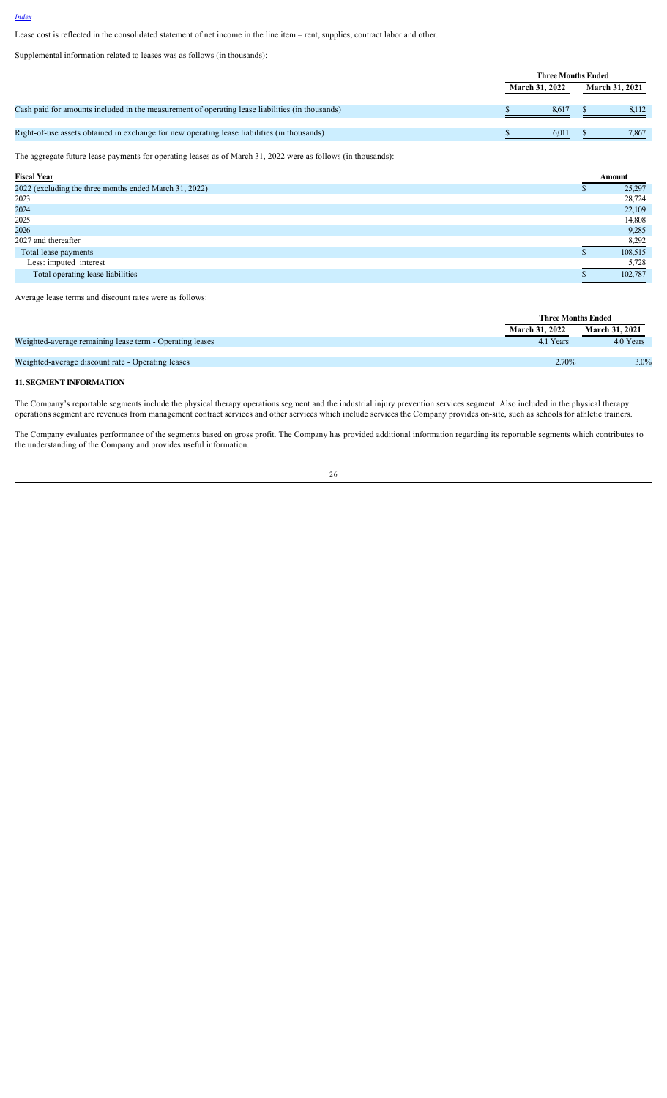Lease cost is reflected in the consolidated statement of net income in the line item – rent, supplies, contract labor and other.

Supplemental information related to leases was as follows (in thousands):

|                                                                                                 | <b>Three Months Ended</b> |                       |  |                       |  |
|-------------------------------------------------------------------------------------------------|---------------------------|-----------------------|--|-----------------------|--|
|                                                                                                 |                           | <b>March 31, 2022</b> |  | <b>March 31, 2021</b> |  |
| Cash paid for amounts included in the measurement of operating lease liabilities (in thousands) |                           | 8.617                 |  | 8.112                 |  |
| Right-of-use assets obtained in exchange for new operating lease liabilities (in thousands)     |                           | 6.011                 |  | 7.867                 |  |

The aggregate future lease payments for operating leases as of March 31, 2022 were as follows (in thousands):

| <b>Fiscal Year</b>                                     | <b>Amount</b> |
|--------------------------------------------------------|---------------|
| 2022 (excluding the three months ended March 31, 2022) | 25,297        |
| 2023                                                   | 28,724        |
| 2024                                                   | 22,109        |
| 2025                                                   | 14,808        |
| 2026                                                   | 9,285         |
| 2027 and thereafter                                    | 8,292         |
| Total lease payments                                   | 108,515       |
| Less: imputed interest                                 | 5,728         |
| Total operating lease liabilities                      | 102,787       |

Average lease terms and discount rates were as follows:

|                                                          | <b>Three Months Ended</b> |                       |
|----------------------------------------------------------|---------------------------|-----------------------|
|                                                          | <b>March 31, 2022</b>     | <b>March 31, 2021</b> |
| Weighted-average remaining lease term - Operating leases | 4.1 Years                 | 4.0 Years             |
| Weighted-average discount rate - Operating leases        | 2.70%                     | $3.0\%$               |

#### **11. SEGMENT INFORMATION**

The Company's reportable segments include the physical therapy operations segment and the industrial injury prevention services segment. Also included in the physical therapy operations segment are revenues from management contract services and other services which include services the Company provides on-site, such as schools for athletic trainers.

The Company evaluates performance of the segments based on gross profit. The Company has provided additional information regarding its reportable segments which contributes to the understanding of the Company and provides useful information.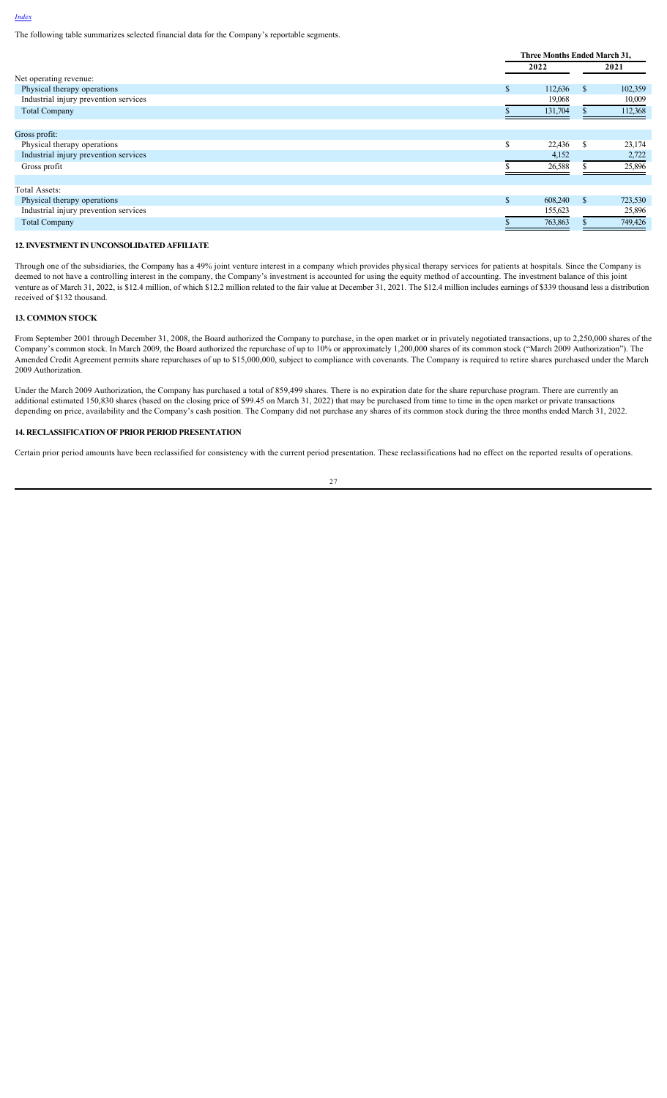The following table summarizes selected financial data for the Company's reportable segments.

|                                       |    | Three Months Ended March 31, |               |         |  |
|---------------------------------------|----|------------------------------|---------------|---------|--|
|                                       |    | 2022                         |               | 2021    |  |
| Net operating revenue:                |    |                              |               |         |  |
| Physical therapy operations           | \$ | 112,636                      | <sup>\$</sup> | 102,359 |  |
| Industrial injury prevention services |    | 19,068                       |               | 10,009  |  |
| <b>Total Company</b>                  |    | 131,704                      |               | 112,368 |  |
| Gross profit:                         |    |                              |               |         |  |
| Physical therapy operations           | S  | 22,436                       | <sup>\$</sup> | 23,174  |  |
| Industrial injury prevention services |    | 4,152                        |               | 2,722   |  |
| Gross profit                          |    | 26,588                       |               | 25,896  |  |
| Total Assets:                         |    |                              |               |         |  |
| Physical therapy operations           | \$ | 608,240                      | <sup>\$</sup> | 723,530 |  |
| Industrial injury prevention services |    | 155,623                      |               | 25,896  |  |
| <b>Total Company</b>                  |    | 763,863                      |               | 749,426 |  |
|                                       |    |                              |               |         |  |

## **12. INVESTMENT IN UNCONSOLIDATED AFFILIATE**

Through one of the subsidiaries, the Company has a 49% joint venture interest in a company which provides physical therapy services for patients at hospitals. Since the Company is deemed to not have a controlling interest in the company, the Company's investment is accounted for using the equity method of accounting. The investment balance of this joint venture as of March 31, 2022, is \$12.4 million, of which \$12.2 million related to the fair value at December 31, 2021. The \$12.4 million includes earnings of \$339 thousand less a distribution received of \$132 thousand.

## **13. COMMON STOCK**

From September 2001 through December 31, 2008, the Board authorized the Company to purchase, in the open market or in privately negotiated transactions, up to 2,250,000 shares of the Company's common stock. In March 2009, the Board authorized the repurchase of up to 10% or approximately 1,200,000 shares of its common stock ("March 2009 Authorization"). The Amended Credit Agreement permits share repurchases of up to \$15,000,000, subject to compliance with covenants. The Company is required to retire shares purchased under the March 2009 Authorization.

Under the March 2009 Authorization, the Company has purchased a total of 859,499 shares. There is no expiration date for the share repurchase program. There are currently an additional estimated 150,830 shares (based on the closing price of \$99.45 on March 31, 2022) that may be purchased from time to time in the open market or private transactions depending on price, availability and the Company's cash position. The Company did not purchase any shares of its common stock during the three months ended March 31, 2022.

## **14. RECLASSIFICATION OF PRIOR PERIOD PRESENTATION**

Certain prior period amounts have been reclassified for consistency with the current period presentation. These reclassifications had no effect on the reported results of operations.

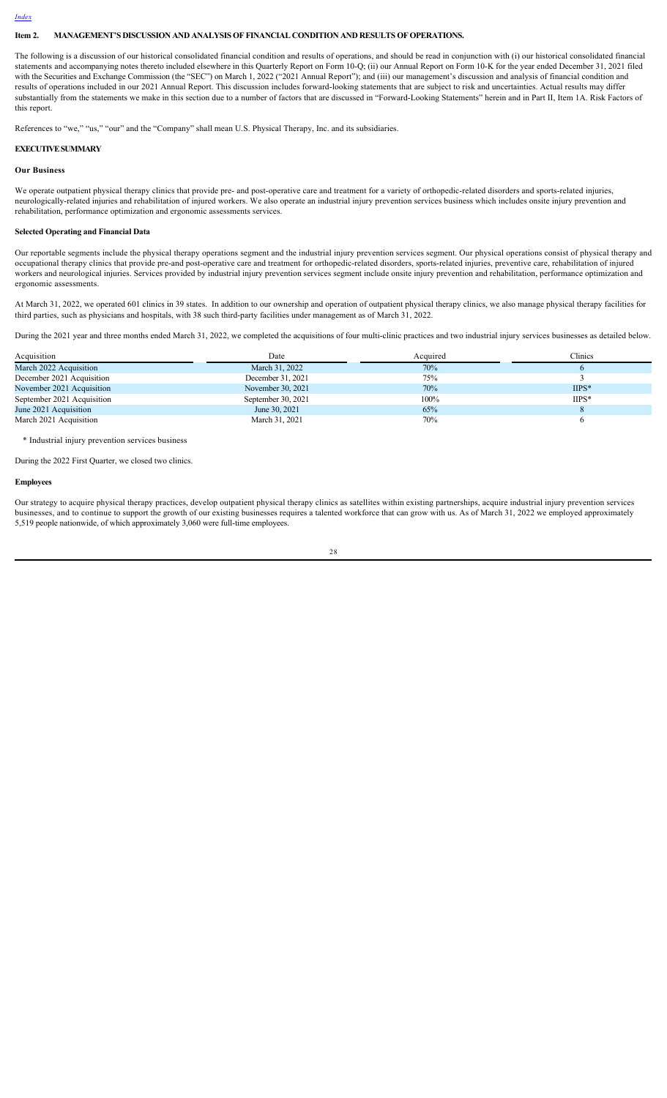#### <span id="page-27-0"></span>**Item 2. MANAGEMENT'S DISCUSSION AND ANALYSIS OF FINANCIAL CONDITION AND RESULTS OF OPERATIONS.**

The following is a discussion of our historical consolidated financial condition and results of operations, and should be read in conjunction with (i) our historical consolidated financial statements and accompanying notes thereto included elsewhere in this Quarterly Report on Form 10-Q; (ii) our Annual Report on Form 10-K for the year ended December 31, 2021 filed with the Securities and Exchange Commission (the "SEC") on March 1, 2022 ("2021 Annual Report"); and (iii) our management's discussion and analysis of financial condition and results of operations included in our 2021 Annual Report. This discussion includes forward-looking statements that are subject to risk and uncertainties. Actual results may differ substantially from the statements we make in this section due to a number of factors that are discussed in "Forward-Looking Statements" herein and in Part II, Item 1A. Risk Factors of this report.

References to "we," "us," "our" and the "Company" shall mean U.S. Physical Therapy, Inc. and its subsidiaries.

#### **EXECUTIVE SUMMARY**

#### **Our Business**

We operate outpatient physical therapy clinics that provide pre- and post-operative care and treatment for a variety of orthopedic-related disorders and sports-related injuries, neurologically-related injuries and rehabilitation of injured workers. We also operate an industrial injury prevention services business which includes onsite injury prevention and rehabilitation, performance optimization and ergonomic assessments services.

#### **Selected Operating and Financial Data**

Our reportable segments include the physical therapy operations segment and the industrial injury prevention services segment. Our physical operations consist of physical therapy and occupational therapy clinics that provide pre-and post-operative care and treatment for orthopedic-related disorders, sports-related injuries, preventive care, rehabilitation of injured workers and neurological injuries. Services provided by industrial injury prevention services segment include onsite injury prevention and rehabilitation, performance optimization and ergonomic assessments.

At March 31, 2022, we operated 601 clinics in 39 states. In addition to our ownership and operation of outpatient physical therapy clinics, we also manage physical therapy facilities for third parties, such as physicians and hospitals, with 38 such third-party facilities under management as of March 31, 2022.

During the 2021 year and three months ended March 31, 2022, we completed the acquisitions of four multi-clinic practices and two industrial injury services businesses as detailed below.

| Acquisition                | Date               | Acquired | Clinics |
|----------------------------|--------------------|----------|---------|
| March 2022 Acquisition     | March 31, 2022     | 70%      |         |
| December 2021 Acquisition  | December 31, 2021  | 75%      |         |
| November 2021 Acquisition  | November 30, 2021  | 70%      | $IIPS*$ |
| September 2021 Acquisition | September 30, 2021 | 100%     | $IIPS*$ |
| June 2021 Acquisition      | June 30, 2021      | 65%      |         |
| March 2021 Acquisition     | March 31, 2021     | 70%      |         |

\* Industrial injury prevention services business

During the 2022 First Quarter, we closed two clinics.

### **Employees**

Our strategy to acquire physical therapy practices, develop outpatient physical therapy clinics as satellites within existing partnerships, acquire industrial injury prevention services businesses, and to continue to support the growth of our existing businesses requires a talented workforce that can grow with us. As of March 31, 2022 we employed approximately 5,519 people nationwide, of which approximately 3,060 were full-time employees.

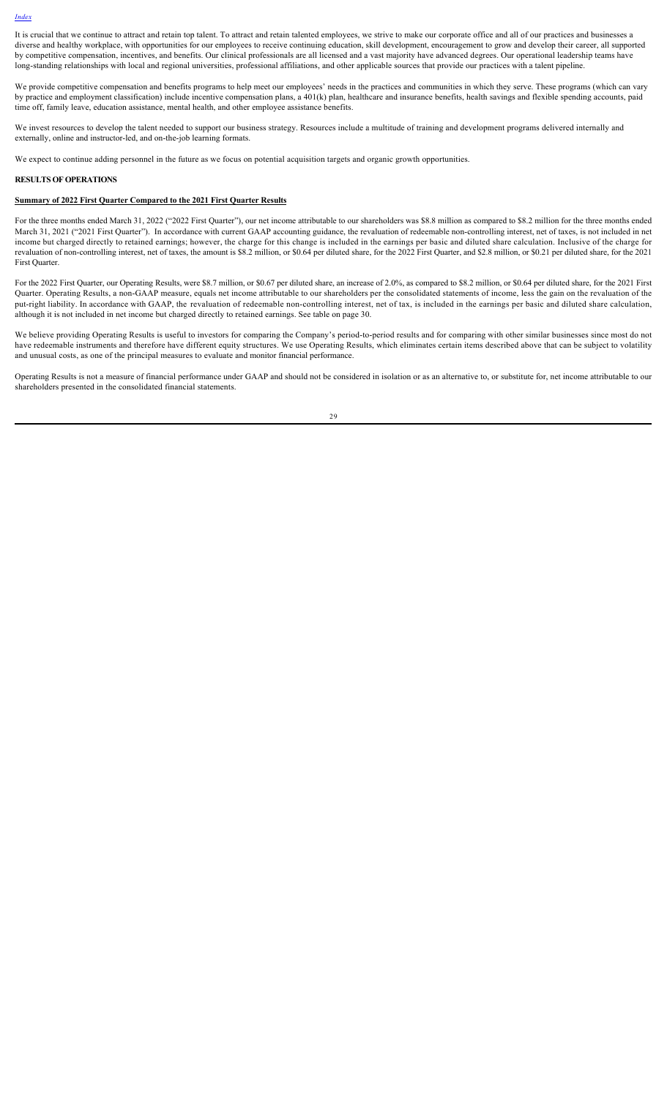It is crucial that we continue to attract and retain top talent. To attract and retain talented employees, we strive to make our corporate office and all of our practices and businesses a diverse and healthy workplace, with opportunities for our employees to receive continuing education, skill development, encouragement to grow and develop their career, all supported by competitive compensation, incentives, and benefits. Our clinical professionals are all licensed and a vast majority have advanced degrees. Our operational leadership teams have long-standing relationships with local and regional universities, professional affiliations, and other applicable sources that provide our practices with a talent pipeline.

We provide competitive compensation and benefits programs to help meet our employees' needs in the practices and communities in which they serve. These programs (which can vary by practice and employment classification) include incentive compensation plans, a 401(k) plan, healthcare and insurance benefits, health savings and flexible spending accounts, paid time off, family leave, education assistance, mental health, and other employee assistance benefits.

We invest resources to develop the talent needed to support our business strategy. Resources include a multitude of training and development programs delivered internally and externally, online and instructor-led, and on-the-job learning formats.

We expect to continue adding personnel in the future as we focus on potential acquisition targets and organic growth opportunities.

### **RESULTS OF OPERATIONS**

## **Summary of 2022 First Quarter Compared to the 2021 First Quarter Results**

For the three months ended March 31, 2022 ("2022 First Quarter"), our net income attributable to our shareholders was \$8.8 million as compared to \$8.2 million for the three months ended March 31, 2021 ("2021 First Quarter"). In accordance with current GAAP accounting guidance, the revaluation of redeemable non-controlling interest, net of taxes, is not included in net income but charged directly to retained earnings; however, the charge for this change is included in the earnings per basic and diluted share calculation. Inclusive of the charge for revaluation of non-controlling interest, net of taxes, the amount is \$8.2 million, or \$0.64 per diluted share, for the 2022 First Quarter, and \$2.8 million, or \$0.21 per diluted share, for the 2021 First Quarter.

For the 2022 First Quarter, our Operating Results, were \$8.7 million, or \$0.67 per diluted share, an increase of 2.0%, as compared to \$8.2 million, or \$0.64 per diluted share, for the 2021 First Quarter. Operating Results, a non-GAAP measure, equals net income attributable to our shareholders per the consolidated statements of income, less the gain on the revaluation of the put-right liability. In accordance with GAAP, the revaluation of redeemable non-controlling interest, net of tax, is included in the earnings per basic and diluted share calculation, although it is not included in net income but charged directly to retained earnings. See table on page 30.

We believe providing Operating Results is useful to investors for comparing the Company's period-to-period results and for comparing with other similar businesses since most do not have redeemable instruments and therefore have different equity structures. We use Operating Results, which eliminates certain items described above that can be subject to volatility and unusual costs, as one of the principal measures to evaluate and monitor financial performance.

Operating Results is not a measure of financial performance under GAAP and should not be considered in isolation or as an alternative to, or substitute for, net income attributable to our shareholders presented in the consolidated financial statements.

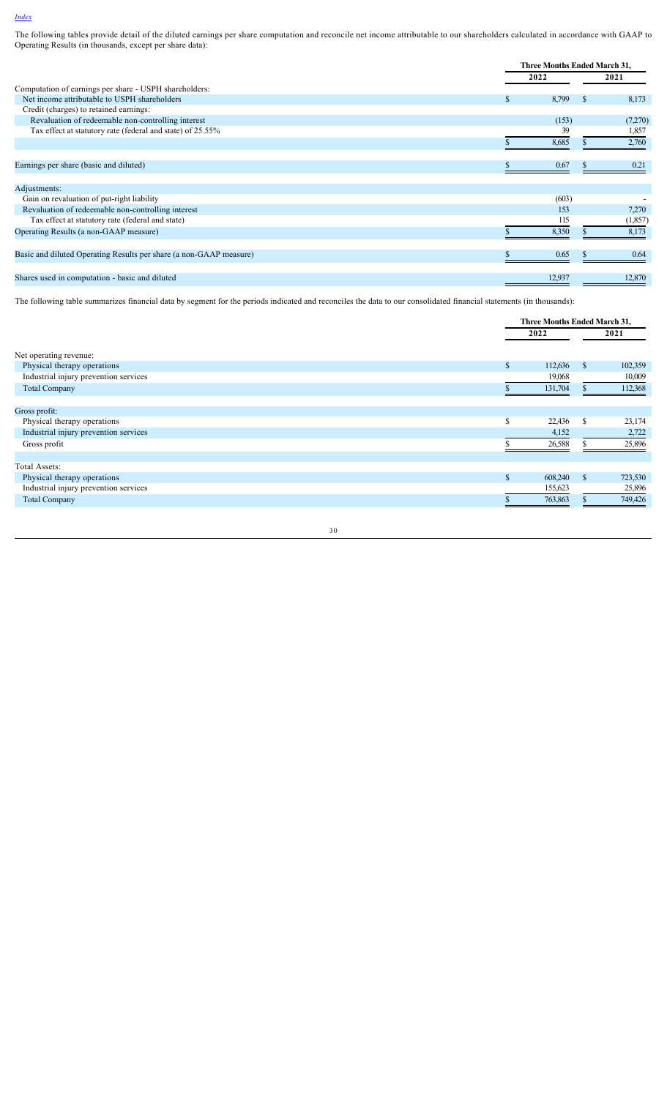The following tables provide detail of the diluted earnings per share computation and reconcile net income attributable to our shareholders calculated in accordance with GAAP to Operating Results (in thousands, except per share data):

|                                                                    |               | <b>Three Months Ended March 31,</b> |         |
|--------------------------------------------------------------------|---------------|-------------------------------------|---------|
|                                                                    | 2022          |                                     | 2021    |
| Computation of earnings per share - USPH shareholders:             |               |                                     |         |
| Net income attributable to USPH shareholders                       | <sup>\$</sup> | 8,799<br>-S                         | 8,173   |
| Credit (charges) to retained earnings:                             |               |                                     |         |
| Revaluation of redeemable non-controlling interest                 |               | (153)                               | (7,270) |
| Tax effect at statutory rate (federal and state) of 25.55%         |               | 39                                  | 1,857   |
|                                                                    |               | 8,685                               | 2,760   |
| Earnings per share (basic and diluted)                             |               | 0.67                                | 0.21    |
| Adjustments:                                                       |               |                                     |         |
| Gain on revaluation of put-right liability                         |               | (603)                               |         |
| Revaluation of redeemable non-controlling interest                 |               | 153                                 | 7,270   |
| Tax effect at statutory rate (federal and state)                   |               | 115                                 | (1,857) |
| Operating Results (a non-GAAP measure)                             |               | 8,350                               | 8,173   |
|                                                                    |               |                                     |         |
| Basic and diluted Operating Results per share (a non-GAAP measure) |               | 0.65                                | 0.64    |
| Shares used in computation - basic and diluted                     |               | 12,937                              | 12,870  |

The following table summarizes financial data by segment for the periods indicated and reconciles the data to our consolidated financial statements (in thousands):

|                                       |               | Three Months Ended March 31, |         |  |
|---------------------------------------|---------------|------------------------------|---------|--|
|                                       | 2022          |                              | 2021    |  |
| Net operating revenue:                |               |                              |         |  |
| Physical therapy operations           | <sup>\$</sup> | 112,636<br>S                 | 102,359 |  |
| Industrial injury prevention services |               | 19,068                       | 10,009  |  |
| <b>Total Company</b>                  |               | 131,704                      | 112,368 |  |
| Gross profit:                         |               |                              |         |  |
| Physical therapy operations           | S             | 22,436<br>S                  | 23,174  |  |
| Industrial injury prevention services |               | 4,152                        | 2,722   |  |
| Gross profit                          |               | 26,588                       | 25,896  |  |
| Total Assets:                         |               |                              |         |  |
| Physical therapy operations           | <sup>\$</sup> | 608,240<br>-S                | 723,530 |  |
| Industrial injury prevention services |               | 155,623                      | 25,896  |  |
| <b>Total Company</b>                  |               | 763,863                      | 749,426 |  |
|                                       |               |                              |         |  |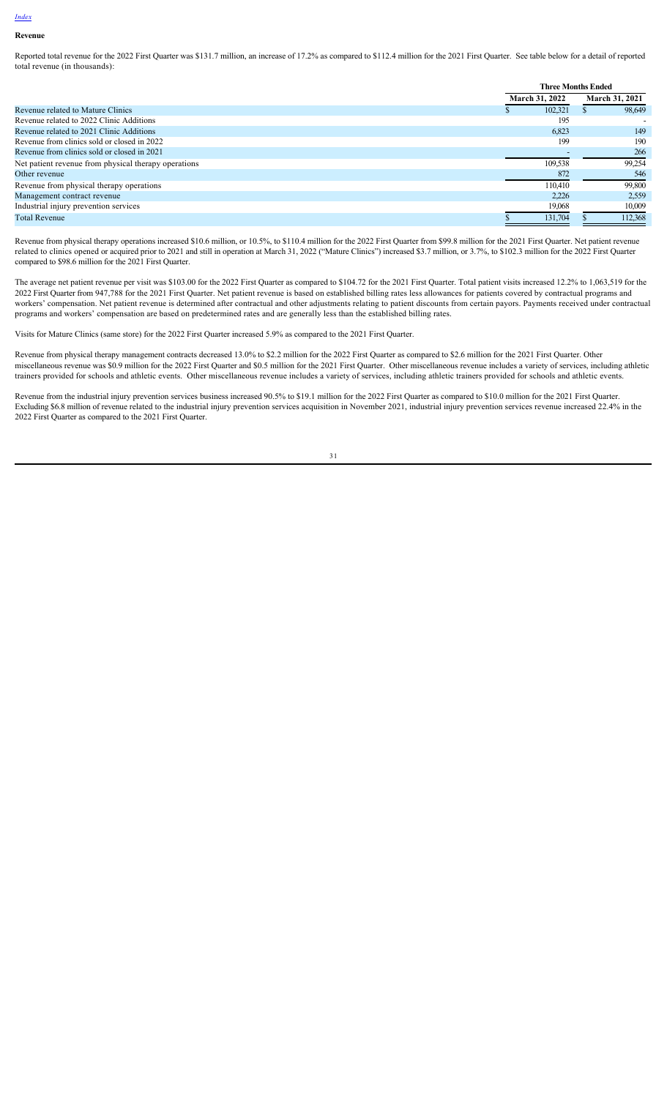## **Revenue**

Reported total revenue for the 2022 First Quarter was \$131.7 million, an increase of 17.2% as compared to \$112.4 million for the 2021 First Quarter. See table below for a detail of reported total revenue (in thousands):

|                                                      | <b>Three Months Ended</b> |                |  |                |
|------------------------------------------------------|---------------------------|----------------|--|----------------|
|                                                      |                           | March 31, 2022 |  | March 31, 2021 |
| Revenue related to Mature Clinics                    |                           | 102,321        |  | 98.649         |
| Revenue related to 2022 Clinic Additions             |                           | 195            |  |                |
| Revenue related to 2021 Clinic Additions             |                           | 6,823          |  | 149            |
| Revenue from clinics sold or closed in 2022          |                           | 199            |  | 190            |
| Revenue from clinics sold or closed in 2021          |                           |                |  | 266            |
| Net patient revenue from physical therapy operations |                           | 109.538        |  | 99,254         |
| Other revenue                                        |                           | 872            |  | 546            |
| Revenue from physical therapy operations             |                           | 110.410        |  | 99,800         |
| Management contract revenue                          |                           | 2.226          |  | 2,559          |
| Industrial injury prevention services                |                           | 19,068         |  | 10,009         |
| <b>Total Revenue</b>                                 |                           | 131,704        |  | 112,368        |

Revenue from physical therapy operations increased \$10.6 million, or 10.5%, to \$110.4 million for the 2022 First Quarter from \$99.8 million for the 2021 First Quarter. Net patient revenue related to clinics opened or acquired prior to 2021 and still in operation at March 31, 2022 ("Mature Clinics") increased \$3.7 million, or 3.7%, to \$102.3 million for the 2022 First Quarter compared to \$98.6 million for the 2021 First Quarter.

The average net patient revenue per visit was \$103.00 for the 2022 First Quarter as compared to \$104.72 for the 2021 First Quarter. Total patient visits increased 12.2% to 1,063,519 for the 2022 First Quarter from 947,788 for the 2021 First Quarter. Net patient revenue is based on established billing rates less allowances for patients covered by contractual programs and workers' compensation. Net patient revenue is determined after contractual and other adjustments relating to patient discounts from certain payors. Payments received under contractual programs and workers' compensation are based on predetermined rates and are generally less than the established billing rates.

Visits for Mature Clinics (same store) for the 2022 First Quarter increased 5.9% as compared to the 2021 First Quarter.

Revenue from physical therapy management contracts decreased 13.0% to \$2.2 million for the 2022 First Quarter as compared to \$2.6 million for the 2021 First Quarter. Other miscellaneous revenue was \$0.9 million for the 2022 First Quarter and \$0.5 million for the 2021 First Quarter. Other miscellaneous revenue includes a variety of services, including athletic trainers provided for schools and athletic events. Other miscellaneous revenue includes a variety of services, including athletic trainers provided for schools and athletic events.

Revenue from the industrial injury prevention services business increased 90.5% to \$19.1 million for the 2022 First Quarter as compared to \$10.0 million for the 2021 First Quarter. Excluding \$6.8 million of revenue related to the industrial injury prevention services acquisition in November 2021, industrial injury prevention services revenue increased 22.4% in the 2022 First Quarter as compared to the 2021 First Quarter.

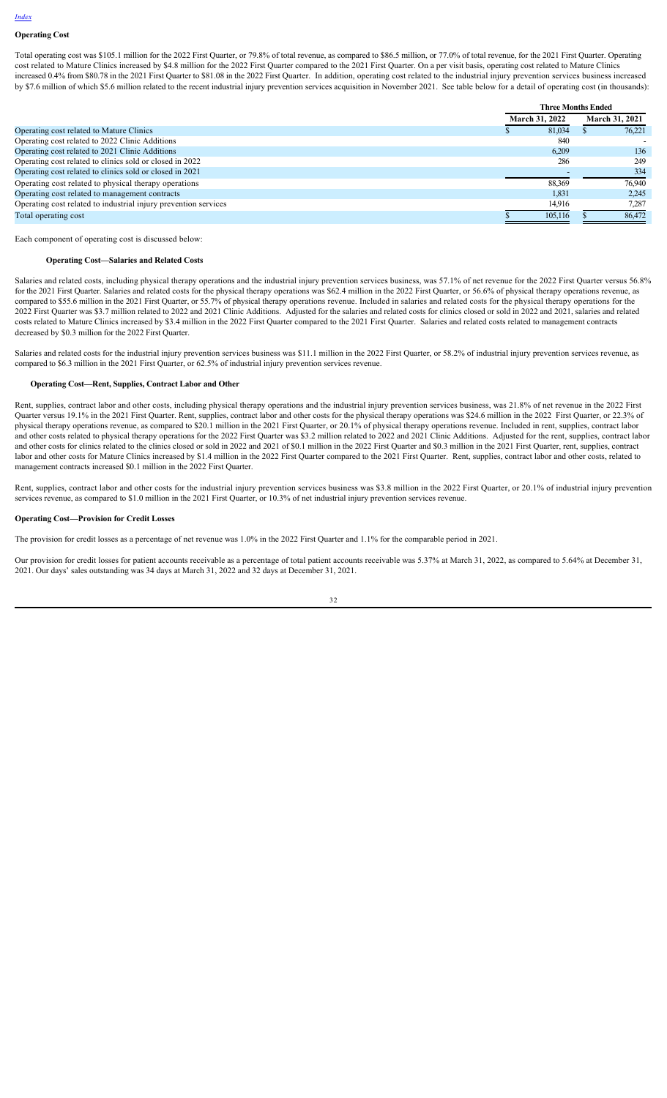# **Operating Cost**

*[Index](#page-1-0)*

Total operating cost was \$105.1 million for the 2022 First Quarter, or 79.8% of total revenue, as compared to \$86.5 million, or 77.0% of total revenue, for the 2021 First Quarter. Operating cost related to Mature Clinics increased by \$4.8 million for the 2022 First Quarter compared to the 2021 First Quarter. On a per visit basis, operating cost related to Mature Clinics increased 0.4% from \$80.78 in the 2021 First Quarter to \$81.08 in the 2022 First Quarter. In addition, operating cost related to the industrial injury prevention services business increased by \$7.6 million of which \$5.6 million related to the recent industrial injury prevention services acquisition in November 2021. See table below for a detail of operating cost (in thousands):

|                                                                 | <b>Three Months Ended</b> |                       |  |                |  |
|-----------------------------------------------------------------|---------------------------|-----------------------|--|----------------|--|
|                                                                 |                           | <b>March 31, 2022</b> |  | March 31, 2021 |  |
| Operating cost related to Mature Clinics                        |                           | 81,034                |  | 76.221         |  |
| Operating cost related to 2022 Clinic Additions                 |                           | 840                   |  |                |  |
| Operating cost related to 2021 Clinic Additions                 |                           | 6.209                 |  | 136            |  |
| Operating cost related to clinics sold or closed in 2022        |                           | 286                   |  | 249            |  |
| Operating cost related to clinics sold or closed in 2021        |                           |                       |  | 334            |  |
| Operating cost related to physical therapy operations           |                           | 88.369                |  | 76,940         |  |
| Operating cost related to management contracts                  |                           | 1,831                 |  | 2,245          |  |
| Operating cost related to industrial injury prevention services |                           | 14,916                |  | 7,287          |  |
| Total operating cost                                            |                           | 105,116               |  | 86,472         |  |

Each component of operating cost is discussed below:

## **Operating Cost—Salaries and Related Costs**

Salaries and related costs, including physical therapy operations and the industrial injury prevention services business, was 57.1% of net revenue for the 2022 First Quarter versus 56.8% for the 2021 First Quarter. Salaries and related costs for the physical therapy operations was \$62.4 million in the 2022 First Quarter, or 56.6% of physical therapy operations revenue, as compared to \$55.6 million in the 2021 First Quarter, or 55.7% of physical therapy operations revenue. Included in salaries and related costs for the physical therapy operations for the 2022 First Quarter was \$3.7 million related to 2022 and 2021 Clinic Additions. Adjusted for the salaries and related costs for clinics closed or sold in 2022 and 2021, salaries and related costs related to Mature Clinics increased by \$3.4 million in the 2022 First Quarter compared to the 2021 First Quarter. Salaries and related costs related to management contracts decreased by \$0.3 million for the 2022 First Quarter.

Salaries and related costs for the industrial injury prevention services business was \$11.1 million in the 2022 First Quarter, or 58.2% of industrial injury prevention services revenue, as compared to \$6.3 million in the 2021 First Quarter, or 62.5% of industrial injury prevention services revenue.

## **Operating Cost—Rent, Supplies, Contract Labor and Other**

Rent, supplies, contract labor and other costs, including physical therapy operations and the industrial injury prevention services business, was 21.8% of net revenue in the 2022 First Quarter versus 19.1% in the 2021 First Quarter. Rent, supplies, contract labor and other costs for the physical therapy operations was \$24.6 million in the 2022 First Quarter, or 22.3% of physical therapy operations revenue, as compared to \$20.1 million in the 2021 First Quarter, or 20.1% of physical therapy operations revenue. Included in rent, supplies, contract labor and other costs related to physical therapy operations for the 2022 First Quarter was \$3.2 million related to 2022 and 2021 Clinic Additions. Adjusted for the rent, supplies, contract labor and other costs for clinics related to the clinics closed or sold in 2022 and 2021 of \$0.1 million in the 2022 First Quarter and \$0.3 million in the 2021 First Quarter, rent, supplies, contract labor and other costs for Mature Clinics increased by \$1.4 million in the 2022 First Quarter compared to the 2021 First Quarter. Rent, supplies, contract labor and other costs, related to management contracts increased \$0.1 million in the 2022 First Quarter.

Rent, supplies, contract labor and other costs for the industrial injury prevention services business was \$3.8 million in the 2022 First Quarter, or 20.1% of industrial injury prevention services revenue, as compared to \$1.0 million in the 2021 First Quarter, or 10.3% of net industrial injury prevention services revenue.

### **Operating Cost—Provision for Credit Losses**

The provision for credit losses as a percentage of net revenue was 1.0% in the 2022 First Quarter and 1.1% for the comparable period in 2021.

Our provision for credit losses for patient accounts receivable as a percentage of total patient accounts receivable was 5.37% at March 31, 2022, as compared to 5.64% at December 31, 2021. Our days' sales outstanding was 34 days at March 31, 2022 and 32 days at December 31, 2021.

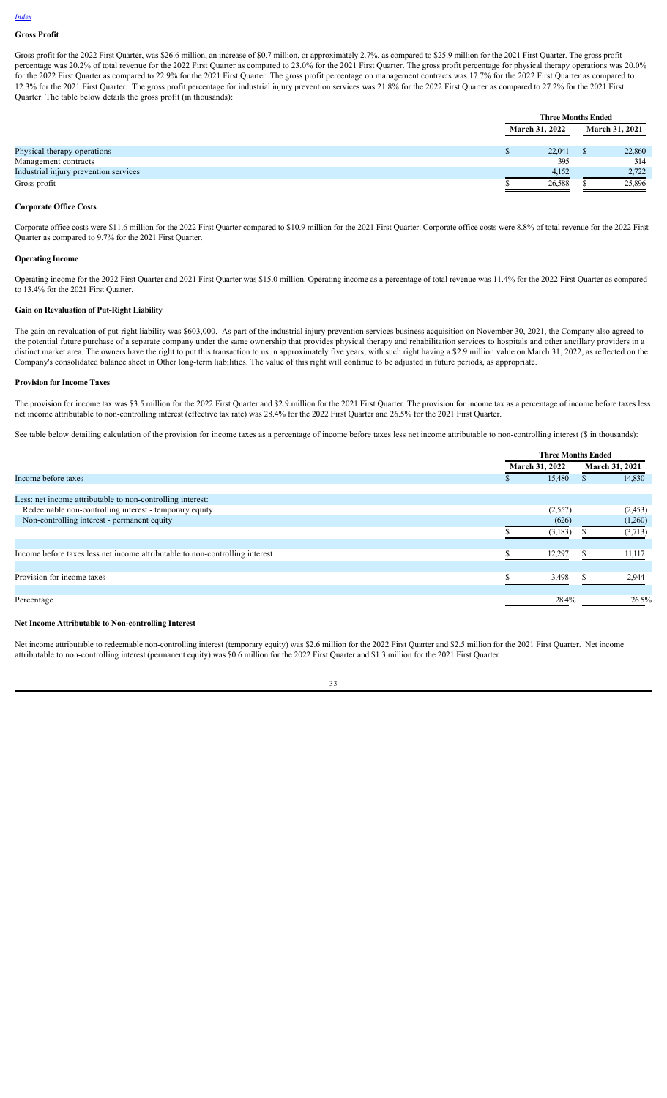## **Gross Profit**

Gross profit for the 2022 First Quarter, was \$26.6 million, an increase of \$0.7 million, or approximately 2.7%, as compared to \$25.9 million for the 2021 First Quarter. The gross profit percentage was 20.2% of total revenue for the 2022 First Quarter as compared to 23.0% for the 2021 First Quarter. The gross profit percentage for physical therapy operations was 20.0% for the 2022 First Quarter as compared to 22.9% for the 2021 First Quarter. The gross profit percentage on management contracts was 17.7% for the 2022 First Quarter as compared to 12.3% for the 2021 First Quarter. The gross profit percentage for industrial injury prevention services was 21.8% for the 2022 First Quarter as compared to 27.2% for the 2021 First Quarter. The table below details the gross profit (in thousands):

|                                       | <b>Three Months Ended</b> |                       |  |                       |
|---------------------------------------|---------------------------|-----------------------|--|-----------------------|
|                                       |                           | <b>March 31, 2022</b> |  | <b>March 31, 2021</b> |
| Physical therapy operations           |                           | 22,041                |  | 22,860                |
| Management contracts                  |                           | 395                   |  | 314                   |
| Industrial injury prevention services |                           | 4.152                 |  | 2,722                 |
| Gross profit                          |                           | 26,588                |  | 25,896                |

#### **Corporate Office Costs**

Corporate office costs were \$11.6 million for the 2022 First Quarter compared to \$10.9 million for the 2021 First Quarter. Corporate office costs were 8.8% of total revenue for the 2022 First Quarter as compared to 9.7% for the 2021 First Quarter.

### **Operating Income**

Operating income for the 2022 First Quarter and 2021 First Quarter was \$15.0 million. Operating income as a percentage of total revenue was 11.4% for the 2022 First Quarter as compared to 13.4% for the 2021 First Quarter.

### **Gain on Revaluation of Put-Right Liability**

The gain on revaluation of put-right liability was \$603,000. As part of the industrial injury prevention services business acquisition on November 30, 2021, the Company also agreed to the potential future purchase of a separate company under the same ownership that provides physical therapy and rehabilitation services to hospitals and other ancillary providers in a distinct market area. The owners have the right to put this transaction to us in approximately five years, with such right having a \$2.9 million value on March 31, 2022, as reflected on the Company's consolidated balance sheet in Other long-term liabilities. The value of this right will continue to be adjusted in future periods, as appropriate.

#### **Provision for Income Taxes**

The provision for income tax was \$3.5 million for the 2022 First Quarter and \$2.9 million for the 2021 First Quarter. The provision for income tax as a percentage of income before taxes less net income attributable to non-controlling interest (effective tax rate) was 28.4% for the 2022 First Quarter and 26.5% for the 2021 First Quarter.

See table below detailing calculation of the provision for income taxes as a percentage of income before taxes less net income attributable to non-controlling interest (\$ in thousands):

|         | <b>Three Months Ended</b>       |                       |  |
|---------|---------------------------------|-----------------------|--|
|         |                                 | <b>March 31, 2021</b> |  |
| 15,480  |                                 | 14,830                |  |
|         |                                 |                       |  |
|         |                                 |                       |  |
| (2,557) |                                 | (2, 453)              |  |
| (626)   |                                 | (1,260)               |  |
| (3,183) |                                 | (3,713)               |  |
|         |                                 |                       |  |
|         |                                 | 11,117                |  |
|         |                                 |                       |  |
| 3,498   |                                 | 2,944                 |  |
|         |                                 |                       |  |
|         |                                 | 26.5%                 |  |
|         | <b>March 31, 2022</b><br>12,297 | 28.4%                 |  |

#### **Net Income Attributable to Non-controlling Interest**

Net income attributable to redeemable non-controlling interest (temporary equity) was \$2.6 million for the 2022 First Quarter and \$2.5 million for the 2021 First Quarter. Net income attributable to non-controlling interest (permanent equity) was \$0.6 million for the 2022 First Quarter and \$1.3 million for the 2021 First Quarter.

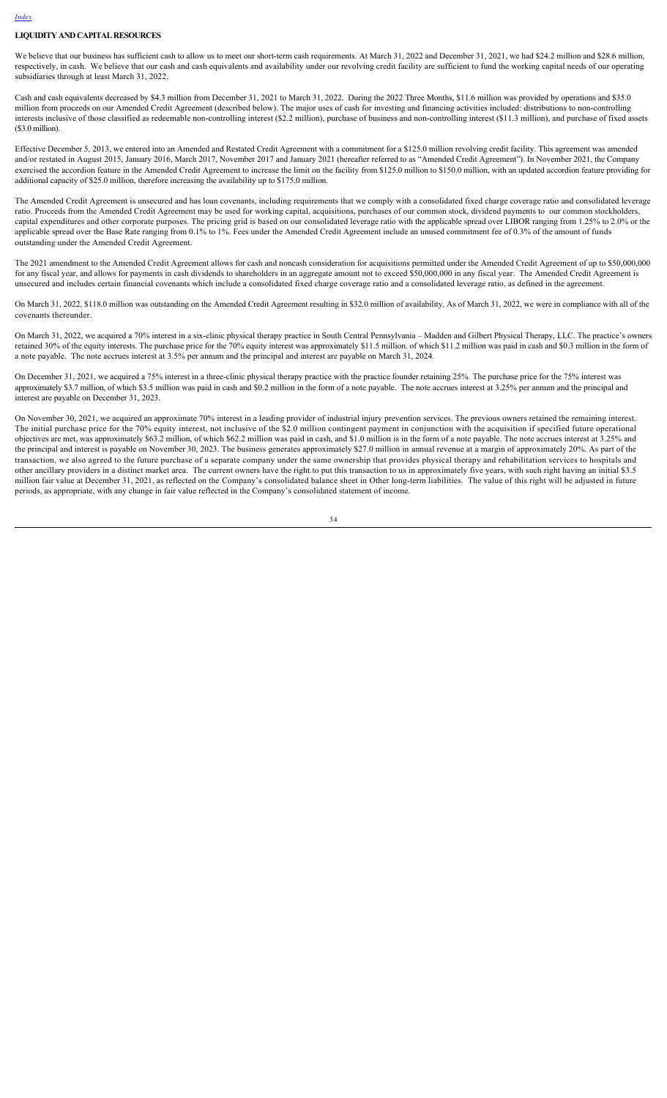#### **LIQUIDITY AND CAPITAL RESOURCES**

We believe that our business has sufficient cash to allow us to meet our short-term cash requirements. At March 31, 2022 and December 31, 2021, we had \$24.2 million and \$28.6 million. respectively, in cash. We believe that our cash and cash equivalents and availability under our revolving credit facility are sufficient to fund the working capital needs of our operating subsidiaries through at least March 31, 2022.

Cash and cash equivalents decreased by \$4.3 million from December 31, 2021 to March 31, 2022. During the 2022 Three Months, \$11.6 million was provided by operations and \$35.0 million from proceeds on our Amended Credit Agreement (described below). The major uses of cash for investing and financing activities included: distributions to non-controlling interests inclusive of those classified as redeemable non-controlling interest (\$2.2 million), purchase of business and non-controlling interest (\$11.3 million), and purchase of fixed assets (\$3.0 million).

Effective December 5, 2013, we entered into an Amended and Restated Credit Agreement with a commitment for a \$125.0 million revolving credit facility. This agreement was amended and/or restated in August 2015, January 2016, March 2017, November 2017 and January 2021 (hereafter referred to as "Amended Credit Agreement"). In November 2021, the Company exercised the accordion feature in the Amended Credit Agreement to increase the limit on the facility from \$125.0 million to \$150.0 million, with an updated accordion feature providing for additional capacity of \$25.0 million, therefore increasing the availability up to \$175.0 million.

The Amended Credit Agreement is unsecured and has loan covenants, including requirements that we comply with a consolidated fixed charge coverage ratio and consolidated leverage ratio. Proceeds from the Amended Credit Agreement may be used for working capital, acquisitions, purchases of our common stock, dividend payments to our common stockholders, capital expenditures and other corporate purposes. The pricing grid is based on our consolidated leverage ratio with the applicable spread over LIBOR ranging from 1.25% to 2.0% or the applicable spread over the Base Rate ranging from 0.1% to 1%. Fees under the Amended Credit Agreement include an unused commitment fee of 0.3% of the amount of funds outstanding under the Amended Credit Agreement.

The 2021 amendment to the Amended Credit Agreement allows for cash and noncash consideration for acquisitions permitted under the Amended Credit Agreement of up to \$50,000,000 for any fiscal year, and allows for payments in cash dividends to shareholders in an aggregate amount not to exceed \$50,000,000 in any fiscal year. The Amended Credit Agreement is unsecured and includes certain financial covenants which include a consolidated fixed charge coverage ratio and a consolidated leverage ratio, as defined in the agreement.

On March 31, 2022, \$118.0 million was outstanding on the Amended Credit Agreement resulting in \$32.0 million of availability. As of March 31, 2022, we were in compliance with all of the covenants thereunder.

On March 31, 2022, we acquired a 70% interest in a six-clinic physical therapy practice in South Central Pennsylvania – Madden and Gilbert Physical Therapy, LLC. The practice's owners retained 30% of the equity interests. The purchase price for the 70% equity interest was approximately \$11.5 million. of which \$11.2 million was paid in cash and \$0.3 million in the form of a note payable. The note accrues interest at 3.5% per annum and the principal and interest are payable on March 31, 2024.

On December 31, 2021, we acquired a 75% interest in a three-clinic physical therapy practice with the practice founder retaining 25%. The purchase price for the 75% interest was approximately \$3.7 million, of which \$3.5 million was paid in cash and \$0.2 million in the form of a note payable. The note accrues interest at 3.25% per annum and the principal and interest are payable on December 31, 2023.

On November 30, 2021, we acquired an approximate 70% interest in a leading provider of industrial injury prevention services. The previous owners retained the remaining interest. The initial purchase price for the 70% equity interest, not inclusive of the \$2.0 million contingent payment in conjunction with the acquisition if specified future operational objectives are met, was approximately \$63.2 million, of which \$62.2 million was paid in cash, and \$1.0 million is in the form of a note payable. The note accrues interest at 3.25% and the principal and interest is payable on November 30, 2023. The business generates approximately \$27.0 million in annual revenue at a margin of approximately 20%. As part of the transaction, we also agreed to the future purchase of a separate company under the same ownership that provides physical therapy and rehabilitation services to hospitals and other ancillary providers in a distinct market area. The current owners have the right to put this transaction to us in approximately five years, with such right having an initial \$3.5 million fair value at December 31, 2021, as reflected on the Company's consolidated balance sheet in Other long-term liabilities. The value of this right will be adjusted in future periods, as appropriate, with any change in fair value reflected in the Company's consolidated statement of income.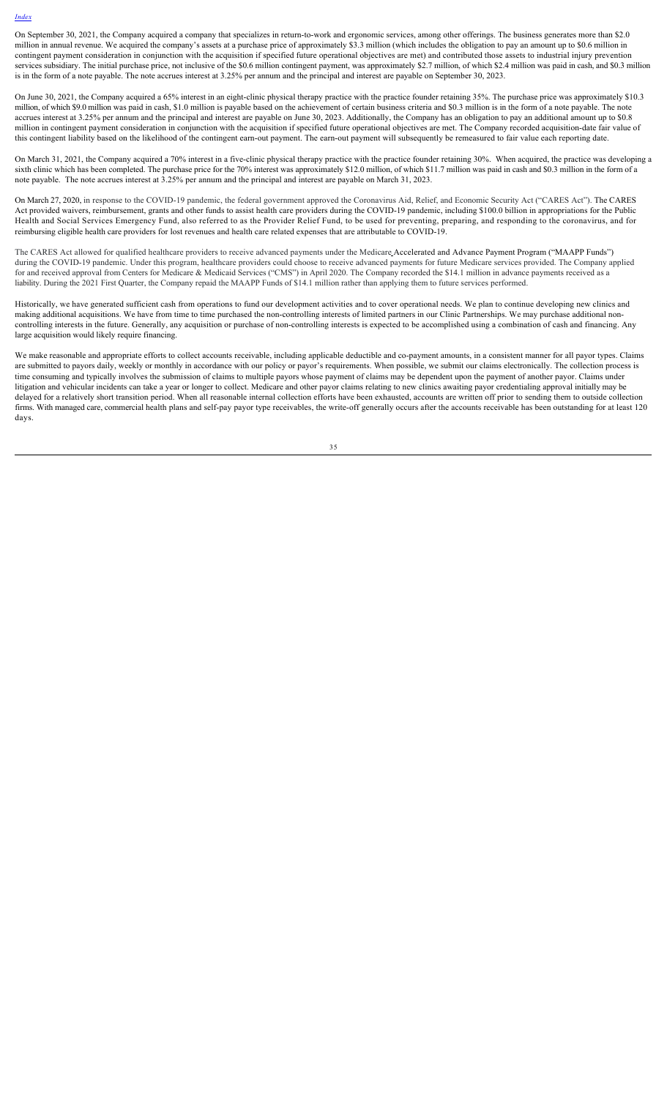On September 30, 2021, the Company acquired a company that specializes in return-to-work and ergonomic services, among other offerings. The business generates more than \$2.0 million in annual revenue. We acquired the company's assets at a purchase price of approximately \$3.3 million (which includes the obligation to pay an amount up to \$0.6 million in contingent payment consideration in conjunction with the acquisition if specified future operational objectives are met) and contributed those assets to industrial injury prevention services subsidiary. The initial purchase price, not inclusive of the \$0.6 million contingent payment, was approximately \$2.7 million, of which \$2.4 million was paid in cash, and \$0.3 million is in the form of a note payable. The note accrues interest at 3.25% per annum and the principal and interest are payable on September 30, 2023.

On June 30, 2021, the Company acquired a 65% interest in an eight-clinic physical therapy practice with the practice founder retaining 35%. The purchase price was approximately \$10.3 million, of which \$9.0 million was paid in cash, \$1.0 million is payable based on the achievement of certain business criteria and \$0.3 million is in the form of a note payable. The note accrues interest at 3.25% per annum and the principal and interest are payable on June 30, 2023. Additionally, the Company has an obligation to pay an additional amount up to \$0.8 million in contingent payment consideration in conjunction with the acquisition if specified future operational objectives are met. The Company recorded acquisition-date fair value of this contingent liability based on the likelihood of the contingent earn-out payment. The earn-out payment will subsequently be remeasured to fair value each reporting date.

On March 31, 2021, the Company acquired a 70% interest in a five-clinic physical therapy practice with the practice founder retaining 30%. When acquired, the practice was developing a sixth clinic which has been completed. The purchase price for the 70% interest was approximately \$12.0 million, of which \$11.7 million was paid in cash and \$0.3 million in the form of a note payable. The note accrues interest at 3.25% per annum and the principal and interest are payable on March 31, 2023.

On March 27, 2020, in response to the COVID-19 pandemic, the federal government approved the Coronavirus Aid, Relief, and Economic Security Act ("CARES Act"). The CARES Act provided waivers, reimbursement, grants and other funds to assist health care providers during the COVID-19 pandemic, including \$100.0 billion in appropriations for the Public Health and Social Services Emergency Fund, also referred to as the Provider Relief Fund, to be used for preventing, preparing, and responding to the coronavirus, and for reimbursing eligible health care providers for lost revenues and health care related expenses that are attributable to COVID-19.

The CARES Act allowed for qualified healthcare providers to receive advanced payments under the Medicare Accelerated and Advance Payment Program ("MAAPP Funds") during the COVID-19 pandemic. Under this program, healthcare providers could choose to receive advanced payments for future Medicare services provided. The Company applied for and received approval from Centers for Medicare & Medicaid Services ("CMS") in April 2020. The Company recorded the \$14.1 million in advance payments received as a liability. During the 2021 First Quarter, the Company repaid the MAAPP Funds of \$14.1 million rather than applying them to future services performed.

Historically, we have generated sufficient cash from operations to fund our development activities and to cover operational needs. We plan to continue developing new clinics and making additional acquisitions. We have from time to time purchased the non-controlling interests of limited partners in our Clinic Partnerships. We may purchase additional noncontrolling interests in the future. Generally, any acquisition or purchase of non-controlling interests is expected to be accomplished using a combination of cash and financing. Any large acquisition would likely require financing.

We make reasonable and appropriate efforts to collect accounts receivable, including applicable deductible and co-payment amounts, in a consistent manner for all payor types. Claims are submitted to payors daily, weekly or monthly in accordance with our policy or payor's requirements. When possible, we submit our claims electronically. The collection process is time consuming and typically involves the submission of claims to multiple payors whose payment of claims may be dependent upon the payment of another payor. Claims under litigation and vehicular incidents can take a year or longer to collect. Medicare and other payor claims relating to new clinics awaiting payor credentialing approval initially may be delayed for a relatively short transition period. When all reasonable internal collection efforts have been exhausted, accounts are written off prior to sending them to outside collection firms. With managed care, commercial health plans and self-pay payor type receivables, the write-off generally occurs after the accounts receivable has been outstanding for at least 120 days.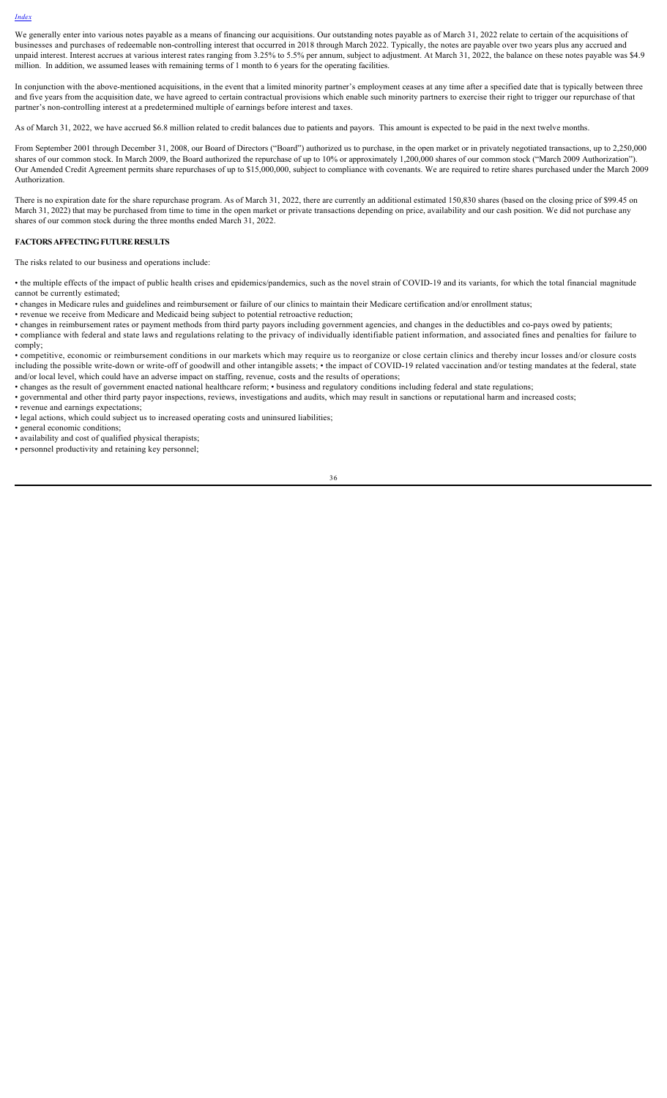We generally enter into various notes payable as a means of financing our acquisitions. Our outstanding notes payable as of March 31, 2022 relate to certain of the acquisitions of businesses and purchases of redeemable non-controlling interest that occurred in 2018 through March 2022. Typically, the notes are payable over two years plus any accrued and unpaid interest. Interest accrues at various interest rates ranging from 3.25% to 5.5% per annum, subject to adjustment. At March 31, 2022, the balance on these notes payable was \$4.9 million. In addition, we assumed leases with remaining terms of 1 month to 6 years for the operating facilities.

In conjunction with the above-mentioned acquisitions, in the event that a limited minority partner's employment ceases at any time after a specified date that is typically between three and five years from the acquisition date, we have agreed to certain contractual provisions which enable such minority partners to exercise their right to trigger our repurchase of that partner's non-controlling interest at a predetermined multiple of earnings before interest and taxes.

As of March 31, 2022, we have accrued \$6.8 million related to credit balances due to patients and payors. This amount is expected to be paid in the next twelve months.

From September 2001 through December 31, 2008, our Board of Directors ("Board") authorized us to purchase, in the open market or in privately negotiated transactions, up to 2,250,000 shares of our common stock. In March 2009, the Board authorized the repurchase of up to 10% or approximately 1,200,000 shares of our common stock ("March 2009 Authorization"). Our Amended Credit Agreement permits share repurchases of up to \$15,000,000, subject to compliance with covenants. We are required to retire shares purchased under the March 2009 Authorization.

There is no expiration date for the share repurchase program. As of March 31, 2022, there are currently an additional estimated 150,830 shares (based on the closing price of \$99.45 on March 31, 2022) that may be purchased from time to time in the open market or private transactions depending on price, availability and our cash position. We did not purchase any shares of our common stock during the three months ended March 31, 2022.

## **FACTORS AFFECTING FUTURE RESULTS**

The risks related to our business and operations include:

• the multiple effects of the impact of public health crises and epidemics/pandemics, such as the novel strain of COVID-19 and its variants, for which the total financial magnitude cannot be currently estimated;

• changes in Medicare rules and guidelines and reimbursement or failure of our clinics to maintain their Medicare certification and/or enrollment status;

• revenue we receive from Medicare and Medicaid being subject to potential retroactive reduction;

• changes in reimbursement rates or payment methods from third party payors including government agencies, and changes in the deductibles and co-pays owed by patients; • compliance with federal and state laws and regulations relating to the privacy of individually identifiable patient information, and associated fines and penalties for failure to comply;

• competitive, economic or reimbursement conditions in our markets which may require us to reorganize or close certain clinics and thereby incur losses and/or closure costs including the possible write-down or write-off of goodwill and other intangible assets; • the impact of COVID-19 related vaccination and/or testing mandates at the federal, state and/or local level, which could have an adverse impact on staffing, revenue, costs and the results of operations;

• changes as the result of government enacted national healthcare reform; • business and regulatory conditions including federal and state regulations;

• governmental and other third party payor inspections, reviews, investigations and audits, which may result in sanctions or reputational harm and increased costs;

• revenue and earnings expectations;

• legal actions, which could subject us to increased operating costs and uninsured liabilities;

• general economic conditions;

• availability and cost of qualified physical therapists;

• personnel productivity and retaining key personnel;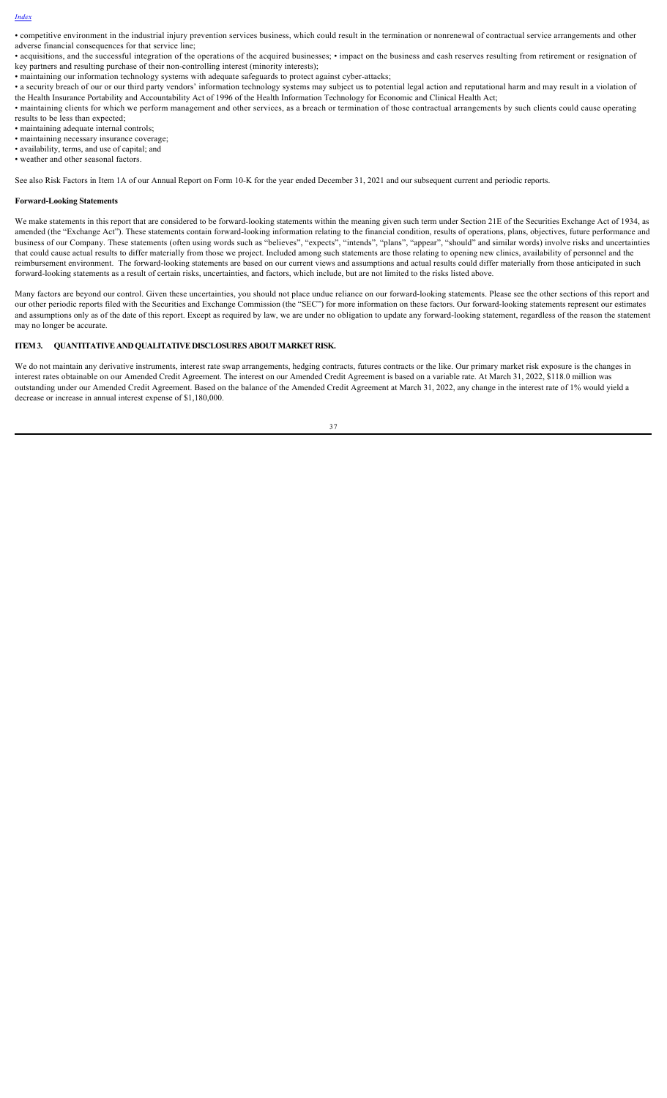• competitive environment in the industrial injury prevention services business, which could result in the termination or nonrenewal of contractual service arrangements and other adverse financial consequences for that service line;

• acquisitions, and the successful integration of the operations of the acquired businesses; • impact on the business and cash reserves resulting from retirement or resignation of key partners and resulting purchase of their non-controlling interest (minority interests);

• maintaining our information technology systems with adequate safeguards to protect against cyber-attacks;

• a security breach of our or our third party vendors' information technology systems may subject us to potential legal action and reputational harm and may result in a violation of the Health Insurance Portability and Accountability Act of 1996 of the Health Information Technology for Economic and Clinical Health Act;

• maintaining clients for which we perform management and other services, as a breach or termination of those contractual arrangements by such clients could cause operating results to be less than expected;

• maintaining adequate internal controls;

• maintaining necessary insurance coverage; • availability, terms, and use of capital; and

• weather and other seasonal factors.

See also Risk Factors in Item 1A of our Annual Report on Form 10-K for the year ended December 31, 2021 and our subsequent current and periodic reports.

#### **Forward-Looking Statements**

We make statements in this report that are considered to be forward-looking statements within the meaning given such term under Section 21E of the Securities Exchange Act of 1934, as amended (the "Exchange Act"). These statements contain forward-looking information relating to the financial condition, results of operations, plans, objectives, future performance and business of our Company. These statements (often using words such as "believes", "expects", "intends", "plans", "appear", "should" and similar words) involve risks and uncertainties that could cause actual results to differ materially from those we project. Included among such statements are those relating to opening new clinics, availability of personnel and the reimbursement environment. The forward-looking statements are based on our current views and assumptions and actual results could differ materially from those anticipated in such forward-looking statements as a result of certain risks, uncertainties, and factors, which include, but are not limited to the risks listed above.

Many factors are beyond our control. Given these uncertainties, you should not place undue reliance on our forward-looking statements. Please see the other sections of this report and our other periodic reports filed with the Securities and Exchange Commission (the "SEC") for more information on these factors. Our forward-looking statements represent our estimates and assumptions only as of the date of this report. Except as required by law, we are under no obligation to update any forward-looking statement, regardless of the reason the statement may no longer be accurate.

#### <span id="page-36-0"></span>**ITEM 3. QUANTITATIVE AND QUALITATIVE DISCLOSURES ABOUT MARKET RISK.**

We do not maintain any derivative instruments, interest rate swap arrangements, hedging contracts, futures contracts or the like. Our primary market risk exposure is the changes in interest rates obtainable on our Amended Credit Agreement. The interest on our Amended Credit Agreement is based on a variable rate. At March 31, 2022, \$118.0 million was outstanding under our Amended Credit Agreement. Based on the balance of the Amended Credit Agreement at March 31, 2022, any change in the interest rate of 1% would yield a decrease or increase in annual interest expense of \$1,180,000.

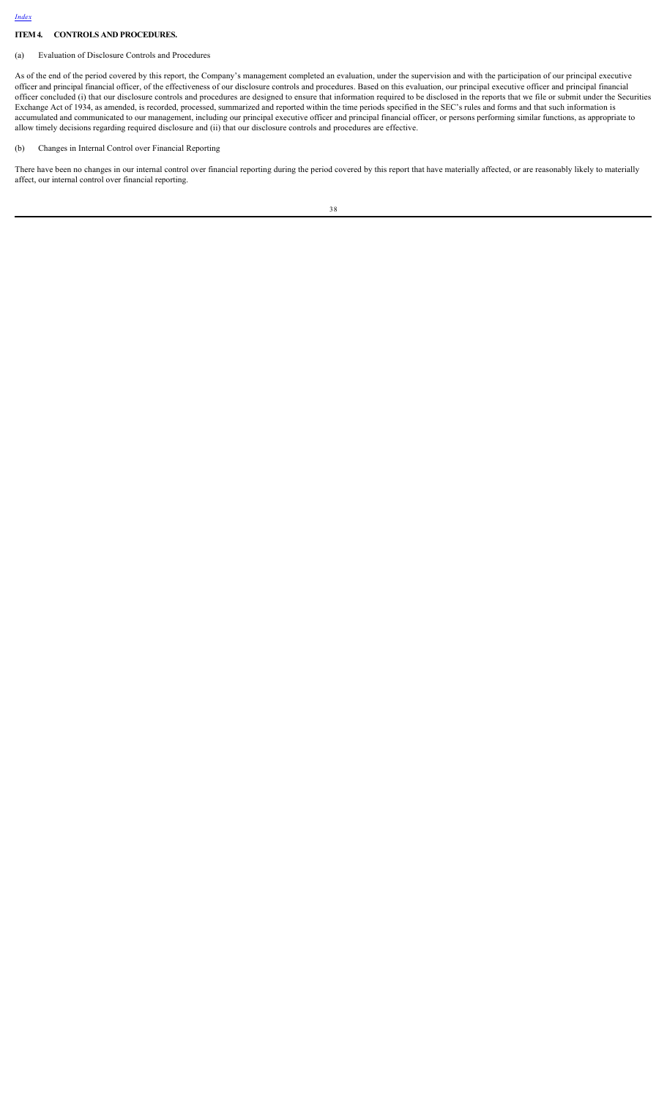## <span id="page-37-0"></span>**ITEM 4. CONTROLS AND PROCEDURES.**

(a) Evaluation of Disclosure Controls and Procedures

As of the end of the period covered by this report, the Company's management completed an evaluation, under the supervision and with the participation of our principal executive officer and principal financial officer, of the effectiveness of our disclosure controls and procedures. Based on this evaluation, our principal executive officer and principal financial officer concluded (i) that our disclosure controls and procedures are designed to ensure that information required to be disclosed in the reports that we file or submit under the Securities Exchange Act of 1934, as amended, is recorded, processed, summarized and reported within the time periods specified in the SEC's rules and forms and that such information is accumulated and communicated to our management, including our principal executive officer and principal financial officer, or persons performing similar functions, as appropriate to allow timely decisions regarding required disclosure and (ii) that our disclosure controls and procedures are effective.

## (b) Changes in Internal Control over Financial Reporting

There have been no changes in our internal control over financial reporting during the period covered by this report that have materially affected, or are reasonably likely to materially affect, our internal control over financial reporting.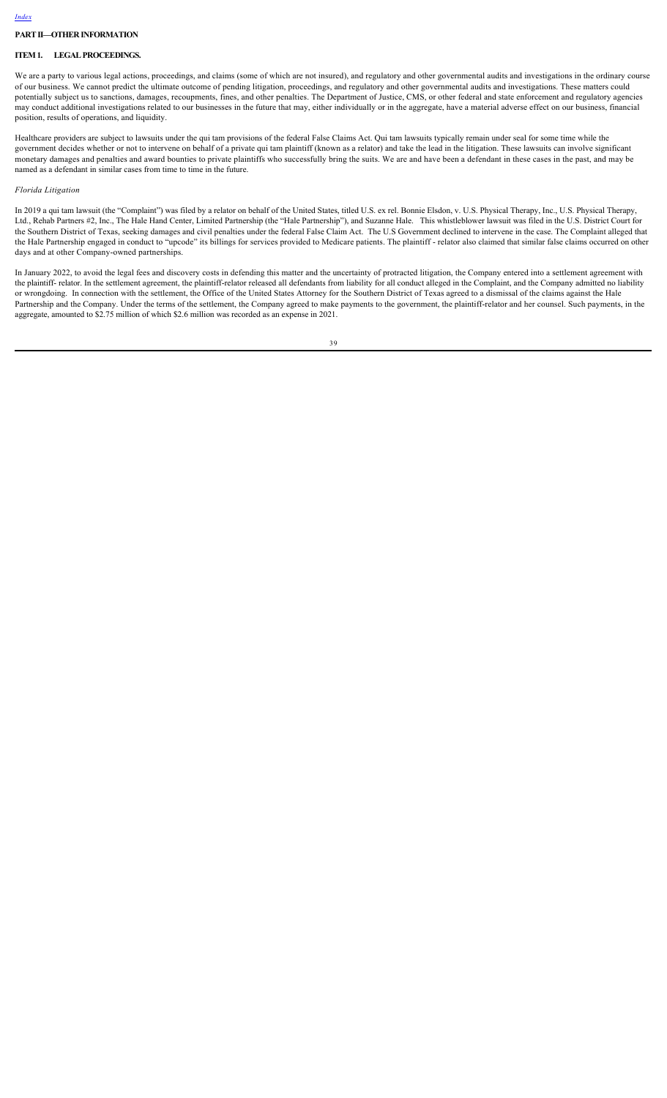## **PART II—OTHER INFORMATION**

## <span id="page-38-0"></span>**ITEM 1. LEGAL PROCEEDINGS.**

We are a party to various legal actions, proceedings, and claims (some of which are not insured), and regulatory and other governmental audits and investigations in the ordinary course of our business. We cannot predict the ultimate outcome of pending litigation, proceedings, and regulatory and other governmental audits and investigations. These matters could potentially subject us to sanctions, damages, recoupments, fines, and other penalties. The Department of Justice, CMS, or other federal and state enforcement and regulatory agencies may conduct additional investigations related to our businesses in the future that may, either individually or in the aggregate, have a material adverse effect on our business, financial position, results of operations, and liquidity.

Healthcare providers are subject to lawsuits under the qui tam provisions of the federal False Claims Act. Qui tam lawsuits typically remain under seal for some time while the government decides whether or not to intervene on behalf of a private qui tam plaintiff (known as a relator) and take the lead in the litigation. These lawsuits can involve significant monetary damages and penalties and award bounties to private plaintiffs who successfully bring the suits. We are and have been a defendant in these cases in the past, and may be named as a defendant in similar cases from time to time in the future.

### *Florida Litigation*

In 2019 a qui tam lawsuit (the "Complaint") was filed by a relator on behalf of the United States, titled U.S. ex rel. Bonnie Elsdon, v. U.S. Physical Therapy, Inc., U.S. Physical Therapy, Ltd., Rehab Partners #2, Inc., The Hale Hand Center, Limited Partnership (the "Hale Partnership"), and Suzanne Hale. This whistleblower lawsuit was filed in the U.S. District Court for the Southern District of Texas, seeking damages and civil penalties under the federal False Claim Act. The U.S Government declined to intervene in the case. The Complaint alleged that the Hale Partnership engaged in conduct to "upcode" its billings for services provided to Medicare patients. The plaintiff - relator also claimed that similar false claims occurred on other days and at other Company-owned partnerships.

In January 2022, to avoid the legal fees and discovery costs in defending this matter and the uncertainty of protracted litigation, the Company entered into a settlement agreement with the plaintiff-relator. In the settlement agreement, the plaintiff-relator released all defendants from liability for all conduct alleged in the Complaint, and the Company admitted no liability or wrongdoing. In connection with the settlement, the Office of the United States Attorney for the Southern District of Texas agreed to a dismissal of the claims against the Hale Partnership and the Company. Under the terms of the settlement, the Company agreed to make payments to the government, the plaintiff-relator and her counsel. Such payments, in the aggregate, amounted to \$2.75 million of which \$2.6 million was recorded as an expense in 2021.

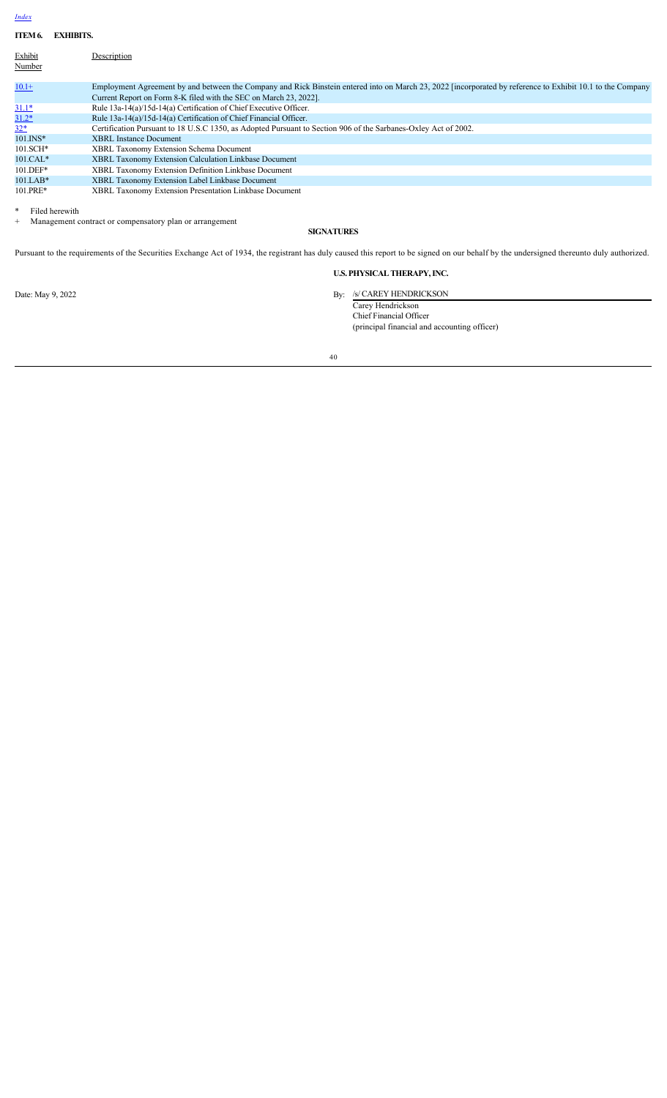# <span id="page-39-0"></span>**ITEM 6. EXHIBITS.**

| 11 E.VI V. | - ранірнэ.  |  |
|------------|-------------|--|
| Exhibit    | Description |  |
| Number     |             |  |

| $10.1 +$      | Employment Agreement by and between the Company and Rick Binstein entered into on March 23, 2022 [incorporated by reference to Exhibit 10.1 to the Company |
|---------------|------------------------------------------------------------------------------------------------------------------------------------------------------------|
|               | Current Report on Form 8-K filed with the SEC on March 23, 2022].                                                                                          |
| $31.1*$       | Rule 13a-14(a)/15d-14(a) Certification of Chief Executive Officer.                                                                                         |
| $31.2*$       | Rule 13a-14(a)/15d-14(a) Certification of Chief Financial Officer.                                                                                         |
| $32*$         | Certification Pursuant to 18 U.S.C 1350, as Adopted Pursuant to Section 906 of the Sarbanes-Oxley Act of 2002.                                             |
| $101$ . INS*  | <b>XBRL</b> Instance Document                                                                                                                              |
| $101.SCH*$    | XBRL Taxonomy Extension Schema Document                                                                                                                    |
| $101.CAL*$    | XBRL Taxonomy Extension Calculation Linkbase Document                                                                                                      |
| $101.$ DEF*   | XBRL Taxonomy Extension Definition Linkbase Document                                                                                                       |
| $101.LAB*$    | XBRL Taxonomy Extension Label Linkbase Document                                                                                                            |
| $101$ DD $E*$ | VDDI Toxonomy Extension Drecentation Linkbogo Document                                                                                                     |

101.PRE\* XBRL Taxonomy Extension Presentation Linkbase Document

\* Filed herewith

+ Management contract or compensatory plan or arrangement

## **SIGNATURES**

<span id="page-39-1"></span>Pursuant to the requirements of the Securities Exchange Act of 1934, the registrant has duly caused this report to be signed on our behalf by the undersigned thereunto duly authorized.

## **U.S. PHYSICAL THERAPY, INC.**

Date: May 9, 2022 By: /s/ CAREY HENDRICKSON Carey Hendrickson

Chief Financial Officer (principal financial and accounting officer)

40

## *[Index](#page-1-0)*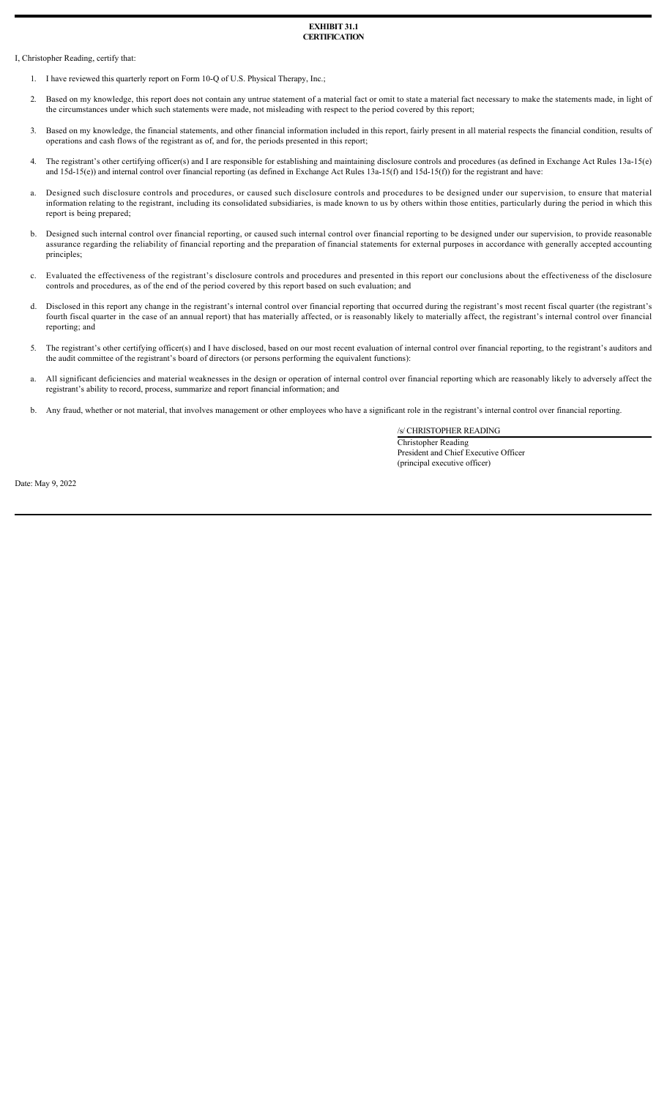I, Christopher Reading, certify that:

- 1. I have reviewed this quarterly report on Form 10-Q of U.S. Physical Therapy, Inc.;
- 2. Based on my knowledge, this report does not contain any untrue statement of a material fact or omit to state a material fact necessary to make the statements made, in light of the circumstances under which such statements were made, not misleading with respect to the period covered by this report;
- 3. Based on my knowledge, the financial statements, and other financial information included in this report, fairly present in all material respects the financial condition, results of operations and cash flows of the registrant as of, and for, the periods presented in this report;
- 4. The registrant's other certifying officer(s) and I are responsible for establishing and maintaining disclosure controls and procedures (as defined in Exchange Act Rules 13a-15(e) and 15d-15(e)) and internal control over financial reporting (as defined in Exchange Act Rules 13a-15(f) and 15d-15(f)) for the registrant and have:
- a. Designed such disclosure controls and procedures, or caused such disclosure controls and procedures to be designed under our supervision, to ensure that material information relating to the registrant, including its consolidated subsidiaries, is made known to us by others within those entities, particularly during the period in which this report is being prepared;
- b. Designed such internal control over financial reporting, or caused such internal control over financial reporting to be designed under our supervision, to provide reasonable assurance regarding the reliability of financial reporting and the preparation of financial statements for external purposes in accordance with generally accepted accounting principles;
- c. Evaluated the effectiveness of the registrant's disclosure controls and procedures and presented in this report our conclusions about the effectiveness of the disclosure controls and procedures, as of the end of the period covered by this report based on such evaluation; and
- d. Disclosed in this report any change in the registrant's internal control over financial reporting that occurred during the registrant's most recent fiscal quarter (the registrant's fourth fiscal quarter in the case of an annual report) that has materially affected, or is reasonably likely to materially affect, the registrant's internal control over financial reporting; and
- 5. The registrant's other certifying officer(s) and I have disclosed, based on our most recent evaluation of internal control over financial reporting, to the registrant's auditors and the audit committee of the registrant's board of directors (or persons performing the equivalent functions):
- a. All significant deficiencies and material weaknesses in the design or operation of internal control over financial reporting which are reasonably likely to adversely affect the registrant's ability to record, process, summarize and report financial information; and
- b. Any fraud, whether or not material, that involves management or other employees who have a significant role in the registrant's internal control over financial reporting.

/s/ CHRISTOPHER READING Christopher Reading President and Chief Executive Officer (principal executive officer)

Date: May 9, 2022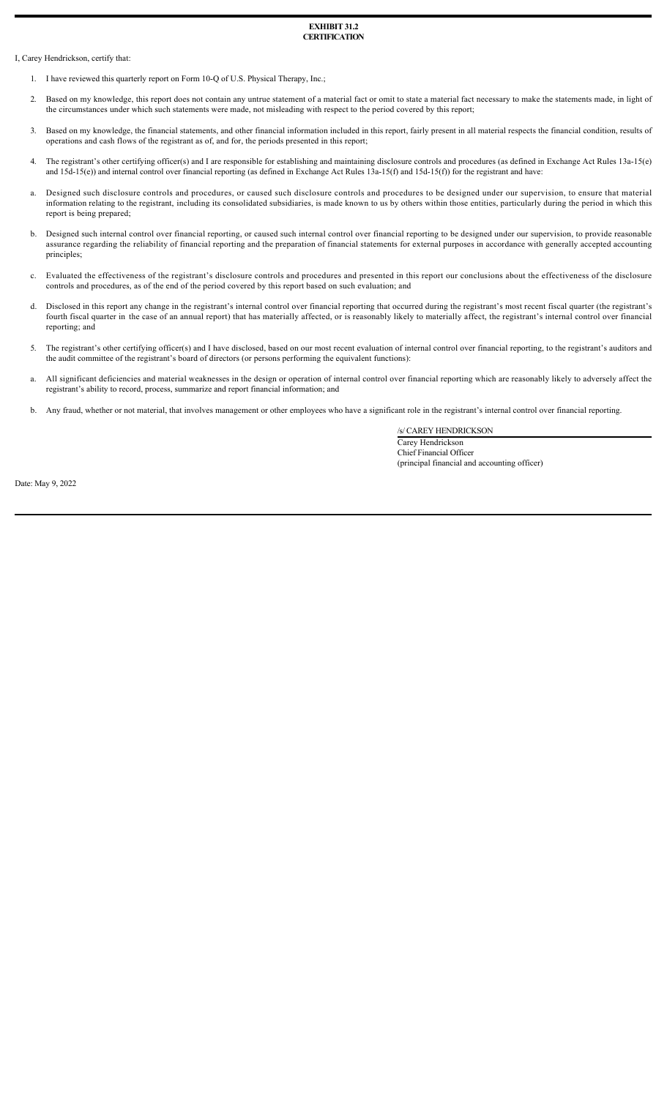I, Carey Hendrickson, certify that:

- 1. I have reviewed this quarterly report on Form 10-Q of U.S. Physical Therapy, Inc.;
- 2. Based on my knowledge, this report does not contain any untrue statement of a material fact or omit to state a material fact necessary to make the statements made, in light of the circumstances under which such statements were made, not misleading with respect to the period covered by this report;
- 3. Based on my knowledge, the financial statements, and other financial information included in this report, fairly present in all material respects the financial condition, results of operations and cash flows of the registrant as of, and for, the periods presented in this report;
- 4. The registrant's other certifying officer(s) and I are responsible for establishing and maintaining disclosure controls and procedures (as defined in Exchange Act Rules 13a-15(e) and 15d-15(e)) and internal control over financial reporting (as defined in Exchange Act Rules 13a-15(f) and 15d-15(f)) for the registrant and have:
- a. Designed such disclosure controls and procedures, or caused such disclosure controls and procedures to be designed under our supervision, to ensure that material information relating to the registrant, including its consolidated subsidiaries, is made known to us by others within those entities, particularly during the period in which this report is being prepared;
- b. Designed such internal control over financial reporting, or caused such internal control over financial reporting to be designed under our supervision, to provide reasonable assurance regarding the reliability of financial reporting and the preparation of financial statements for external purposes in accordance with generally accepted accounting principles;
- c. Evaluated the effectiveness of the registrant's disclosure controls and procedures and presented in this report our conclusions about the effectiveness of the disclosure controls and procedures, as of the end of the period covered by this report based on such evaluation; and
- d. Disclosed in this report any change in the registrant's internal control over financial reporting that occurred during the registrant's most recent fiscal quarter (the registrant's fourth fiscal quarter in the case of an annual report) that has materially affected, or is reasonably likely to materially affect, the registrant's internal control over financial reporting; and
- 5. The registrant's other certifying officer(s) and I have disclosed, based on our most recent evaluation of internal control over financial reporting, to the registrant's auditors and the audit committee of the registrant's board of directors (or persons performing the equivalent functions):
- a. All significant deficiencies and material weaknesses in the design or operation of internal control over financial reporting which are reasonably likely to adversely affect the registrant's ability to record, process, summarize and report financial information; and
- b. Any fraud, whether or not material, that involves management or other employees who have a significant role in the registrant's internal control over financial reporting.

/s/ CAREY HENDRICKSON Carey Hendrickson Chief Financial Officer (principal financial and accounting officer)

Date: May 9, 2022